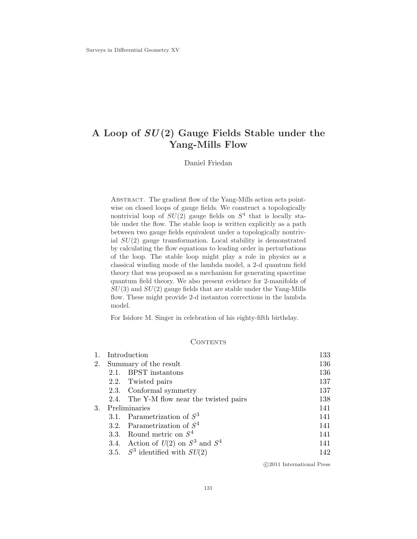# **A Loop of** *SU* **(2) Gauge Fields Stable under the Yang-Mills Flow**

## Daniel Friedan

Abstract. The gradient flow of the Yang-Mills action acts pointwise on closed loops of gauge fields. We construct a topologically nontrivial loop of  $SU(2)$  gauge fields on  $S<sup>4</sup>$  that is locally stable under the flow. The stable loop is written explicitly as a path between two gauge fields equivalent under a topologically nontrivial SU(2) gauge transformation. Local stability is demonstrated by calculating the flow equations to leading order in perturbations of the loop. The stable loop might play a role in physics as a classical winding mode of the lambda model, a 2-d quantum field theory that was proposed as a mechanism for generating spacetime quantum field theory. We also present evidence for 2-manifolds of  $SU(3)$  and  $SU(2)$  gauge fields that are stable under the Yang-Mills flow. These might provide 2-d instanton corrections in the lambda model.

For Isidore M. Singer in celebration of his eighty-fifth birthday.

## **CONTENTS**

| 1. | Introduction          |                                          | 133 |
|----|-----------------------|------------------------------------------|-----|
| 2. | Summary of the result |                                          | 136 |
|    |                       | 2.1. BPST instantons                     | 136 |
|    |                       | 2.2. Twisted pairs                       | 137 |
|    |                       | 2.3. Conformal symmetry                  | 137 |
|    |                       | 2.4. The Y-M flow near the twisted pairs | 138 |
| 3. | Preliminaries         |                                          | 141 |
|    |                       | 3.1. Parametrization of $S^3$            | 141 |
|    |                       | 3.2. Parametrization of $S^4$            | 141 |
|    |                       | 3.3. Round metric on $S^4$               | 141 |
|    |                       | 3.4. Action of $U(2)$ on $S^3$ and $S^4$ | 141 |
|    |                       | 3.5. $S^3$ identified with $SU(2)$       | 142 |
|    |                       |                                          |     |

-c 2011 International Press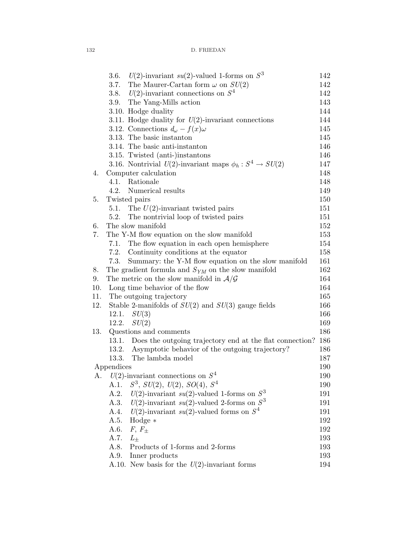132 D. FRIEDAN

|     | 3.6.       | $U(2)$ -invariant su(2)-valued 1-forms on $S^3$                  | 142 |
|-----|------------|------------------------------------------------------------------|-----|
|     | 3.7.       | The Maurer-Cartan form $\omega$ on $SU(2)$                       | 142 |
|     |            | 3.8. $U(2)$ -invariant connections on $S4$                       | 142 |
|     |            | 3.9. The Yang-Mills action                                       | 143 |
|     |            | 3.10. Hodge duality                                              | 144 |
|     |            | 3.11. Hodge duality for $U(2)$ -invariant connections            | 144 |
|     |            | 3.12. Connections $d_{\omega} - f(x) \omega$                     | 145 |
|     |            | 3.13. The basic instanton                                        | 145 |
|     |            | 3.14. The basic anti-instanton                                   | 146 |
|     |            | 3.15. Twisted (anti-)instantons                                  | 146 |
|     |            | 3.16. Nontrivial $U(2)$ -invariant maps $\phi_h : S^4 \to SU(2)$ | 147 |
| 4.  |            | Computer calculation                                             | 148 |
|     | 4.1.       | Rationale                                                        | 148 |
|     | 4.2.       | Numerical results                                                | 149 |
| 5.  |            | Twisted pairs                                                    | 150 |
|     |            | 5.1. The $U(2)$ -invariant twisted pairs                         | 151 |
|     | 5.2.       | The nontrivial loop of twisted pairs                             | 151 |
| 6.  |            | The slow manifold                                                | 152 |
| 7.  |            | The Y-M flow equation on the slow manifold                       | 153 |
|     | 7.1.       | The flow equation in each open hemisphere                        | 154 |
|     | 7.2.       | Continuity conditions at the equator                             | 158 |
|     | 7.3.       | Summary: the Y-M flow equation on the slow manifold              | 161 |
| 8.  |            | The gradient formula and $S_{YM}$ on the slow manifold           | 162 |
| 9.  |            | The metric on the slow manifold in $\mathcal{A}/\mathcal{G}$     | 164 |
| 10. |            | Long time behavior of the flow                                   | 164 |
| 11. |            | The outgoing trajectory                                          | 165 |
| 12. |            | Stable 2-manifolds of $SU(2)$ and $SU(3)$ gauge fields           | 166 |
|     |            | 12.1. $SU(3)$                                                    | 166 |
|     | 12.2.      | SU(2)                                                            | 169 |
| 13. |            | Questions and comments                                           | 186 |
|     | 13.1.      | Does the outgoing trajectory end at the flat connection?         | 186 |
|     | 13.2.      | Asymptotic behavior of the outgoing trajectory?                  | 186 |
|     | 13.3.      | The lambda model                                                 | 187 |
|     | Appendices |                                                                  | 190 |
|     |            | A. $U(2)$ -invariant connections on $S^4$                        | 190 |
|     | A.1.       | $S^3$ , $SU(2)$ , $U(2)$ , $SO(4)$ , $S^4$                       | 190 |
|     | A.2.       | $U(2)$ -invariant su(2)-valued 1-forms on $S^3$                  | 191 |
|     | A.3.       | $U(2)$ -invariant su(2)-valued 2-forms on $S^3$                  | 191 |
|     | A.4.       | $U(2)$ -invariant su(2)-valued forms on $S4$                     | 191 |
|     | A.5.       | Hodge $*$                                                        | 192 |
|     | A.6.       | $F, F_{\pm}$                                                     | 192 |
|     | A.7.       | $L_{+}$                                                          | 193 |
|     | A.8.       | Products of 1-forms and 2-forms                                  | 193 |
|     | A.9.       | Inner products                                                   | 193 |
|     |            | A.10. New basis for the $U(2)$ -invariant forms                  | 194 |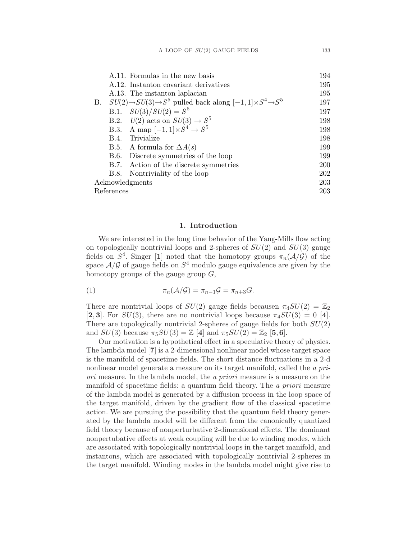|                 |            | A.11. Formulas in the new basis                                                                  | 194 |
|-----------------|------------|--------------------------------------------------------------------------------------------------|-----|
|                 |            | A.12. Instanton covariant derivatives                                                            | 195 |
|                 |            | A.13. The instanton laplacian                                                                    | 195 |
| В.              |            | $SU(2) \rightarrow SU(3) \rightarrow S^5$ pulled back along $[-1, 1] \times S^4 \rightarrow S^5$ | 197 |
|                 |            | B.1. $SU(3)/SU(2) = S^5$                                                                         | 197 |
|                 |            | B.2. $U(2)$ acts on $SU(3) \rightarrow S^5$                                                      | 198 |
|                 |            | B.3. A map $[-1, 1] \times S^4 \to S^5$                                                          | 198 |
|                 | B.4.       | Trivialize                                                                                       | 198 |
|                 |            | B.5. A formula for $\Delta A(s)$                                                                 | 199 |
|                 | B.6.       | Discrete symmetries of the loop                                                                  | 199 |
|                 | B.7.       | Action of the discrete symmetries                                                                | 200 |
|                 | B.8.       | Nontriviality of the loop                                                                        | 202 |
| Acknowledgments |            | 203                                                                                              |     |
|                 | References |                                                                                                  | 203 |

#### **1. Introduction**

<span id="page-2-0"></span>We are interested in the long time behavior of the Yang-Mills flow acting on topologically nontrivial loops and 2-spheres of  $SU(2)$  and  $SU(3)$  gauge fields on  $S^4$ . Singer [1] noted that the homotopy groups  $\pi_n(\mathcal{A}/\mathcal{G})$  of the space  $A/G$  of gauge fields on  $S<sup>4</sup>$  modulo gauge equivalence are given by the homotopy groups of the gauge group  $G$ ,

(1) 
$$
\pi_n(\mathcal{A}/\mathcal{G}) = \pi_{n-1}\mathcal{G} = \pi_{n+3}G.
$$

There are nontrivial loops of  $SU(2)$  gauge fields becausen  $\pi_4 SU(2) = \mathbb{Z}_2$ [**2**, **3**]. For  $SU(3)$ , there are no nontrivial loops because  $\pi_4 SU(3) = 0$  [**4**]. There are topologically nontrivial 2-spheres of gauge fields for both  $SU(2)$ and  $SU(3)$  because  $\pi_5 SU(3) = \mathbb{Z} [4]$  and  $\pi_5 SU(2) = \mathbb{Z}_2 [5, 6]$ .

Our motivation is a hypothetical effect in a speculative theory of physics. The lambda model [**7**] is a 2-dimensional nonlinear model whose target space is the manifold of spacetime fields. The short distance fluctuations in a 2-d nonlinear model generate a measure on its target manifold, called the *a priori* measure. In the lambda model, the *a priori* measure is a measure on the manifold of spacetime fields: a quantum field theory. The *a priori* measure of the lambda model is generated by a diffusion process in the loop space of the target manifold, driven by the gradient flow of the classical spacetime action. We are pursuing the possibility that the quantum field theory generated by the lambda model will be different from the canonically quantized field theory because of nonperturbative 2-dimensional effects. The dominant nonpertubative effects at weak coupling will be due to winding modes, which are associated with topologically nontrivial loops in the target manifold, and instantons, which are associated with topologically nontrivial 2-spheres in the target manifold. Winding modes in the lambda model might give rise to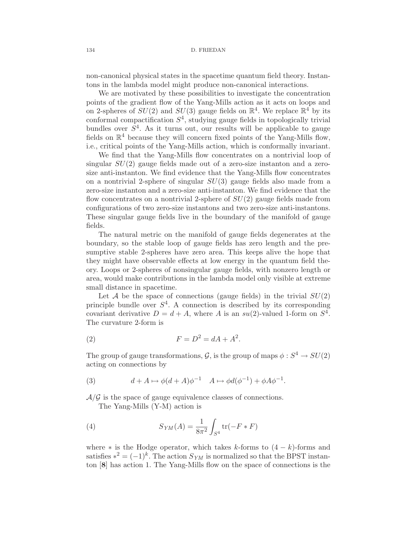non-canonical physical states in the spacetime quantum field theory. Instantons in the lambda model might produce non-canonical interactions.

We are motivated by these possibilities to investigate the concentration points of the gradient flow of the Yang-Mills action as it acts on loops and on 2-spheres of  $SU(2)$  and  $SU(3)$  gauge fields on  $\mathbb{R}^4$ . We replace  $\mathbb{R}^4$  by its conformal compactification  $S<sup>4</sup>$ , studying gauge fields in topologically trivial bundles over  $S<sup>4</sup>$ . As it turns out, our results will be applicable to gauge fields on  $\mathbb{R}^4$  because they will concern fixed points of the Yang-Mills flow, i.e., critical points of the Yang-Mills action, which is conformally invariant.

We find that the Yang-Mills flow concentrates on a nontrivial loop of singular  $SU(2)$  gauge fields made out of a zero-size instanton and a zerosize anti-instanton. We find evidence that the Yang-Mills flow concentrates on a nontrivial 2-sphere of singular  $SU(3)$  gauge fields also made from a zero-size instanton and a zero-size anti-instanton. We find evidence that the flow concentrates on a nontrivial 2-sphere of  $SU(2)$  gauge fields made from configurations of two zero-size instantons and two zero-size anti-instantons. These singular gauge fields live in the boundary of the manifold of gauge fields.

The natural metric on the manifold of gauge fields degenerates at the boundary, so the stable loop of gauge fields has zero length and the presumptive stable 2-spheres have zero area. This keeps alive the hope that they might have observable effects at low energy in the quantum field theory. Loops or 2-spheres of nonsingular gauge fields, with nonzero length or area, would make contributions in the lambda model only visible at extreme small distance in spacetime.

Let A be the space of connections (gauge fields) in the trivial  $SU(2)$ principle bundle over  $S<sup>4</sup>$ . A connection is described by its corresponding covariant derivative  $D = d + A$ , where A is an  $su(2)$ -valued 1-form on  $S<sup>4</sup>$ . The curvature 2-form is

$$
(2) \t\t\t F = D^2 = dA + A^2.
$$

The group of gauge transformations, G, is the group of maps  $\phi : S^4 \to SU(2)$ acting on connections by

(3) 
$$
d + A \mapsto \phi(d + A)\phi^{-1} \quad A \mapsto \phi d(\phi^{-1}) + \phi A \phi^{-1}.
$$

 $A/G$  is the space of gauge equivalence classes of connections.

The Yang-Mills (Y-M) action is

(4) 
$$
S_{YM}(A) = \frac{1}{8\pi^2} \int_{S^4} tr(-F * F)
$$

where  $*$  is the Hodge operator, which takes k-forms to  $(4 - k)$ -forms and satisfies  $*^2 = (-1)^k$ . The action  $S_{YM}$  is normalized so that the BPST instanton [**8**] has action 1. The Yang-Mills flow on the space of connections is the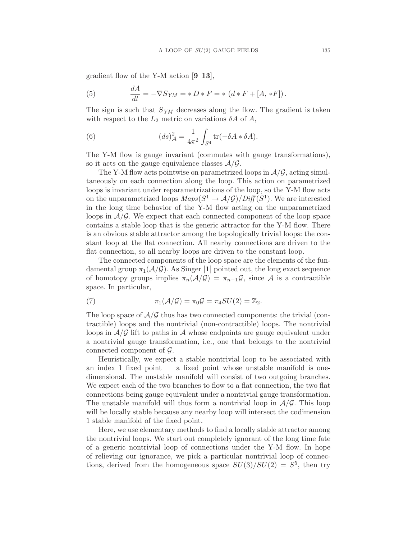gradient flow of the Y-M action [**9**–**13**],

<span id="page-4-1"></span>(5) 
$$
\frac{dA}{dt} = -\nabla S_{YM} = *D * F = * (d * F + [A, *F]).
$$

The sign is such that  $S_{YM}$  decreases along the flow. The gradient is taken with respect to the  $L_2$  metric on variations  $\delta A$  of  $A$ ,

<span id="page-4-0"></span>(6) 
$$
(ds)_{\mathcal{A}}^2 = \frac{1}{4\pi^2} \int_{S^4} tr(-\delta A * \delta A).
$$

The Y-M flow is gauge invariant (commutes with gauge transformations), so it acts on the gauge equivalence classes  $A/G$ .

The Y-M flow acts pointwise on parametrized loops in  $\mathcal{A}/\mathcal{G}$ , acting simultaneously on each connection along the loop. This action on parametrized loops is invariant under reparametrizations of the loop, so the Y-M flow acts on the unparametrized loops  $Maps(S^1 \rightarrow A/\mathcal{G})/Diff(S^1)$ . We are interested in the long time behavior of the Y-M flow acting on the unparametrized loops in  $A/G$ . We expect that each connected component of the loop space contains a stable loop that is the generic attractor for the Y-M flow. There is an obvious stable attractor among the topologically trivial loops: the constant loop at the flat connection. All nearby connections are driven to the flat connection, so all nearby loops are driven to the constant loop.

The connected components of the loop space are the elements of the fundamental group  $\pi_1(\mathcal{A}/\mathcal{G})$ . As Singer [1] pointed out, the long exact sequence of homotopy groups implies  $\pi_n(\mathcal{A}/\mathcal{G}) = \pi_{n-1}\mathcal{G}$ , since A is a contractible space. In particular,

(7) 
$$
\pi_1(\mathcal{A}/\mathcal{G}) = \pi_0 \mathcal{G} = \pi_4 SU(2) = \mathbb{Z}_2.
$$

The loop space of  $\mathcal{A}/\mathcal{G}$  thus has two connected components: the trivial (contractible) loops and the nontrivial (non-contractible) loops. The nontrivial loops in  $A/G$  lift to paths in A whose endpoints are gauge equivalent under a nontrivial gauge transformation, i.e., one that belongs to the nontrivial connected component of  $\mathcal{G}$ .

Heuristically, we expect a stable nontrivial loop to be associated with an index 1 fixed point  $\frac{1}{x}$  a fixed point whose unstable manifold is onedimensional. The unstable manifold will consist of two outgoing branches. We expect each of the two branches to flow to a flat connection, the two flat connections being gauge equivalent under a nontrivial gauge transformation. The unstable manifold will thus form a nontrivial loop in  $A/G$ . This loop will be locally stable because any nearby loop will intersect the codimension 1 stable manifold of the fixed point.

Here, we use elementary methods to find a locally stable attractor among the nontrivial loops. We start out completely ignorant of the long time fate of a generic nontrivial loop of connections under the Y-M flow. In hope of relieving our ignorance, we pick a particular nontrivial loop of connections, derived from the homogeneous space  $SU(3)/SU(2) = S^5$ , then try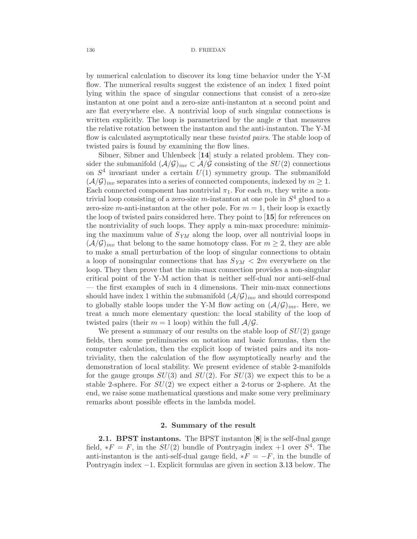by numerical calculation to discover its long time behavior under the Y-M flow. The numerical results suggest the existence of an index 1 fixed point lying within the space of singular connections that consist of a zero-size instanton at one point and a zero-size anti-instanton at a second point and are flat everywhere else. A nontrivial loop of such singular connections is written explicitly. The loop is parametrized by the angle  $\sigma$  that measures the relative rotation between the instanton and the anti-instanton. The Y-M flow is calculated asymptotically near these *twisted pairs*. The stable loop of twisted pairs is found by examining the flow lines.

Sibner, Sibner and Uhlenbeck [**14**] study a related problem. They consider the submanifold  $(\mathcal{A}/\mathcal{G})_{inv} \subset \mathcal{A}/\mathcal{G}$  consisting of the  $SU(2)$  connections on  $S<sup>4</sup>$  invariant under a certain  $U(1)$  symmetry group. The submanifold  $(\mathcal{A}/\mathcal{G})_{inv}$  separates into a series of connected components, indexed by  $m \geq 1$ . Each connected component has nontrivial  $\pi_1$ . For each m, they write a nontrivial loop consisting of a zero-size m-instanton at one pole in  $S<sup>4</sup>$  glued to a zero-size m-anti-instanton at the other pole. For  $m = 1$ , their loop is exactly the loop of twisted pairs considered here. They point to [**15**] for references on the nontriviality of such loops. They apply a min-max procedure: minimizing the maximum value of S*YM* along the loop, over all nontrivial loops in  $(\mathcal{A}/\mathcal{G})_{inv}$  that belong to the same homotopy class. For  $m \geq 2$ , they are able to make a small perturbation of the loop of singular connections to obtain a loop of nonsingular connections that has  $S_{YM} < 2m$  everywhere on the loop. They then prove that the min-max connection provides a non-singular critical point of the Y-M action that is neither self-dual nor anti-self-dual — the first examples of such in 4 dimensions. Their min-max connections should have index 1 within the submanifold  $(\mathcal{A}/\mathcal{G})_{inv}$  and should correspond to globally stable loops under the Y-M flow acting on  $(\mathcal{A}/\mathcal{G})_{inv}$ . Here, we treat a much more elementary question: the local stability of the loop of twisted pairs (their  $m = 1$  loop) within the full  $A/G$ .

We present a summary of our results on the stable loop of  $SU(2)$  gauge fields, then some preliminaries on notation and basic formulas, then the computer calculation, then the explicit loop of twisted pairs and its nontriviality, then the calculation of the flow asymptotically nearby and the demonstration of local stability. We present evidence of stable 2-manifolds for the gauge groups  $SU(3)$  and  $SU(2)$ . For  $SU(3)$  we expect this to be a stable 2-sphere. For  $SU(2)$  we expect either a 2-torus or 2-sphere. At the end, we raise some mathematical questions and make some very preliminary remarks about possible effects in the lambda model.

#### **2. Summary of the result**

<span id="page-5-1"></span><span id="page-5-0"></span>**2.1. BPST instantons.** The BPST instanton [**8**] is the self-dual gauge field,  $*F = F$ , in the  $SU(2)$  bundle of Pontryagin index +1 over  $S<sup>4</sup>$ . The anti-instanton is the anti-self-dual gauge field,  $*F = -F$ , in the bundle of Pontryagin index −1. Explicit formulas are given in section [3.13](#page-14-1) below. The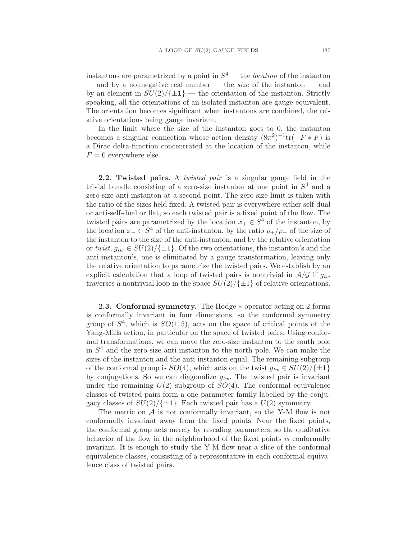instantons are parametrized by a point in  $S^4$  — the *location* of the instanton — and by a nonnegative real number — the *size* of the instanton — and by an element in  $SU(2)/\{\pm 1\}$  — the orientation of the instanton. Strictly speaking, all the orientations of an isolated instanton are gauge equivalent. The orientation becomes significant when instantons are combined, the relative orientations being gauge invariant.

In the limit where the size of the instanton goes to 0, the instanton becomes a singular connection whose action density  $(8\pi^2)^{-1}$ tr $(-F * F)$  is a Dirac delta-function concentrated at the location of the instanton, while  $F = 0$  everywhere else.

<span id="page-6-0"></span>**2.2. Twisted pairs.** A *twisted pair* is a singular gauge field in the trivial bundle consisting of a zero-size instanton at one point in  $S<sup>4</sup>$  and a zero-size anti-instanton at a second point. The zero size limit is taken with the ratio of the sizes held fixed. A twisted pair is everywhere either self-dual or anti-self-dual or flat, so each twisted pair is a fixed point of the flow. The twisted pairs are parametrized by the location  $x_+ \in S^4$  of the instanton, by the location  $x_-\in S^4$  of the anti-instanton, by the ratio  $\rho_+/\rho_-$  of the size of the instanton to the size of the anti-instanton, and by the relative orientation or *twist*,  $g_{tw} \in SU(2)/\{\pm 1\}$ . Of the two orientations, the instanton's and the anti-instanton's, one is eliminated by a gauge transformation, leaving only the relative orientation to parametrize the twisted pairs. We establish by an explicit calculation that a loop of twisted pairs is nontrivial in  $A/G$  if  $g_{tw}$ traverses a nontrivial loop in the space  $SU(2)/\{\pm 1\}$  of relative orientations.

<span id="page-6-1"></span>**2.3. Conformal symmetry.** The Hodge ∗-operator acting on 2-forms is conformally invariant in four dimensions, so the conformal symmetry group of  $S^4$ , which is  $SO(1,5)$ , acts on the space of critical points of the Yang-Mills action, in particular on the space of twisted pairs. Using conformal transformations, we can move the zero-size instanton to the south pole in  $S<sup>4</sup>$  and the zero-size anti-instanton to the north pole. We can make the sizes of the instanton and the anti-instanton equal. The remaining subgroup of the conformal group is  $SO(4)$ , which acts on the twist  $g_{tw} \in SU(2)/\{\pm 1\}$ by conjugations. So we can diagonalize  $g_{tw}$ . The twisted pair is invariant under the remaining  $U(2)$  subgroup of  $SO(4)$ . The conformal equivalence classes of twisted pairs form a one parameter family labelled by the conjugacy classes of  $SU(2)/\{\pm 1\}$ . Each twisted pair has a  $U(2)$  symmetry.

The metric on  $A$  is not conformally invariant, so the Y-M flow is not conformally invariant away from the fixed points. Near the fixed points, the conformal group acts merely by rescaling parameters, so the qualitative behavior of the flow in the neighborhood of the fixed points *is* conformally invariant. It is enough to study the Y-M flow near a slice of the conformal equivalence classes, consisting of a representative in each conformal equivalence class of twisted pairs.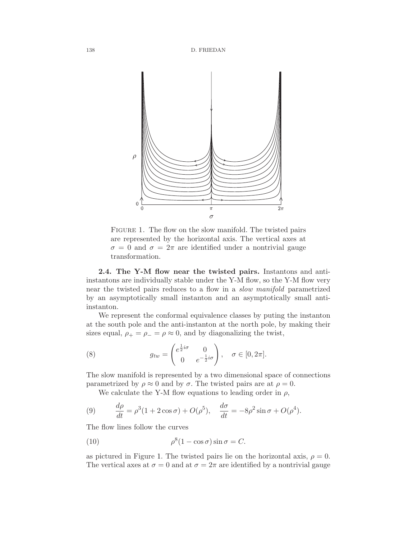

<span id="page-7-1"></span>FIGURE 1. The flow on the slow manifold. The twisted pairs are represented by the horizontal axis. The vertical axes at  $\sigma = 0$  and  $\sigma = 2\pi$  are identified under a nontrivial gauge transformation.

<span id="page-7-0"></span>**2.4. The Y-M flow near the twisted pairs.** Instantons and antiinstantons are individually stable under the Y-M flow, so the Y-M flow very near the twisted pairs reduces to a flow in a *slow manifold* parametrized by an asymptotically small instanton and an asymptotically small antiinstanton.

We represent the conformal equivalence classes by puting the instanton at the south pole and the anti-instanton at the north pole, by making their sizes equal,  $\rho_+ = \rho_- = \rho \approx 0$ , and by diagonalizing the twist,

(8) 
$$
g_{tw} = \begin{pmatrix} e^{\frac{1}{2}i\sigma} & 0\\ 0 & e^{-\frac{1}{2}i\sigma} \end{pmatrix}, \quad \sigma \in [0, 2\pi].
$$

The slow manifold is represented by a two dimensional space of connections parametrized by  $\rho \approx 0$  and by  $\sigma$ . The twisted pairs are at  $\rho = 0$ .

We calculate the Y-M flow equations to leading order in  $\rho$ ,

(9) 
$$
\frac{d\rho}{dt} = \rho^3 (1 + 2\cos\sigma) + O(\rho^5), \quad \frac{d\sigma}{dt} = -8\rho^2 \sin\sigma + O(\rho^4).
$$

The flow lines follow the curves

(10) 
$$
\rho^{8}(1 - \cos \sigma) \sin \sigma = C.
$$

as pictured in Figure [1.](#page-7-1) The twisted pairs lie on the horizontal axis,  $\rho = 0$ . The vertical axes at  $\sigma = 0$  and at  $\sigma = 2\pi$  are identified by a nontrivial gauge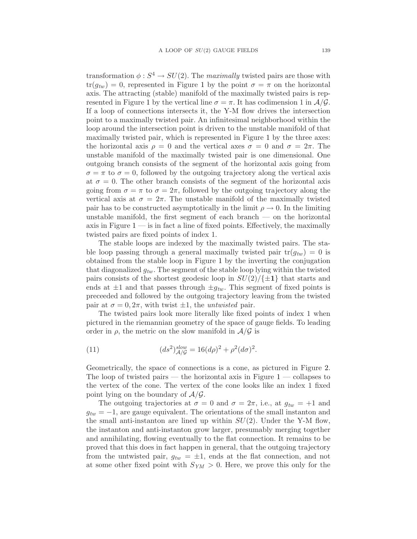transformation  $\phi: S^4 \to SU(2)$ . The *maximally* twisted pairs are those with  $tr(g_{tw}) = 0$ , represented in Figure [1](#page-7-1) by the point  $\sigma = \pi$  on the horizontal axis. The attracting (stable) manifold of the maximally twisted pairs is rep-resented in Figure [1](#page-7-1) by the vertical line  $\sigma = \pi$ . It has codimension 1 in  $\mathcal{A}/\mathcal{G}$ . If a loop of connections intersects it, the Y-M flow drives the intersection point to a maximally twisted pair. An infinitesimal neighborhood within the loop around the intersection point is driven to the unstable manifold of that maximally twisted pair, which is represented in Figure [1](#page-7-1) by the three axes: the horizontal axis  $\rho = 0$  and the vertical axes  $\sigma = 0$  and  $\sigma = 2\pi$ . The unstable manifold of the maximally twisted pair is one dimensional. One outgoing branch consists of the segment of the horizontal axis going from  $\sigma = \pi$  to  $\sigma = 0$ , followed by the outgoing trajectory along the vertical axis at  $\sigma = 0$ . The other branch consists of the segment of the horizontal axis going from  $\sigma = \pi$  to  $\sigma = 2\pi$ , followed by the outgoing trajectory along the vertical axis at  $\sigma = 2\pi$ . The unstable manifold of the maximally twisted pair has to be constructed asymptotically in the limit  $\rho \to 0$ . In the limiting unstable manifold, the first segment of each branch — on the horizontal axis in Figure  $1 - i$  $1 - i$  is in fact a line of fixed points. Effectively, the maximally twisted pairs are fixed points of index 1.

The stable loops are indexed by the maximally twisted pairs. The stable loop passing through a general maximally twisted pair  $tr(g_{tw}) = 0$  is obtained from the stable loop in Figure [1](#page-7-1) by the inverting the conjugation that diagonalized g*tw* . The segment of the stable loop lying within the twisted pairs consists of the shortest geodesic loop in  $SU(2)/\{\pm 1\}$  that starts and ends at  $\pm 1$  and that passes through  $\pm g_{tw}$ . This segment of fixed points is preceeded and followed by the outgoing trajectory leaving from the twisted pair at  $\sigma = 0, 2\pi$ , with twist  $\pm 1$ , the *untwisted* pair.

The twisted pairs look more literally like fixed points of index 1 when pictured in the riemannian geometry of the space of gauge fields. To leading order in  $\rho$ , the metric on the slow manifold in  $\mathcal{A}/\mathcal{G}$  is

(11) 
$$
(ds^2)^{slow}_{\mathcal{A}/\mathcal{G}} = 16(d\rho)^2 + \rho^2(d\sigma)^2.
$$

Geometrically, the space of connections is a cone, as pictured in Figure [2.](#page-9-0) The loop of twisted pairs — the horizontal axis in Figure [1](#page-7-1) — collapses to the vertex of the cone. The vertex of the cone looks like an index 1 fixed point lying on the boundary of  $A/G$ .

The outgoing trajectories at  $\sigma = 0$  and  $\sigma = 2\pi$ , i.e., at  $g_{tw} = +1$  and  $g_{tw} = -1$ , are gauge equivalent. The orientations of the small instanton and the small anti-instanton are lined up within  $SU(2)$ . Under the Y-M flow, the instanton and anti-instanton grow larger, presumably merging together and annihilating, flowing eventually to the flat connection. It remains to be proved that this does in fact happen in general, that the outgoing trajectory from the untwisted pair,  $g_{tw} = \pm 1$ , ends at the flat connection, and not at some other fixed point with  $S_{YM} > 0$ . Here, we prove this only for the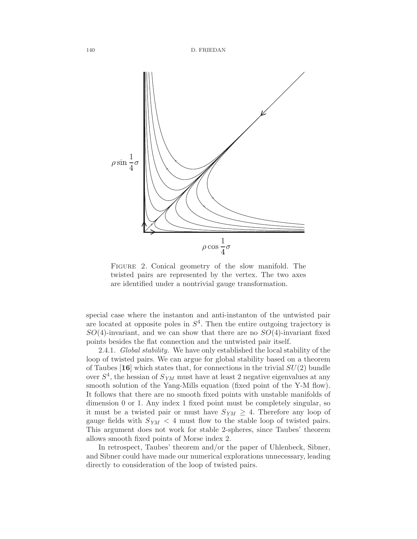

<span id="page-9-0"></span>FIGURE 2. Conical geometry of the slow manifold. The twisted pairs are represented by the vertex. The two axes are identified under a nontrivial gauge transformation.

special case where the instanton and anti-instanton of the untwisted pair are located at opposite poles in  $S<sup>4</sup>$ . Then the entire outgoing trajectory is  $SO(4)$ -invariant, and we can show that there are no  $SO(4)$ -invariant fixed points besides the flat connection and the untwisted pair itself.

2.4.1. *Global stability.* We have only established the local stability of the loop of twisted pairs. We can argue for global stability based on a theorem of Taubes  $[16]$  which states that, for connections in the trivial  $SU(2)$  bundle over  $S<sup>4</sup>$ , the hessian of  $S<sub>YM</sub>$  must have at least 2 negative eigenvalues at any smooth solution of the Yang-Mills equation (fixed point of the Y-M flow). It follows that there are no smooth fixed points with unstable manifolds of dimension 0 or 1. Any index 1 fixed point must be completely singular, so it must be a twisted pair or must have  $S_{YM} \geq 4$ . Therefore any loop of gauge fields with  $S_{YM}$  < 4 must flow to the stable loop of twisted pairs. This argument does not work for stable 2-spheres, since Taubes' theorem allows smooth fixed points of Morse index 2.

In retrospect, Taubes' theorem and/or the paper of Uhlenbeck, Sibner, and Sibner could have made our numerical explorations unnecessary, leading directly to consideration of the loop of twisted pairs.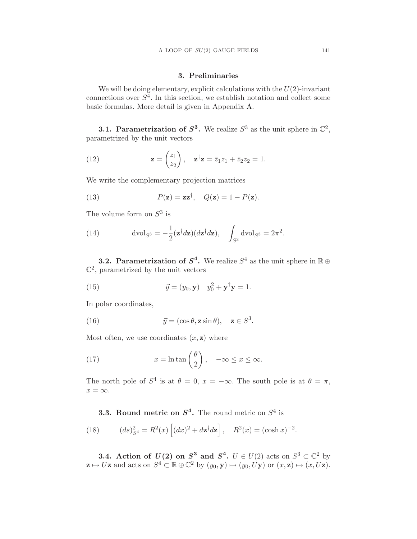## **3. Preliminaries**

<span id="page-10-0"></span>We will be doing elementary, explicit calculations with the  $U(2)$ -invariant connections over  $S<sup>4</sup>$ . In this section, we establish notation and collect some basic formulas. More detail is given in Appendix [A.](#page-59-1)

<span id="page-10-1"></span>**3.1. Parametrization of**  $S^3$ **. We realize**  $S^3$  **as the unit sphere in**  $\mathbb{C}^2$ **,** parametrized by the unit vectors

(12) 
$$
\mathbf{z} = \begin{pmatrix} z_1 \\ z_2 \end{pmatrix}, \quad \mathbf{z}^\dagger \mathbf{z} = \bar{z}_1 z_1 + \bar{z}_2 z_2 = 1.
$$

We write the complementary projection matrices

(13) 
$$
P(\mathbf{z}) = \mathbf{z} \mathbf{z}^{\dagger}, \quad Q(\mathbf{z}) = 1 - P(\mathbf{z}).
$$

The volume form on  $S^3$  is

(14) 
$$
\mathrm{dvol}_{S^3} = -\frac{1}{2} (\mathbf{z}^\dagger d\mathbf{z}) (d\mathbf{z}^\dagger d\mathbf{z}), \quad \int_{S^3} \mathrm{dvol}_{S^3} = 2\pi^2.
$$

<span id="page-10-2"></span>**3.2. Parametrization of**  $S^4$ **.** We realize  $S^4$  as the unit sphere in  $\mathbb{R} \oplus$  $\mathbb{C}^2$ , parametrized by the unit vectors

(15) 
$$
\vec{y} = (y_0, \mathbf{y}) \quad y_0^2 + \mathbf{y}^\dagger \mathbf{y} = 1.
$$

In polar coordinates,

(16) 
$$
\vec{y} = (\cos \theta, \mathbf{z} \sin \theta), \quad \mathbf{z} \in S^3.
$$

Most often, we use coordinates  $(x, z)$  where

(17) 
$$
x = \ln \tan \left(\frac{\theta}{2}\right), \quad -\infty \le x \le \infty.
$$

The north pole of  $S^4$  is at  $\theta = 0$ ,  $x = -\infty$ . The south pole is at  $\theta = \pi$ ,  $x = \infty$ .

<span id="page-10-5"></span><span id="page-10-3"></span>**3.3. Round metric on**  $S^4$ **. The round metric on**  $S^4$  **is** 

(18) 
$$
(ds)_{S^4}^2 = R^2(x) \left[ (dx)^2 + d\mathbf{z}^\dagger d\mathbf{z} \right], \quad R^2(x) = (\cosh x)^{-2}.
$$

<span id="page-10-4"></span>**3.4.** Action of  $U(2)$  on  $S^3$  and  $S^4$ .  $U \in U(2)$  acts on  $S^3 \subset \mathbb{C}^2$  by  $\mathbf{z} \mapsto U\mathbf{z}$  and acts on  $S^4 \subset \mathbb{R} \oplus \mathbb{C}^2$  by  $(y_0, \mathbf{y}) \mapsto (y_0, U\mathbf{y})$  or  $(x, \mathbf{z}) \mapsto (x, U\mathbf{z})$ .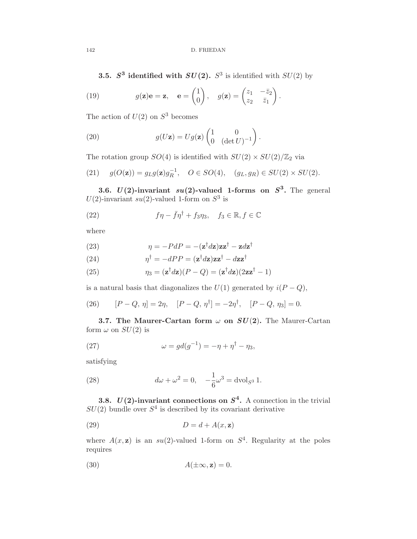<span id="page-11-0"></span>**3.5.**  $S^3$  **identified with**  $SU(2)$ **.**  $S^3$  **is identified with**  $SU(2)$  **by** 

(19) 
$$
g(\mathbf{z})\mathbf{e} = \mathbf{z}, \quad \mathbf{e} = \begin{pmatrix} 1 \\ 0 \end{pmatrix}, \quad g(\mathbf{z}) = \begin{pmatrix} z_1 & -\overline{z}_2 \\ z_2 & \overline{z}_1 \end{pmatrix}.
$$

The action of  $U(2)$  on  $S^3$  becomes

(20) 
$$
g(U\mathbf{z}) = Ug(\mathbf{z})\begin{pmatrix} 1 & 0\\ 0 & (\det U)^{-1} \end{pmatrix}.
$$

The rotation group  $SO(4)$  is identified with  $SU(2) \times SU(2)/\mathbb{Z}_2$  via

(21) 
$$
g(O(\mathbf{z})) = g_L g(\mathbf{z}) g_R^{-1}, \quad O \in SO(4), \quad (g_L, g_R) \in SU(2) \times SU(2).
$$

<span id="page-11-1"></span>**3.6.**  $U(2)$ -invariant  $su(2)$ -valued 1-forms on  $S^3$ . The general  $U(2)$ -invariant su(2)-valued 1-form on  $S^3$  is

(22) 
$$
f\eta - \bar{f}\eta^{\dagger} + f_3\eta_3, \quad f_3 \in \mathbb{R}, f \in \mathbb{C}
$$

where

(23) 
$$
\eta = -PdP = -(\mathbf{z}^\dagger d\mathbf{z})\mathbf{z}\mathbf{z}^\dagger - \mathbf{z}d\mathbf{z}^\dagger
$$

(24) 
$$
\eta^{\dagger} = -dPP = (\mathbf{z}^{\dagger}d\mathbf{z})\mathbf{z}\mathbf{z}^{\dagger} - d\mathbf{z}\mathbf{z}^{\dagger}
$$

(25) 
$$
\eta_3 = (\mathbf{z}^\dagger d\mathbf{z})(P - Q) = (\mathbf{z}^\dagger d\mathbf{z})(2\mathbf{z}\mathbf{z}^\dagger - 1)
$$

is a natural basis that diagonalizes the  $U(1)$  generated by  $i(P - Q)$ ,

(26) 
$$
[P - Q, \eta] = 2\eta, \quad [P - Q, \eta^{\dagger}] = -2\eta^{\dagger}, \quad [P - Q, \eta_3] = 0.
$$

<span id="page-11-2"></span>**3.7. The Maurer-Cartan form**  $\omega$  on  $SU(2)$ . The Maurer-Cartan form  $\omega$  on  $SU(2)$  is

(27) 
$$
\omega = gd(g^{-1}) = -\eta + \eta^{\dagger} - \eta_3,
$$

satisfying

(28) 
$$
d\omega + \omega^2 = 0, \quad -\frac{1}{6}\omega^3 = \text{dvol}_{S^3} 1.
$$

<span id="page-11-3"></span>**3.8.**  $U(2)$ -invariant connections on  $S<sup>4</sup>$ . A connection in the trivial  $SU(2)$  bundle over  $S<sup>4</sup>$  is described by its covariant derivative

$$
(29) \t\t D = d + A(x, \mathbf{z})
$$

where  $A(x, z)$  is an su(2)-valued 1-form on  $S<sup>4</sup>$ . Regularity at the poles requires

(30) 
$$
A(\pm\infty, \mathbf{z}) = 0.
$$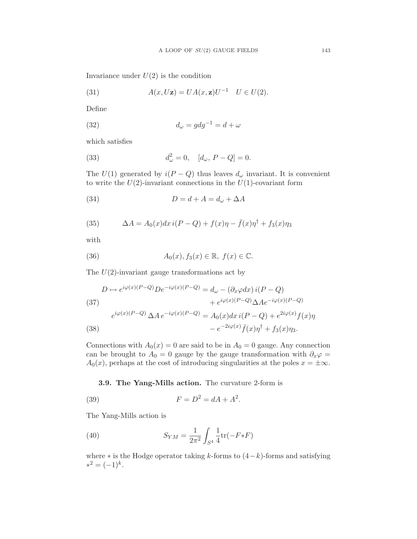Invariance under  $U(2)$  is the condition

(31) 
$$
A(x, U\mathbf{z}) = UA(x, \mathbf{z})U^{-1} \quad U \in U(2).
$$

Define

(32) 
$$
d_{\omega} = g dg^{-1} = d + \omega
$$

which satisfies

(33) 
$$
d_{\omega}^{2} = 0, \quad [d_{\omega}, P - Q] = 0.
$$

The  $U(1)$  generated by  $i(P - Q)$  thus leaves  $d_{\omega}$  invariant. It is convenient to write the  $U(2)$ -invariant connections in the  $U(1)$ -covariant form

(34) 
$$
D = d + A = d_{\omega} + \Delta A
$$

(35) 
$$
\Delta A = A_0(x)dx i(P - Q) + f(x)\eta - \bar{f}(x)\eta^{\dagger} + f_3(x)\eta_3
$$

with

(36) 
$$
A_0(x), f_3(x) \in \mathbb{R}, f(x) \in \mathbb{C}.
$$

The  $U(2)$ -invariant gauge transformations act by

(37)  
\n
$$
D \mapsto e^{i\varphi(x)(P-Q)}De^{-i\varphi(x)(P-Q)} = d_{\omega} - (\partial_x \varphi dx) i(P-Q)
$$
\n
$$
+ e^{i\varphi(x)(P-Q)} \Delta A e^{-i\varphi(x)(P-Q)}
$$
\n
$$
e^{i\varphi(x)(P-Q)} \Delta A e^{-i\varphi(x)(P-Q)} = A_0(x) dx i(P-Q) + e^{2i\varphi(x)} f(x)\eta
$$
\n(38)  
\n
$$
- e^{-2i\varphi(x)} \bar{f}(x)\eta^{\dagger} + f_3(x)\eta_3.
$$

Connections with  $A_0(x) = 0$  are said to be in  $A_0 = 0$  gauge. Any connection can be brought to  $A_0 = 0$  gauge by the gauge transformation with  $\partial_x \varphi =$  $A_0(x)$ , perhaps at the cost of introducing singularities at the poles  $x = \pm \infty$ .

## <span id="page-12-0"></span>**3.9. The Yang-Mills action.** The curvature 2-form is

$$
(39) \t\t\t F = D2 = dA + A2.
$$

The Yang-Mills action is

(40) 
$$
S_{YM} = \frac{1}{2\pi^2} \int_{S^4} \frac{1}{4} \text{tr}(-F \ast F)
$$

where  $*$  is the Hodge operator taking k-forms to  $(4-k)$ -forms and satisfying  $*^2 = (-1)^k$ .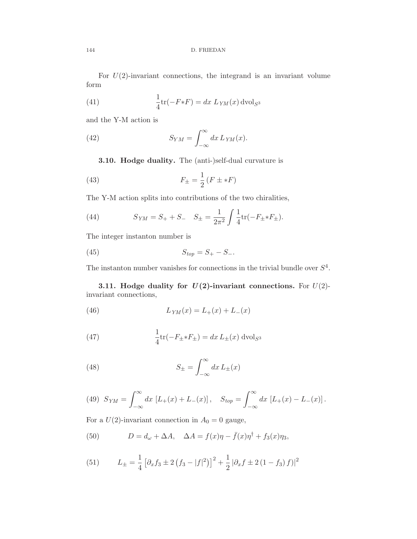For  $U(2)$ -invariant connections, the integrand is an invariant volume form

(41) 
$$
\frac{1}{4}\text{tr}(-F*F) = dx L_{YM}(x) \text{dvol}_{S^3}
$$

and the Y-M action is

(42) 
$$
S_{YM} = \int_{-\infty}^{\infty} dx L_{YM}(x).
$$

<span id="page-13-0"></span>**3.10. Hodge duality.** The (anti-)self-dual curvature is

(43) 
$$
F_{\pm} = \frac{1}{2} (F \pm *F)
$$

The Y-M action splits into contributions of the two chiralities,

(44) 
$$
S_{YM} = S_+ + S_- \quad S_{\pm} = \frac{1}{2\pi^2} \int \frac{1}{4} \text{tr}(-F_{\pm} * F_{\pm}).
$$

The integer instanton number is

(45) 
$$
S_{top} = S_+ - S_-.
$$

<span id="page-13-1"></span>The instanton number vanishes for connections in the trivial bundle over  $S<sup>4</sup>$ .

**3.11.** Hodge duality for  $U(2)$ -invariant connections. For  $U(2)$ invariant connections,

(46) 
$$
L_{YM}(x) = L_{+}(x) + L_{-}(x)
$$

(47) 
$$
\frac{1}{4}\text{tr}(-F_{\pm}*F_{\pm}) = dx L_{\pm}(x) \text{ dvol}_{S^3}
$$

(48) 
$$
S_{\pm} = \int_{-\infty}^{\infty} dx L_{\pm}(x)
$$

(49) 
$$
S_{YM} = \int_{-\infty}^{\infty} dx \, [L_+(x) + L_-(x)], \quad S_{top} = \int_{-\infty}^{\infty} dx \, [L_+(x) - L_-(x)].
$$

For a  $U(2)$ -invariant connection in  $A_0 = 0$  gauge,

(50) 
$$
D = d_{\omega} + \Delta A, \quad \Delta A = f(x)\eta - \bar{f}(x)\eta^{\dagger} + f_3(x)\eta_3,
$$

<span id="page-13-2"></span>(51) 
$$
L_{\pm} = \frac{1}{4} \left[ \partial_x f_3 \pm 2 \left( f_3 - |f|^2 \right) \right]^2 + \frac{1}{2} \left[ \partial_x f \pm 2 \left( 1 - f_3 \right) f \right]^2
$$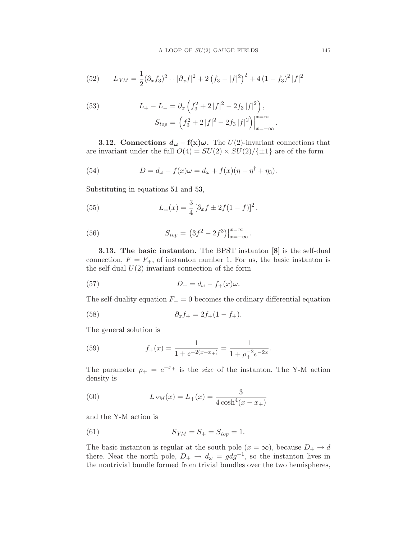<span id="page-14-3"></span>(52) 
$$
L_{YM} = \frac{1}{2} (\partial_x f_3)^2 + |\partial_x f|^2 + 2 (f_3 - |f|^2)^2 + 4 (1 - f_3)^2 |f|^2
$$

<span id="page-14-2"></span>(53) 
$$
L_{+} - L_{-} = \partial_{x} \left( f_{3}^{2} + 2 |f|^{2} - 2f_{3} |f|^{2} \right),
$$

$$
S_{top} = \left( f_{3}^{2} + 2 |f|^{2} - 2f_{3} |f|^{2} \right) \Big|_{x=-\infty}^{x=\infty}.
$$

<span id="page-14-0"></span>**3.12. Connections**  $d_{\omega} - f(x)\omega$ . The  $U(2)$ -invariant connections that are invariant under the full  $O(4) = SU(2) \times SU(2)/\{\pm 1\}$  are of the form

(54) 
$$
D = d_{\omega} - f(x)\omega = d_{\omega} + f(x)(\eta - \eta^{\dagger} + \eta_3).
$$

Substituting in equations [51](#page-13-2) and [53,](#page-14-2)

<span id="page-14-4"></span>(55) 
$$
L_{\pm}(x) = \frac{3}{4} [\partial_x f \pm 2f(1-f)]^2.
$$

(56) 
$$
S_{top} = (3f^2 - 2f^3)\Big|_{x=-\infty}^{x=\infty}.
$$

<span id="page-14-1"></span>**3.13. The basic instanton.** The BPST instanton [**8**] is the self-dual connection,  $F = F_{+}$ , of instanton number 1. For us, the basic instanton is the self-dual  $U(2)$ -invariant connection of the form

(57) 
$$
D_+ = d_\omega - f_+(x)\omega.
$$

The self-duality equation  $F_ = 0$  becomes the ordinary differential equation

(58) 
$$
\partial_x f_+ = 2f_+(1 - f_+).
$$

The general solution is

(59) 
$$
f_{+}(x) = \frac{1}{1 + e^{-2(x - x_{+})}} = \frac{1}{1 + \rho_{+}^{-2}e^{-2x}}.
$$

The parameter  $\rho_+ = e^{-x_+}$  is the *size* of the instanton. The Y-M action density is

(60) 
$$
L_{YM}(x) = L_{+}(x) = \frac{3}{4\cosh^{4}(x - x_{+})}
$$

and the Y-M action is

(61) 
$$
S_{YM} = S_+ = S_{top} = 1.
$$

The basic instanton is regular at the south pole  $(x = \infty)$ , because  $D_+ \to d$ there. Near the north pole,  $D_+ \to d_\omega = g \dot{d}g^{-1}$ , so the instanton lives in the nontrivial bundle formed from trivial bundles over the two hemispheres,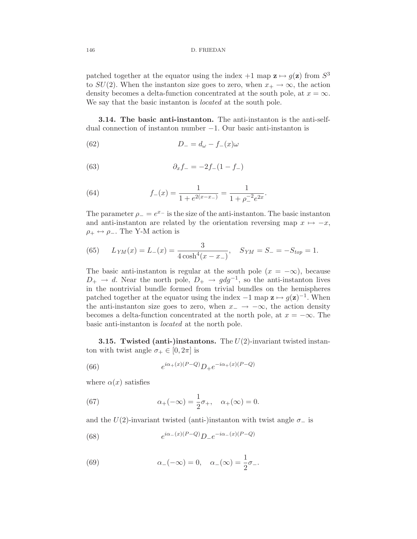#### 146 D. FRIEDAN

patched together at the equator using the index  $+1$  map  $z \mapsto g(z)$  from  $S^3$ to  $SU(2)$ . When the instanton size goes to zero, when  $x_+ \to \infty$ , the action density becomes a delta-function concentrated at the south pole, at  $x = \infty$ . We say that the basic instanton is *located* at the south pole.

<span id="page-15-0"></span>**3.14. The basic anti-instanton.** The anti-instanton is the anti-selfdual connection of instanton number −1. Our basic anti-instanton is

(62) 
$$
D_{-} = d_{\omega} - f_{-}(x)\omega
$$

(63) 
$$
\partial_x f_- = -2f_-(1 - f_-)
$$

(64) 
$$
f_{-}(x) = \frac{1}{1 + e^{2(x - x_{-})}} = \frac{1}{1 + \rho_{-}^{-2}e^{2x}}.
$$

The parameter  $\rho = e^{x-1}$  is the size of the anti-instanton. The basic instanton and anti-instanton are related by the orientation reversing map  $x \mapsto -x$ ,  $\rho_+ \leftrightarrow \rho_-.$  The Y-M action is

(65) 
$$
L_{YM}(x) = L_{-}(x) = \frac{3}{4 \cosh^{4}(x - x_{-})}, \quad S_{YM} = S_{-} = -S_{top} = 1.
$$

The basic anti-instanton is regular at the south pole  $(x = -\infty)$ , because  $D_+ \rightarrow d$ . Near the north pole,  $D_+ \rightarrow g dg^{-1}$ , so the anti-instanton lives in the nontrivial bundle formed from trivial bundles on the hemispheres patched together at the equator using the index  $-1$  map  $z \mapsto g(z)^{-1}$ . When the anti-instanton size goes to zero, when  $x_-\rightarrow -\infty$ , the action density becomes a delta-function concentrated at the north pole, at  $x = -\infty$ . The basic anti-instanton is *located* at the north pole.

<span id="page-15-1"></span>**3.15. Twisted (anti-)instantons.** The  $U(2)$ -invariant twisted instanton with twist angle  $\sigma_+ \in [0, 2\pi]$  is

(66) 
$$
e^{i\alpha_{+}(x)(P-Q)}D_{+}e^{-i\alpha_{+}(x)(P-Q)}
$$

where  $\alpha(x)$  satisfies

(67) 
$$
\alpha_{+}(-\infty) = \frac{1}{2}\sigma_{+}, \quad \alpha_{+}(\infty) = 0.
$$

and the  $U(2)$ -invariant twisted (anti-)instanton with twist angle  $\sigma_-\$  is

(68) 
$$
e^{i\alpha_{-}(x)(P-Q)}D_{-}e^{-i\alpha_{-}(x)(P-Q)}
$$

(69) 
$$
\alpha_{-}(-\infty) = 0, \quad \alpha_{-}(\infty) = \frac{1}{2}\sigma_{-}.
$$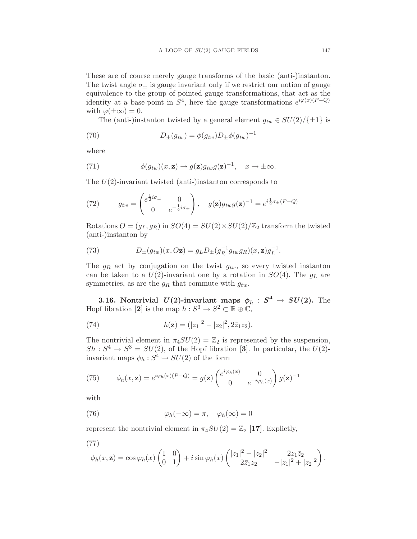These are of course merely gauge transforms of the basic (anti-)instanton. The twist angle  $\sigma_{\pm}$  is gauge invariant only if we restrict our notion of gauge equivalence to the group of pointed gauge transformations, that act as the identity at a base-point in  $S^4$ , here the gauge transformations  $e^{i\varphi(x)(P-Q)}$ with  $\varphi(\pm\infty) = 0$ .

The (anti-)instanton twisted by a general element  $g_{tw} \in SU(2)/\{\pm 1\}$  is

−1

(70) 
$$
D_{\pm}(g_{tw}) = \phi(g_{tw})D_{\pm}\phi(g_{tw})^{-}
$$

where

(71) 
$$
\phi(g_{tw})(x, \mathbf{z}) \to g(\mathbf{z})g_{tw}g(\mathbf{z})^{-1}, \quad x \to \pm \infty.
$$

The  $U(2)$ -invariant twisted (anti-)instanton corresponds to

(72) 
$$
g_{tw} = \begin{pmatrix} e^{\frac{1}{2}i\sigma_{\pm}} & 0\\ 0 & e^{-\frac{1}{2}i\sigma_{\pm}} \end{pmatrix}, \quad g(\mathbf{z})g_{tw}g(\mathbf{z})^{-1} = e^{i\frac{1}{2}\sigma_{\pm}(P-Q)}
$$

Rotations  $O = (g_L, g_R)$  in  $SO(4) = SU(2) \times SU(2)/\mathbb{Z}_2$  transform the twisted (anti-)instanton by

(73) 
$$
D_{\pm}(g_{tw})(x,Q\mathbf{z}) = g_L D_{\pm}(g_R^{-1}g_{tw}g_R)(x,\mathbf{z})g_L^{-1}.
$$

The  $g_R$  act by conjugation on the twist  $g_{tw}$ , so every twisted instanton can be taken to a  $U(2)$ -invariant one by a rotation in  $SO(4)$ . The  $g<sub>L</sub>$  are symmetries, as are the  $g_R$  that commute with  $g_{tw}$ .

<span id="page-16-0"></span>**3.16.** Nontrivial  $U(2)$ -invariant maps  $\phi_h: S^4 \rightarrow SU(2)$ . The Hopf fibration [2] is the map  $h: S^3 \to S^2 \subset \mathbb{R} \oplus \mathbb{C}$ ,

(74) 
$$
h(\mathbf{z}) = (|z_1|^2 - |z_2|^2, 2\bar{z}_1 z_2).
$$

The nontrivial element in  $\pi_4 SU(2) = \mathbb{Z}_2$  is represented by the suspension,  $Sh : S^4 \to S^3 = SU(2)$ , of the Hopf fibration [3]. In particular, the  $U(2)$ invariant maps  $\phi_h : S^4 \mapsto SU(2)$  of the form

(75) 
$$
\phi_h(x, \mathbf{z}) = e^{i\varphi_h(x)(P-Q)} = g(\mathbf{z}) \begin{pmatrix} e^{i\varphi_h(x)} & 0\\ 0 & e^{-i\varphi_h(x)} \end{pmatrix} g(\mathbf{z})^{-1}
$$

with

(76) 
$$
\varphi_h(-\infty) = \pi, \quad \varphi_h(\infty) = 0
$$

represent the nontrivial element in  $\pi_4 SU(2) = \mathbb{Z}_2$  [17]. Explictly,

$$
(77)
$$

$$
\phi_h(x, \mathbf{z}) = \cos \varphi_h(x) \begin{pmatrix} 1 & 0 \\ 0 & 1 \end{pmatrix} + i \sin \varphi_h(x) \begin{pmatrix} |z_1|^2 - |z_2|^2 & 2z_1 \bar{z}_2 \\ 2\bar{z}_1 z_2 & -|z_1|^2 + |z_2|^2 \end{pmatrix}
$$

.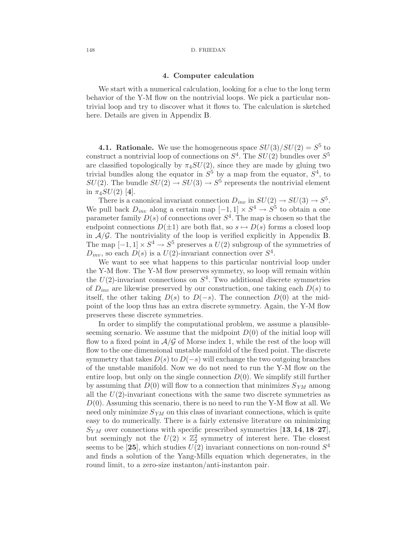## **4. Computer calculation**

<span id="page-17-0"></span>We start with a numerical calculation, looking for a clue to the long term behavior of the Y-M flow on the nontrivial loops. We pick a particular nontrivial loop and try to discover what it flows to. The calculation is sketched here. Details are given in Appendix [B.](#page-66-0)

<span id="page-17-1"></span>**4.1. Rationale.** We use the homogeneous space  $SU(3)/SU(2) = S^5$  to construct a nontrivial loop of connections on  $S<sup>4</sup>$ . The  $SU(2)$  bundles over  $S<sup>5</sup>$ are classified topologically by  $\pi_4SU(2)$ , since they are made by gluing two trivial bundles along the equator in  $S^5$  by a map from the equator,  $S^4$ , to  $SU(2)$ . The bundle  $SU(2) \rightarrow SU(3) \rightarrow S^5$  represents the nontrivial element in  $\pi_4SU(2)$  [4].

There is a canonical invariant connection  $D_{inv}$  in  $SU(2) \rightarrow SU(3) \rightarrow S^5$ . We pull back  $D_{inv}$  along a certain map  $[-1,1] \times S^4 \to S^5$  to obtain a one parameter family  $D(s)$  of connections over  $S<sup>4</sup>$ . The map is chosen so that the endpoint connections  $D(\pm 1)$  are both flat, so  $s \mapsto D(s)$  forms a closed loop in  $\mathcal{A}/\mathcal{G}$ . The nontriviality of the loop is verified explicitly in Appendix [B.](#page-66-0) The map  $[-1, 1] \times S^4 \to S^5$  preserves a  $U(2)$  subgroup of the symmetries of  $D_{inv}$ , so each  $D(s)$  is a  $U(2)$ -invariant connection over  $S<sup>4</sup>$ .

We want to see what happens to this particular nontrivial loop under the Y-M flow. The Y-M flow preserves symmetry, so loop will remain within the  $U(2)$ -invariant connections on  $S<sup>4</sup>$ . Two additional discrete symmetries of  $D_{inv}$  are likewise preserved by our construction, one taking each  $D(s)$  to itself, the other taking  $D(s)$  to  $D(-s)$ . The connection  $D(0)$  at the midpoint of the loop thus has an extra discrete symmetry. Again, the Y-M flow preserves these discrete symmetries.

In order to simplify the computational problem, we assume a plausibleseeming scenario. We assume that the midpoint  $D(0)$  of the initial loop will flow to a fixed point in  $A/G$  of Morse index 1, while the rest of the loop will flow to the one dimensional unstable manifold of the fixed point. The discrete symmetry that takes  $D(s)$  to  $D(-s)$  will exchange the two outgoing branches of the unstable manifold. Now we do not need to run the Y-M flow on the entire loop, but only on the single connection  $D(0)$ . We simplify still further by assuming that  $D(0)$  will flow to a connection that minimizes  $S_{YM}$  among all the  $U(2)$ -invariant conections with the same two discrete symmetries as  $D(0)$ . Assuming this scenario, there is no need to run the Y-M flow at all. We need only minimize  $S_{YM}$  on this class of invariant connections, which is quite easy to do numerically. There is a fairly extensive literature on minimizing  $S_{YM}$  over connections with specific prescribed symmetries  $[13, 14, 18-27]$ , but seemingly not the  $U(2) \times \mathbb{Z}_2^2$  symmetry of interest here. The closest seems to be [25], which studies  $U(2)$  invariant connections on non-round  $S<sup>4</sup>$ and finds a solution of the Yang-Mills equation which degenerates, in the round limit, to a zero-size instanton/anti-instanton pair.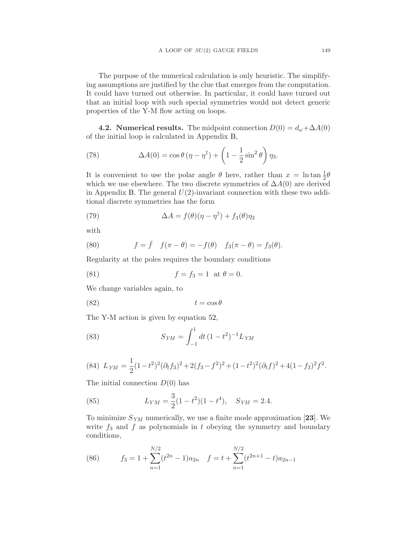The purpose of the numerical calculation is only heuristic. The simplifying assumptions are justified by the clue that emerges from the computation. It could have turned out otherwise. In particular, it could have turned out that an initial loop with such special symmetries would not detect generic properties of the Y-M flow acting on loops.

<span id="page-18-0"></span>**4.2. Numerical results.** The midpoint connection  $D(0) = d_{\omega} + \Delta A(0)$ of the initial loop is calculated in Appendix [B,](#page-66-0)

(78) 
$$
\Delta A(0) = \cos \theta (\eta - \eta^{\dagger}) + \left(1 - \frac{1}{2}\sin^2 \theta\right)\eta_3.
$$

It is convenient to use the polar angle  $\theta$  here, rather than  $x = \ln \tan \frac{1}{2}\theta$ which we use elsewhere. The two discrete symmetries of  $\Delta A(0)$  are derived in Appendix [B.](#page-66-0) The general  $U(2)$ -invariant connection with these two additional discrete symmetries has the form

(79) 
$$
\Delta A = f(\theta)(\eta - \eta^{\dagger}) + f_3(\theta)\eta_3
$$

with

(80) 
$$
f = \bar{f} \quad f(\pi - \theta) = -f(\theta) \quad f_3(\pi - \theta) = f_3(\theta).
$$

Regularity at the poles requires the boundary conditions

(81) 
$$
f = f_3 = 1
$$
 at  $\theta = 0$ .

We change variables again, to

$$
(82) \t\t t = \cos \theta
$$

The Y-M action is given by equation [52,](#page-14-3)

(83) 
$$
S_{YM} = \int_{-1}^{1} dt \, (1 - t^2)^{-1} L_{YM}
$$

(84) 
$$
L_{YM} = \frac{1}{2}(1-t^2)^2(\partial_t f_3)^2 + 2(f_3 - f^2)^2 + (1-t^2)^2(\partial_t f)^2 + 4(1-f_3)^2f^2.
$$

The initial connection  $D(0)$  has

(85) 
$$
L_{YM} = \frac{3}{2}(1 - t^2)(1 - t^4), \quad S_{YM} = 2.4.
$$

To minimize S*YM* numerically, we use a finite mode approximation [**23**]. We write  $f_3$  and  $f$  as polynomials in  $t$  obeying the symmetry and boundary conditions,

(86) 
$$
f_3 = 1 + \sum_{n=1}^{N/2} (t^{2n} - 1)a_{2n} \quad f = t + \sum_{n=1}^{N/2} (t^{2n+1} - t)a_{2n-1}
$$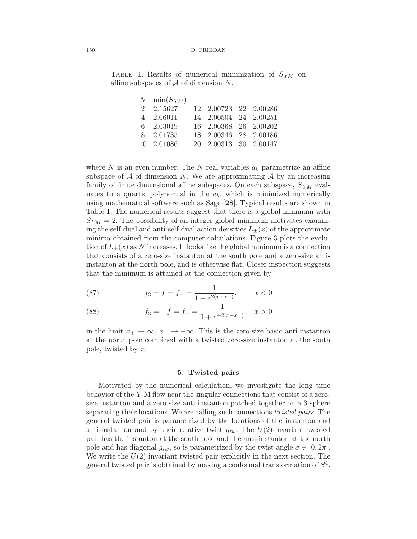<span id="page-19-1"></span>

|                | $N \min(S_{YM})$ |                       |  |
|----------------|------------------|-----------------------|--|
| $\mathfrak{D}$ | 2.15627          | 12 2.00723 22 2.00286 |  |
|                | 4 2.06011        | 14 2.00504 24 2.00251 |  |
|                | 6 2.03019        | 16 2.00368 26 2.00202 |  |
|                | 8 2.01735        | 18 2.00346 28 2.00186 |  |
|                | 10 2.01086       | 20 2.00313 30 2.00147 |  |

Table 1. Results of numerical minimization of S*YM* on affine subspaces of  $A$  of dimension  $N$ .

where N is an even number. The N real variables  $a_k$  parametrize an affine subspace of  $A$  of dimension N. We are approximating  $A$  by an increasing family of finite dimensional affine subspaces. On each subspace, S*YM* evaluates to a quartic polynomial in the  $a_k$ , which is minimized numerically using mathematical software such as Sage [**28**]. Typical results are shown in Table [1.](#page-19-1) The numerical results suggest that there is a global minimum with  $S_{YM} = 2$ . The possibility of an integer global minimum motivates examining the self-dual and anti-self-dual action densities  $L_{\pm}(x)$  of the approximate minima obtained from the computer calculations. Figure [3](#page-20-2) plots the evolution of  $L_{\pm}(x)$  as N increases. It looks like the global minimum is a connection that consists of a zero-size instanton at the south pole and a zero-size antiinstanton at the north pole, and is otherwise flat. Closer inspection suggests that the minimum is attained at the connection given by

(87) 
$$
f_3 = f = f_- = \frac{1}{1 + e^{2(x - x_-)}}, \qquad x < 0
$$

(88) 
$$
f_3 = -f = f_+ = \frac{1}{1 + e^{-2(x - x_+)}}, \quad x > 0
$$

in the limit  $x_+ \to \infty$ ,  $x_- \to -\infty$ . This is the zero-size basic anti-instanton at the north pole combined with a twisted zero-size instanton at the south pole, twisted by  $\pi$ .

#### **5. Twisted pairs**

<span id="page-19-0"></span>Motivated by the numerical calculation, we investigate the long time behavior of the Y-M flow near the singular connections that consist of a zerosize instanton and a zero-size anti-instanton patched together on a 3-sphere separating their locations. We are calling such connections *twisted pairs*. The general twisted pair is parametrized by the locations of the instanton and anti-instanton and by their relative twist  $g_{tw}$ . The  $U(2)$ -invariant twisted pair has the instanton at the south pole and the anti-instanton at the north pole and has diagonal  $g_{tw}$ , so is parametrized by the twist angle  $\sigma \in [0, 2\pi]$ . We write the  $U(2)$ -invariant twisted pair explicitly in the next section. The general twisted pair is obtained by making a conformal transformation of  $S<sup>4</sup>$ .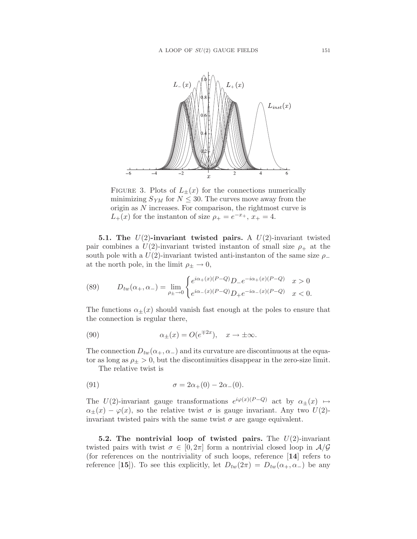

<span id="page-20-2"></span>FIGURE 3. Plots of  $L_{\pm}(x)$  for the connections numerically minimizing  $S_{YM}$  for  $N \leq 30$ . The curves move away from the origin as N increases. For comparison, the rightmost curve is  $L_{+}(x)$  for the instanton of size  $\rho_{+} = e^{-x_{+}}$ ,  $x_{+} = 4$ .

<span id="page-20-0"></span>**5.1. The** U(2)**-invariant twisted pairs.** A U(2)-invariant twisted pair combines a  $U(2)$ -invariant twisted instanton of small size  $\rho_+$  at the south pole with a  $U(2)$ -invariant twisted anti-instanton of the same size  $\rho$ at the north pole, in the limit  $\rho_{\pm} \rightarrow 0$ ,

(89) 
$$
D_{tw}(\alpha_+, \alpha_-) = \lim_{\rho \pm \to 0} \begin{cases} e^{i\alpha_+(x)(P-Q)} D_- e^{-i\alpha_+(x)(P-Q)} & x > 0 \\ e^{i\alpha_-(x)(P-Q)} D_+ e^{-i\alpha_-(x)(P-Q)} & x < 0. \end{cases}
$$

The functions  $\alpha_{\pm}(x)$  should vanish fast enough at the poles to ensure that the connection is regular there,

(90) 
$$
\alpha_{\pm}(x) = O(e^{\mp 2x}), \quad x \to \pm \infty.
$$

The connection  $D_{tw}(\alpha_+, \alpha_-)$  and its curvature are discontinuous at the equator as long as  $\rho_{\pm} > 0$ , but the discontinuities disappear in the zero-size limit. The relative twist is

(91) 
$$
\sigma = 2\alpha_{+}(0) - 2\alpha_{-}(0).
$$

The U(2)-invariant gauge transformations  $e^{i\varphi(x)(P-Q)}$  act by  $\alpha_{+}(x) \mapsto$  $\alpha_{\pm}(x) - \varphi(x)$ , so the relative twist  $\sigma$  is gauge invariant. Any two  $U(2)$ invariant twisted pairs with the same twist  $\sigma$  are gauge equivalent.

<span id="page-20-1"></span>**5.2. The nontrivial loop of twisted pairs.** The U(2)-invariant twisted pairs with twist  $\sigma \in [0, 2\pi]$  form a nontrivial closed loop in  $\mathcal{A}/\mathcal{G}$ (for references on the nontriviality of such loops, reference [**14**] refers to reference [**15**]). To see this explicitly, let  $D_{tw}(2\pi) = D_{tw}(\alpha_+, \alpha_-)$  be any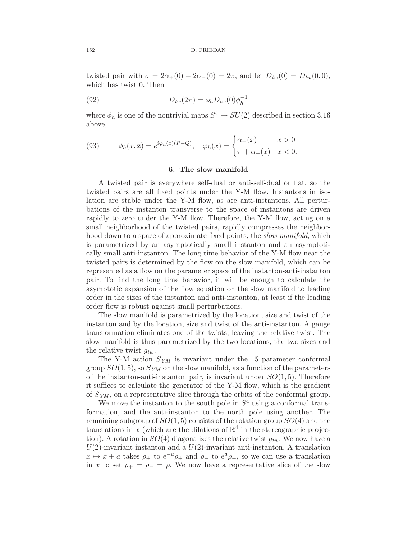twisted pair with  $\sigma = 2\alpha_{+}(0) - 2\alpha_{-}(0) = 2\pi$ , and let  $D_{tw}(0) = D_{tw}(0,0)$ , which has twist 0. Then

(92) 
$$
D_{tw}(2\pi) = \phi_h D_{tw}(0) \phi_h^{-1}
$$

where  $\phi_h$  is one of the nontrivial maps  $S^4 \to SU(2)$  described in section [3.16](#page-16-0) above,

(93) 
$$
\phi_h(x, \mathbf{z}) = e^{i\varphi_h(x)(P-Q)}, \quad \varphi_h(x) = \begin{cases} \alpha_+(x) & x > 0 \\ \pi + \alpha_-(x) & x < 0. \end{cases}
$$

## **6. The slow manifold**

<span id="page-21-0"></span>A twisted pair is everywhere self-dual or anti-self-dual or flat, so the twisted pairs are all fixed points under the Y-M flow. Instantons in isolation are stable under the Y-M flow, as are anti-instantons. All perturbations of the instanton transverse to the space of instantons are driven rapidly to zero under the Y-M flow. Therefore, the Y-M flow, acting on a small neighborhood of the twisted pairs, rapidly compresses the neighborhood down to a space of approximate fixed points, the *slow manifold*, which is parametrized by an asymptotically small instanton and an asymptotically small anti-instanton. The long time behavior of the Y-M flow near the twisted pairs is determined by the flow on the slow manifold, which can be represented as a flow on the parameter space of the instanton-anti-instanton pair. To find the long time behavior, it will be enough to calculate the asymptotic expansion of the flow equation on the slow manifold to leading order in the sizes of the instanton and anti-instanton, at least if the leading order flow is robust against small perturbations.

The slow manifold is parametrized by the location, size and twist of the instanton and by the location, size and twist of the anti-instanton. A gauge transformation eliminates one of the twists, leaving the relative twist. The slow manifold is thus parametrized by the two locations, the two sizes and the relative twist g*tw* .

The Y-M action S*YM* is invariant under the 15 parameter conformal group  $SO(1,5)$ , so  $S_{YM}$  on the slow manifold, as a function of the parameters of the instanton-anti-instanton pair, is invariant under  $SO(1,5)$ . Therefore it suffices to calculate the generator of the Y-M flow, which is the gradient of S*YM* , on a representative slice through the orbits of the conformal group.

We move the instanton to the south pole in  $S<sup>4</sup>$  using a conformal transformation, and the anti-instanton to the north pole using another. The remaining subgroup of  $SO(1,5)$  consists of the rotation group  $SO(4)$  and the translations in x (which are the dilations of  $\mathbb{R}^4$  in the stereographic projection). A rotation in  $SO(4)$  diagonalizes the relative twist  $g_{tw}$ . We now have a  $U(2)$ -invariant instanton and a  $U(2)$ -invariant anti-instanton. A translation  $x \mapsto x + a$  takes  $\rho_+$  to  $e^{-a}\rho_+$  and  $\rho_-$  to  $e^a\rho_-,$  so we can use a translation in x to set  $\rho_+ = \rho_- = \rho$ . We now have a representative slice of the slow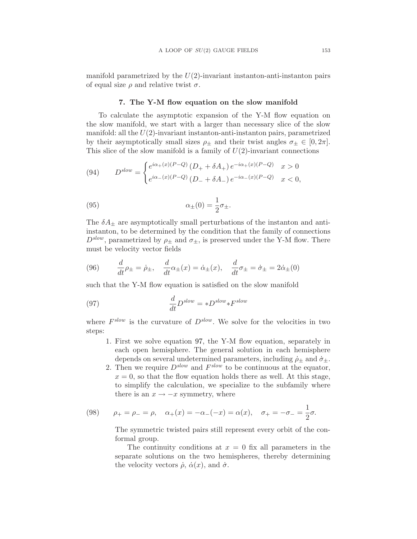<span id="page-22-0"></span>manifold parametrized by the  $U(2)$ -invariant instanton-anti-instanton pairs of equal size  $\rho$  and relative twist  $\sigma$ .

#### **7. The Y-M flow equation on the slow manifold**

To calculate the asymptotic expansion of the Y-M flow equation on the slow manifold, we start with a larger than necessary slice of the slow manifold: all the  $U(2)$ -invariant instanton-anti-instanton pairs, parametrized by their asymptotically small sizes  $\rho_{\pm}$  and their twist angles  $\sigma_{\pm} \in [0, 2\pi]$ . This slice of the slow manifold is a family of  $U(2)$ -invariant connections

(94) 
$$
D^{slow} = \begin{cases} e^{i\alpha_+(x)(P-Q)} (D_+ + \delta A_+) e^{-i\alpha_+(x)(P-Q)} & x > 0 \\ e^{i\alpha_-(x)(P-Q)} (D_- + \delta A_-) e^{-i\alpha_-(x)(P-Q)} & x < 0, \end{cases}
$$

(95) 
$$
\alpha_{\pm}(0) = \frac{1}{2}\sigma_{\pm}.
$$

The  $\delta A_{\pm}$  are asymptotically small perturbations of the instanton and antiinstanton, to be determined by the condition that the family of connections  $D^{slow}$ , parametrized by  $\rho_{\pm}$  and  $\sigma_{\pm}$ , is preserved under the Y-M flow. There must be velocity vector fields

(96) 
$$
\frac{d}{dt}\rho_{\pm} = \dot{\rho}_{\pm}, \quad \frac{d}{dt}\alpha_{\pm}(x) = \dot{\alpha}_{\pm}(x), \quad \frac{d}{dt}\sigma_{\pm} = \dot{\sigma}_{\pm} = 2\dot{\alpha}_{\pm}(0)
$$

such that the Y-M flow equation is satisfied on the slow manifold

(97) 
$$
\frac{d}{dt}D^{slow} = *D^{slow} * F^{slow}
$$

where  $F^{slow}$  is the curvature of  $D^{slow}$ . We solve for the velocities in two steps:

- <span id="page-22-1"></span>1. First we solve equation [97,](#page-22-1) the Y-M flow equation, separately in each open hemisphere. The general solution in each hemisphere depends on several undetermined parameters, including  $\dot{\rho}_{\pm}$  and  $\dot{\sigma}_{\pm}$ .
- 2. Then we require  $D^{slow}$  and  $F^{slow}$  to be continuous at the equator,  $x = 0$ , so that the flow equation holds there as well. At this stage, to simplify the calculation, we specialize to the subfamily where there is an  $x \rightarrow -x$  symmetry, where

(98) 
$$
\rho_+ = \rho_- = \rho, \quad \alpha_+(x) = -\alpha_-(-x) = \alpha(x), \quad \sigma_+ = -\sigma_- = \frac{1}{2}\sigma.
$$

The symmetric twisted pairs still represent every orbit of the conformal group.

The continuity conditions at  $x = 0$  fix all parameters in the separate solutions on the two hemispheres, thereby determining the velocity vectors  $\dot{\rho}$ ,  $\dot{\alpha}(x)$ , and  $\dot{\sigma}$ .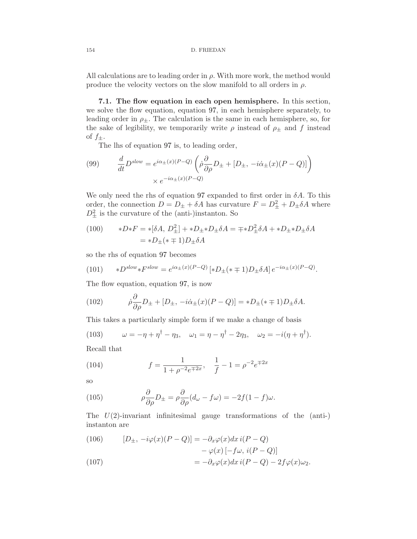All calculations are to leading order in  $\rho$ . With more work, the method would produce the velocity vectors on the slow manifold to all orders in  $\rho$ .

<span id="page-23-0"></span>**7.1. The flow equation in each open hemisphere.** In this section, we solve the flow equation, equation [97,](#page-22-1) in each hemisphere separately, to leading order in  $\rho_{\pm}$ . The calculation is the same in each hemisphere, so, for the sake of legibility, we temporarily write  $\rho$  instead of  $\rho_{\pm}$  and f instead of  $f_{+}$ .

The lhs of equation [97](#page-22-1) is, to leading order,

(99) 
$$
\frac{d}{dt}D^{slow} = e^{i\alpha_{\pm}(x)(P-Q)} \left( \dot{\rho} \frac{\partial}{\partial \rho} D_{\pm} + [D_{\pm}, -i\dot{\alpha}_{\pm}(x)(P-Q)] \right) \times e^{-i\alpha_{\pm}(x)(P-Q)}
$$

We only need the rhs of equation [97](#page-22-1) expanded to first order in  $\delta A$ . To this order, the connection  $D = D_{\pm} + \delta A$  has curvature  $F = D_{\pm}^2 + D_{\pm} \delta A$  where  $D^2_{\pm}$  is the curvature of the (anti-)instanton. So

(100) 
$$
*D*F = *[\delta A, D_{\pm}^2] + *D_{\pm} *D_{\pm}\delta A = \mp *D_{\pm}^2 \delta A + *D_{\pm} *D_{\pm}\delta A
$$

$$
= *D_{\pm}(* \mp 1)D_{\pm}\delta A
$$

so the rhs of equation [97](#page-22-1) becomes

(101) 
$$
*D^{slow} * F^{slow} = e^{i\alpha_{\pm}(x)(P-Q)} [ *D_{\pm}( * \mp 1)D_{\pm} \delta A] e^{-i\alpha_{\pm}(x)(P-Q)}.
$$

The flow equation, equation [97,](#page-22-1) is now

<span id="page-23-1"></span>(102) 
$$
\dot{\rho}\frac{\partial}{\partial \rho}D_{\pm} + [D_{\pm}, -i\dot{\alpha}_{\pm}(x)(P-Q)] = *D_{\pm}(*\mp 1)D_{\pm}\delta A.
$$

This takes a particularly simple form if we make a change of basis

(103) 
$$
\omega = -\eta + \eta^{\dagger} - \eta_3, \quad \omega_1 = \eta - \eta^{\dagger} - 2\eta_3, \quad \omega_2 = -i(\eta + \eta^{\dagger}).
$$

Recall that

(104) 
$$
f = \frac{1}{1 + \rho^{-2} e^{\mp 2x}}, \quad \frac{1}{f} - 1 = \rho^{-2} e^{\mp 2x}
$$

so

(105) 
$$
\rho \frac{\partial}{\partial \rho} D_{\pm} = \rho \frac{\partial}{\partial \rho} (d_{\omega} - f \omega) = -2f(1 - f)\omega.
$$

The  $U(2)$ -invariant infinitesimal gauge transformations of the (anti-) instanton are

(106) 
$$
[D_{\pm}, -i\varphi(x)(P-Q)] = -\partial_x \varphi(x) dx \, i(P-Q) - \varphi(x) \left[ -f\omega, i(P-Q) \right]
$$

<span id="page-23-2"></span>(107) 
$$
= -\partial_x \varphi(x) dx i(P - Q) - 2f\varphi(x)\omega_2.
$$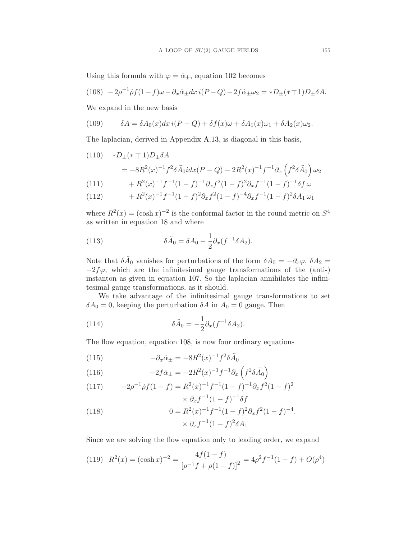Using this formula with  $\varphi = \dot{\alpha}_{\pm}$ , equation [102](#page-23-1) becomes

<span id="page-24-0"></span>(108) 
$$
-2\rho^{-1}\dot{\rho}f(1-f)\omega - \partial_x\dot{\alpha}_{\pm}dx\ i(P-Q) - 2f\dot{\alpha}_{\pm}\omega_2 = *D_{\pm}(*\mp 1)D_{\pm}\delta A.
$$

We expand in the new basis

(109) 
$$
\delta A = \delta A_0(x) dx \, i(P - Q) + \delta f(x) \omega + \delta A_1(x) \omega_1 + \delta A_2(x) \omega_2.
$$

The laplacian, derived in Appendix [A.13,](#page-64-1) is diagonal in this basis,

(110) 
$$
*D_{\pm}(*\mp 1)D_{\pm}\delta A = -8R^2(x)^{-1}f^2\delta \tilde{A}_0 i dx (P - Q) - 2R^2(x)^{-1}f^{-1}\partial_x \left(f^2\delta \tilde{A}_0\right)\omega_2
$$

(111) 
$$
+ R^{2}(x)^{-1} f^{-1} (1-f)^{-1} \partial_{x} f^{2} (1-f)^{2} \partial_{x} f^{-1} (1-f)^{-1} \delta f \omega
$$

(112) 
$$
+ R^2(x)^{-1} f^{-1} (1-f)^2 \partial_x f^2 (1-f)^{-4} \partial_x f^{-1} (1-f)^2 \delta A_1 \omega_1
$$

where  $R^2(x) = (\cosh x)^{-2}$  is the conformal factor in the round metric on  $S^4$ as written in equation [18](#page-10-5) and where

(113) 
$$
\delta \tilde{A}_0 = \delta A_0 - \frac{1}{2} \partial_x (f^{-1} \delta A_2).
$$

Note that  $\delta \tilde{A}_0$  vanishes for perturbations of the form  $\delta A_0 = -\partial_x \varphi$ ,  $\delta A_2 =$  $-2f\varphi$ , which are the infinitesimal gauge transformations of the (anti-) instanton as given in equation [107.](#page-23-2) So the laplacian annihilates the infinitesimal gauge transformations, as it should.

We take advantage of the infinitesimal gauge transformations to set  $\delta A_0 = 0$ , keeping the perturbation  $\delta A$  in  $A_0 = 0$  gauge. Then

<span id="page-24-3"></span>(114) 
$$
\delta \tilde{A}_0 = -\frac{1}{2} \partial_x (f^{-1} \delta A_2).
$$

The flow equation, equation [108,](#page-24-0) is now four ordinary equations

<span id="page-24-1"></span>(115) 
$$
-\partial_x \dot{\alpha}_{\pm} = -8R^2(x)^{-1} f^2 \delta \tilde{A}_0
$$

(116) 
$$
-2f\dot{\alpha}_{\pm} = -2R^2(x)^{-1}f^{-1}\partial_x \left(f^2\delta \tilde{A}_0\right)
$$

(117) 
$$
-2\rho^{-1}\dot{\rho}f(1-f) = R^2(x)^{-1}f^{-1}(1-f)^{-1}\partial_x f^2(1-f)^2
$$

<span id="page-24-2"></span>(118) 
$$
\begin{aligned} \times \partial_x f^{-1} (1-f)^{-1} \delta f \\ 0 &= R^2(x)^{-1} f^{-1} (1-f)^2 \partial_x f^2 (1-f)^{-4} \\ &\times \partial_x f^{-1} (1-f)^2 \delta A_1 \end{aligned}
$$

Since we are solving the flow equation only to leading order, we expand

<span id="page-24-4"></span>(119) 
$$
R^2(x) = (\cosh x)^{-2} = \frac{4f(1-f)}{[\rho^{-1}f + \rho(1-f)]^2} = 4\rho^2 f^{-1}(1-f) + O(\rho^4)
$$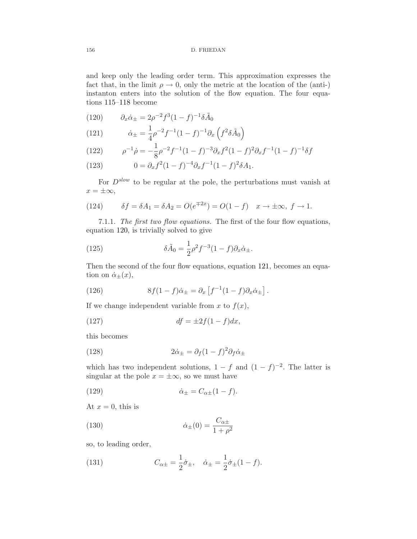and keep only the leading order term. This approximation expresses the fact that, in the limit  $\rho \rightarrow 0$ , only the metric at the location of the (anti-) instanton enters into the solution of the flow equation. The four equations [115–](#page-24-1)[118](#page-24-2) become

<span id="page-25-0"></span>(120) 
$$
\partial_x \dot{\alpha}_{\pm} = 2\rho^{-2} f^3 (1 - f)^{-1} \delta \tilde{A}_0
$$

<span id="page-25-1"></span>(121) 
$$
\dot{\alpha}_{\pm} = \frac{1}{4} \rho^{-2} f^{-1} (1 - f)^{-1} \partial_x \left( f^2 \delta \tilde{A}_0 \right)
$$

<span id="page-25-4"></span>(122) 
$$
\rho^{-1}\dot{\rho} = -\frac{1}{8}\rho^{-2}f^{-1}(1-f)^{-3}\partial_x f^2(1-f)^2\partial_x f^{-1}(1-f)^{-1}\delta f
$$

<span id="page-25-5"></span>(123) 
$$
0 = \partial_x f^2 (1 - f)^{-4} \partial_x f^{-1} (1 - f)^2 \delta A_1.
$$

For  $D^{slow}$  to be regular at the pole, the perturbations must vanish at  $x = \pm \infty$ ,

(124) 
$$
\delta f = \delta A_1 = \delta A_2 = O(e^{\mp 2x}) = O(1 - f)
$$
  $x \to \pm \infty$ ,  $f \to 1$ .

7.1.1. *The first two flow equations.* The first of the four flow equations, equation [120,](#page-25-0) is trivially solved to give

<span id="page-25-3"></span>(125) 
$$
\delta \tilde{A}_0 = \frac{1}{2} \rho^2 f^{-3} (1 - f) \partial_x \dot{\alpha}_{\pm}.
$$

Then the second of the four flow equations, equation [121,](#page-25-1) becomes an equation on  $\dot{\alpha}_{\pm}(x)$ ,

(126) 
$$
8f(1-f)\dot{\alpha}_{\pm} = \partial_x \left[ f^{-1}(1-f)\partial_x \dot{\alpha}_{\pm} \right].
$$

If we change independent variable from x to  $f(x)$ ,

$$
(127) \t df = \pm 2f(1-f)dx,
$$

this becomes

(128) 
$$
2\dot{\alpha}_{\pm} = \partial_f (1-f)^2 \partial_f \dot{\alpha}_{\pm}
$$

which has two independent solutions,  $1 - f$  and  $(1 - f)^{-2}$ . The latter is singular at the pole  $x = \pm \infty$ , so we must have

(129) 
$$
\dot{\alpha}_{\pm} = C_{\alpha \pm} (1 - f).
$$

At  $x = 0$ , this is

(130) 
$$
\dot{\alpha}_{\pm}(0) = \frac{C_{\alpha\pm}}{1+\rho^2}
$$

so, to leading order,

<span id="page-25-2"></span>(131) 
$$
C_{\alpha \pm} = \frac{1}{2}\dot{\sigma}_{\pm}, \quad \dot{\alpha}_{\pm} = \frac{1}{2}\dot{\sigma}_{\pm}(1-f).
$$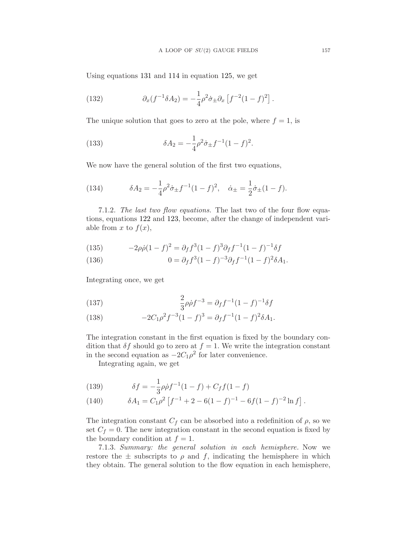Using equations [131](#page-25-2) and [114](#page-24-3) in equation [125,](#page-25-3) we get

(132) 
$$
\partial_x (f^{-1} \delta A_2) = -\frac{1}{4} \rho^2 \dot{\sigma}_\pm \partial_x \left[ f^{-2} (1-f)^2 \right].
$$

The unique solution that goes to zero at the pole, where  $f = 1$ , is

(133) 
$$
\delta A_2 = -\frac{1}{4}\rho^2 \dot{\sigma}_\pm f^{-1}(1-f)^2.
$$

We now have the general solution of the first two equations,

(134) 
$$
\delta A_2 = -\frac{1}{4}\rho^2 \dot{\sigma}_\pm f^{-1} (1-f)^2, \quad \dot{\alpha}_\pm = \frac{1}{2}\dot{\sigma}_\pm (1-f).
$$

7.1.2. *The last two flow equations.* The last two of the four flow equations, equations [122](#page-25-4) and [123,](#page-25-5) become, after the change of independent variable from x to  $f(x)$ ,

(135) 
$$
-2\rho\dot{\rho}(1-f)^2 = \partial_f f^3 (1-f)^3 \partial_f f^{-1} (1-f)^{-1} \delta f
$$

(136) 
$$
0 = \partial_f f^3 (1 - f)^{-3} \partial_f f^{-1} (1 - f)^2 \delta A_1.
$$

Integrating once, we get

(137) 
$$
\frac{2}{3}\rho \dot{\rho} f^{-3} = \partial_f f^{-1} (1 - f)^{-1} \delta f
$$

(138) 
$$
-2C_1\rho^2f^{-3}(1-f)^3 = \partial_f f^{-1}(1-f)^2\delta A_1.
$$

The integration constant in the first equation is fixed by the boundary condition that  $\delta f$  should go to zero at  $f = 1$ . We write the integration constant in the second equation as  $-2C_1\rho^2$  for later convenience.

Integrating again, we get

(139) 
$$
\delta f = -\frac{1}{3}\rho \dot{\rho} f^{-1} (1-f) + C_f f (1-f)
$$

(140) 
$$
\delta A_1 = C_1 \rho^2 \left[ f^{-1} + 2 - 6(1 - f)^{-1} - 6f(1 - f)^{-2} \ln f \right].
$$

The integration constant  $C_f$  can be absorbed into a redefinition of  $\rho$ , so we set  $C_f = 0$ . The new integration constant in the second equation is fixed by the boundary condition at  $f = 1$ .

7.1.3. *Summary: the general solution in each hemisphere.* Now we restore the  $\pm$  subscripts to  $\rho$  and f, indicating the hemisphere in which they obtain. The general solution to the flow equation in each hemisphere,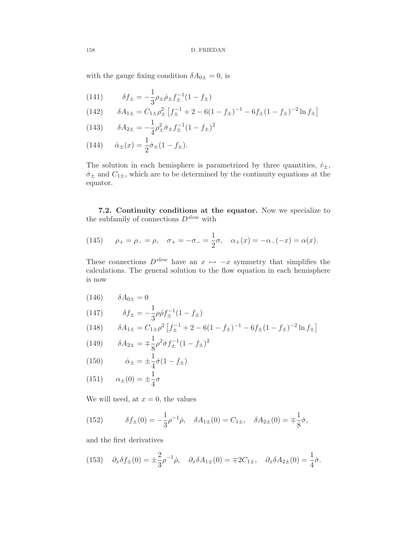with the gauge fixing condition  $\delta A_{0\pm} = 0$ , is

(141) 
$$
\delta f_{\pm} = -\frac{1}{3} \rho_{\pm} \dot{\rho}_{\pm} f_{\pm}^{-1} (1 - f_{\pm})
$$

(142) 
$$
\delta A_{1\pm} = C_{1\pm} \rho_{\pm}^2 \left[ f_{\pm}^{-1} + 2 - 6(1 - f_{\pm})^{-1} - 6f_{\pm} (1 - f_{\pm})^{-2} \ln f_{\pm} \right]
$$

(143) 
$$
\delta A_{2\pm} = -\frac{1}{4}\rho_{\pm}^2 \dot{\sigma}_{\pm} f_{\pm}^{-1} (1 - f_{\pm})^2
$$

(144)  $\dot{\alpha}_{\pm}(x) = \frac{1}{2}\dot{\sigma}_{\pm}(1 - f_{\pm}).$ 

The solution in each hemisphere is parametrized by three quantities,  $\dot{r}_{\pm}$ ,  $\dot{\sigma}_{\pm}$  and  $C_{1\pm}$ , which are to be determined by the continuity equations at the equator.

<span id="page-27-0"></span>**7.2. Continuity conditions at the equator.** Now we specialize to the subfamily of connections D*slow* with

(145) 
$$
\rho_+ = \rho_- = \rho, \quad \sigma_+ = -\sigma_- = \frac{1}{2}\sigma, \quad \alpha_+(x) = -\alpha_-(-x) = \alpha(x).
$$

These connections  $D^{slow}$  have an  $x \mapsto -x$  symmetry that simplifies the calculations. The general solution to the flow equation in each hemisphere is now

(146)  $\delta A_{0\pm} = 0$ 

(147) 
$$
\delta f_{\pm} = -\frac{1}{3} \rho \dot{\rho} f_{\pm}^{-1} (1 - f_{\pm})
$$

(148) 
$$
\delta A_{1\pm} = C_{1\pm} \rho^2 \left[ f_{\pm}^{-1} + 2 - 6(1 - f_{\pm})^{-1} - 6f_{\pm} (1 - f_{\pm})^{-2} \ln f_{\pm} \right]
$$

(149) 
$$
\delta A_{2\pm} = \mp \frac{1}{8} \rho^2 \dot{\sigma} f_{\pm}^{-1} (1 - f_{\pm})^2
$$

(150) 
$$
\dot{\alpha}_{\pm} = \pm \frac{1}{4} \dot{\sigma} (1 - f_{\pm})
$$

$$
(151)\qquad \alpha_{\pm}(0) = \pm \frac{1}{4}\sigma
$$

We will need, at  $x = 0$ , the values

<span id="page-27-1"></span>(152) 
$$
\delta f_{\pm}(0) = -\frac{1}{3}\rho^{-1}\dot{\rho}, \quad \delta A_{1\pm}(0) = C_{1\pm}, \quad \delta A_{2\pm}(0) = \mp \frac{1}{8}\dot{\sigma},
$$

and the first derivatives

<span id="page-27-2"></span>(153) 
$$
\partial_x \delta f_{\pm}(0) = \pm \frac{2}{3} \rho^{-1} \dot{\rho}, \quad \partial_x \delta A_{1\pm}(0) = \mp 2C_{1\pm}, \quad \partial_x \delta A_{2\pm}(0) = \frac{1}{4} \dot{\sigma}.
$$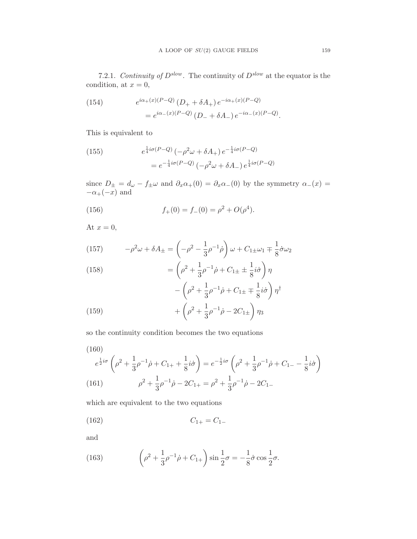7.2.1. *Continuity of* D*slow .* The continuity of D*slow* at the equator is the condition, at  $x = 0$ ,

(154) 
$$
e^{i\alpha_{+}(x)(P-Q)} (D_{+} + \delta A_{+}) e^{-i\alpha_{+}(x)(P-Q)} = e^{i\alpha_{-}(x)(P-Q)} (D_{-} + \delta A_{-}) e^{-i\alpha_{-}(x)(P-Q)}.
$$

This is equivalent to

(155) 
$$
e^{\frac{1}{4}i\sigma(P-Q)}\left(-\rho^2\omega+\delta A_+\right)e^{-\frac{1}{4}i\sigma(P-Q)}\\=e^{-\frac{1}{4}i\sigma(P-Q)}\left(-\rho^2\omega+\delta A_-\right)e^{\frac{1}{4}i\sigma(P-Q)}\end{aligned}
$$

since  $D_{\pm} = d_{\omega} - f_{\pm} \omega$  and  $\partial_x \alpha_{+}(0) = \partial_x \alpha_{-}(0)$  by the symmetry  $\alpha_{-}(x) =$  $-\alpha_{+}(-x)$  and

(156) 
$$
f_{+}(0) = f_{-}(0) = \rho^{2} + O(\rho^{4}).
$$

At  $x = 0$ ,

(157) 
$$
-\rho^2 \omega + \delta A_{\pm} = \left(-\rho^2 - \frac{1}{3}\rho^{-1}\dot{\rho}\right)\omega + C_{1\pm}\omega_1 \mp \frac{1}{8}\dot{\sigma}\omega_2
$$

(158) 
$$
= \left(\rho^2 + \frac{1}{3}\rho^{-1}\dot{\rho} + C_{1\pm} \pm \frac{1}{8}i\dot{\sigma}\right)\eta
$$

(159) 
$$
- \left( \rho^2 + \frac{1}{3} \rho^{-1} \dot{\rho} + C_{1\pm} \mp \frac{1}{8} i \dot{\sigma} \right) \eta^{\dagger} + \left( \rho^2 + \frac{1}{3} \rho^{-1} \dot{\rho} - 2C_{1\pm} \right) \eta_3
$$

so the continuity condition becomes the two equations

(160)  
\n
$$
e^{\frac{1}{2}i\sigma} \left( \rho^2 + \frac{1}{3} \rho^{-1} \dot{\rho} + C_{1+} + \frac{1}{8} i \dot{\sigma} \right) = e^{-\frac{1}{2}i\sigma} \left( \rho^2 + \frac{1}{3} \rho^{-1} \dot{\rho} + C_{1-} - \frac{1}{8} i \dot{\sigma} \right)
$$
\n(161)  
\n
$$
\rho^2 + \frac{1}{3} \rho^{-1} \dot{\rho} - 2C_{1+} = \rho^2 + \frac{1}{3} \rho^{-1} \dot{\rho} - 2C_{1-}
$$

which are equivalent to the two equations

$$
(162)\t\t C1+ = C1-
$$

and

<span id="page-28-0"></span>(163) 
$$
\left(\rho^2 + \frac{1}{3}\rho^{-1}\dot{\rho} + C_{1+}\right)\sin\frac{1}{2}\sigma = -\frac{1}{8}\dot{\sigma}\cos\frac{1}{2}\sigma.
$$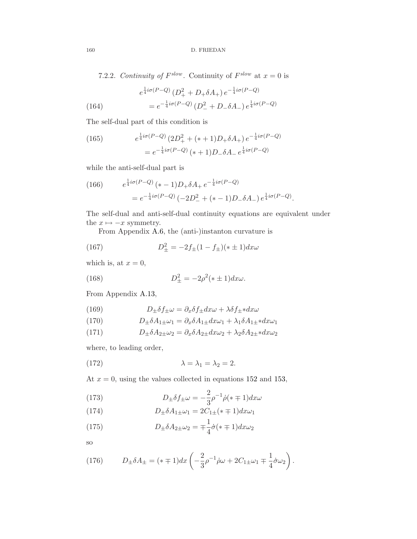7.2.2. *Continuity of*  $F^{slow}$ . Continuity of  $F^{slow}$  at  $x = 0$  is

(164) 
$$
e^{\frac{1}{4}i\sigma(P-Q)} (D_+^2 + D_+\delta A_+) e^{-\frac{1}{4}i\sigma(P-Q)} = e^{-\frac{1}{4}i\sigma(P-Q)} (D_-^2 + D_-\delta A_-) e^{\frac{1}{4}i\sigma(P-Q)}
$$

The self-dual part of this condition is

<span id="page-29-0"></span>(165) 
$$
e^{\frac{1}{4}i\sigma(P-Q)} (2D_+^2 + (*+1)D_+\delta A_+) e^{-\frac{1}{4}i\sigma(P-Q)} = e^{-\frac{1}{4}i\sigma(P-Q)} (*+1)D_-\delta A_- e^{\frac{1}{4}i\sigma(P-Q)}
$$

while the anti-self-dual part is

<span id="page-29-1"></span>(166) 
$$
e^{\frac{1}{4}i\sigma(P-Q)}(*-1)D_+\delta A_+e^{-\frac{1}{4}i\sigma(P-Q)}= e^{-\frac{1}{4}i\sigma(P-Q)}(-2D_-^2 + (*-1)D_-\delta A_-)e^{\frac{1}{4}i\sigma(P-Q)}.
$$

The self-dual and anti-self-dual continuity equations are equivalent under the  $x \mapsto -x$  symmetry.

From Appendix [A.6,](#page-61-1) the (anti-)instanton curvature is

(167) 
$$
D_{\pm}^{2} = -2f_{\pm}(1 - f_{\pm})(* \pm 1)dx
$$

which is, at  $x = 0$ ,

(168) 
$$
D_{\pm}^{2} = -2\rho^{2}(* \pm 1)dx\omega.
$$

From Appendix [A.13,](#page-64-1)

(169) 
$$
D_{\pm}\delta f_{\pm}\omega = \partial_x \delta f_{\pm} dx \omega + \lambda \delta f_{\pm} * dx \omega
$$

(170) 
$$
D_{\pm}\delta A_{1\pm}\omega_1 = \partial_x \delta A_{1\pm} dx \omega_1 + \lambda_1 \delta A_{1\pm} * dx \omega_1
$$

(171) 
$$
D_{\pm}\delta A_{2\pm}\omega_2 = \partial_x \delta A_{2\pm} dx \omega_2 + \lambda_2 \delta A_{2\pm} * dx \omega_2
$$

where, to leading order,

(172) 
$$
\lambda = \lambda_1 = \lambda_2 = 2.
$$

At  $x = 0$ , using the values collected in equations [152](#page-27-1) and [153,](#page-27-2)

(173) 
$$
D_{\pm}\delta f_{\pm}\omega = -\frac{2}{3}\rho^{-1}\dot{\rho}(*\mp 1)dx\omega
$$

(174) 
$$
D_{\pm}\delta A_{1\pm}\omega_1 = 2C_{1\pm}(*\mp 1)dx\omega_1
$$

(175) 
$$
D_{\pm}\delta A_{2\pm}\omega_2 = \mp \frac{1}{4}\dot{\sigma}(*\mp 1)dx\omega_2
$$

so

(176) 
$$
D_{\pm}\delta A_{\pm} = (*\mp 1)dx\left(-\frac{2}{3}\rho^{-1}\dot{\rho}\omega + 2C_{1\pm}\omega_1 \mp \frac{1}{4}\dot{\sigma}\omega_2\right).
$$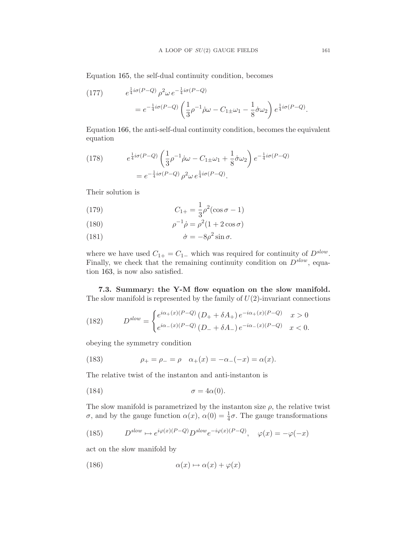Equation [165,](#page-29-0) the self-dual continuity condition, becomes

(177) 
$$
e^{\frac{1}{4}i\sigma(P-Q)}\rho^2\omega e^{-\frac{1}{4}i\sigma(P-Q)} = e^{-\frac{1}{4}i\sigma(P-Q)}\left(\frac{1}{3}\rho^{-1}\dot{\rho}\omega - C_{1\pm}\omega_1 - \frac{1}{8}\dot{\sigma}\omega_2\right)e^{\frac{1}{4}i\sigma(P-Q)}.
$$

Equation [166,](#page-29-1) the anti-self-dual continuity condition, becomes the equivalent equation

(178) 
$$
e^{\frac{1}{4}i\sigma(P-Q)} \left( \frac{1}{3} \rho^{-1} \dot{\rho} \omega - C_{1\pm} \omega_1 + \frac{1}{8} \dot{\sigma} \omega_2 \right) e^{-\frac{1}{4}i\sigma(P-Q)} = e^{-\frac{1}{4}i\sigma(P-Q)} \rho^2 \omega e^{\frac{1}{4}i\sigma(P-Q)}.
$$

Their solution is

(179) 
$$
C_{1+} = \frac{1}{3}\rho^2(\cos\sigma - 1)
$$

(180) 
$$
\rho^{-1} \dot{\rho} = \rho^2 (1 + 2 \cos \sigma)
$$

(181) 
$$
\dot{\sigma} = -8\rho^2 \sin \sigma.
$$

where we have used  $C_{1+} = C_{1-}$  which was required for continuity of  $D^{slow}$ . Finally, we check that the remaining continuity condition on  $D^{slow}$ , equation [163,](#page-28-0) is now also satisfied.

<span id="page-30-0"></span>**7.3. Summary: the Y-M flow equation on the slow manifold.** The slow manifold is represented by the family of  $U(2)$ -invariant connections

(182) 
$$
D^{slow} = \begin{cases} e^{i\alpha_+(x)(P-Q)} (D_+ + \delta A_+) e^{-i\alpha_+(x)(P-Q)} & x > 0 \\ e^{i\alpha_-(x)(P-Q)} (D_- + \delta A_-) e^{-i\alpha_-(x)(P-Q)} & x < 0. \end{cases}
$$

obeying the symmetry condition

(183) 
$$
\rho_+ = \rho_- = \rho \quad \alpha_+(x) = -\alpha_-(-x) = \alpha(x).
$$

The relative twist of the instanton and anti-instanton is

$$
\sigma = 4\alpha(0).
$$

The slow manifold is parametrized by the instanton size  $\rho$ , the relative twist σ, and by the gauge function  $\alpha(x)$ ,  $\alpha(0) = \frac{1}{4}$ σ. The gauge transformations

(185) 
$$
D^{slow} \mapsto e^{i\varphi(x)(P-Q)} D^{slow} e^{-i\varphi(x)(P-Q)}, \quad \varphi(x) = -\varphi(-x)
$$

act on the slow manifold by

(186) 
$$
\alpha(x) \mapsto \alpha(x) + \varphi(x)
$$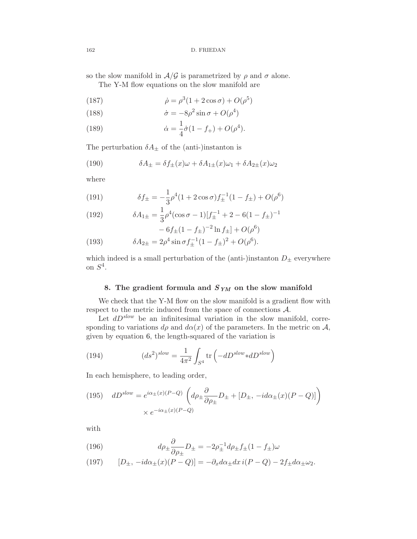so the slow manifold in  $A/G$  is parametrized by  $\rho$  and  $\sigma$  alone.

The Y-M flow equations on the slow manifold are

(187) 
$$
\dot{\rho} = \rho^3 (1 + 2 \cos \sigma) + O(\rho^5)
$$

(188) 
$$
\dot{\sigma} = -8\rho^2 \sin \sigma + O(\rho^4)
$$

(189) 
$$
\dot{\alpha} = \frac{1}{4}\dot{\sigma}(1 - f_+) + O(\rho^4).
$$

The perturbation  $\delta A_{\pm}$  of the (anti-)instanton is

(190) 
$$
\delta A_{\pm} = \delta f_{\pm}(x)\omega + \delta A_{1\pm}(x)\omega_1 + \delta A_{2\pm}(x)\omega_2
$$

where

(191) 
$$
\delta f_{\pm} = -\frac{1}{3}\rho^4 (1 + 2\cos\sigma) f_{\pm}^{-1} (1 - f_{\pm}) + O(\rho^6)
$$

<span id="page-31-1"></span>(192) 
$$
\delta A_{1\pm} = \frac{1}{3} \rho^4 (\cos \sigma - 1) [f_{\pm}^{-1} + 2 - 6(1 - f_{\pm})^{-1}]
$$

<span id="page-31-2"></span>(193) 
$$
-6f_{\pm}(1-f_{\pm})^{-2}\ln f_{\pm}]+O(\rho^{6})
$$

$$
\delta A_{2\pm}=2\rho^{4}\sin\sigma f_{\pm}^{-1}(1-f_{\pm})^{2}+O(\rho^{6}).
$$

which indeed is a small perturbation of the (anti-)instanton 
$$
D_{\pm}
$$
 everywhere on  $S^4$ .

# <span id="page-31-0"></span>**8. The gradient formula and** *S YM* **on the slow manifold**

We check that the Y-M flow on the slow manifold is a gradient flow with respect to the metric induced from the space of connections A.

Let  $dD^{slow}$  be an infinitesimal variation in the slow manifold, corresponding to variations  $d\rho$  and  $d\alpha(x)$  of the parameters. In the metric on A, given by equation [6,](#page-4-0) the length-squared of the variation is

(194) 
$$
(ds^2)^{slow} = \frac{1}{4\pi^2} \int_{S^4} tr\left(-dD^{slow}*dD^{slow}\right)
$$

In each hemisphere, to leading order,

(195) 
$$
dD^{slow} = e^{i\alpha_{\pm}(x)(P-Q)} \left( d\rho_{\pm} \frac{\partial}{\partial \rho_{\pm}} D_{\pm} + [D_{\pm}, -id\alpha_{\pm}(x)(P-Q)] \right) \times e^{-i\alpha_{\pm}(x)(P-Q)}
$$

with

(196) 
$$
d\rho_{\pm} \frac{\partial}{\partial \rho_{\pm}} D_{\pm} = -2\rho_{\pm}^{-1} d\rho_{\pm} f_{\pm} (1 - f_{\pm}) \omega
$$

(197) 
$$
[D_{\pm}, -id\alpha_{\pm}(x)(P-Q)] = -\partial_x d\alpha_{\pm} dx \, i(P-Q) - 2f_{\pm} d\alpha_{\pm} \omega_2.
$$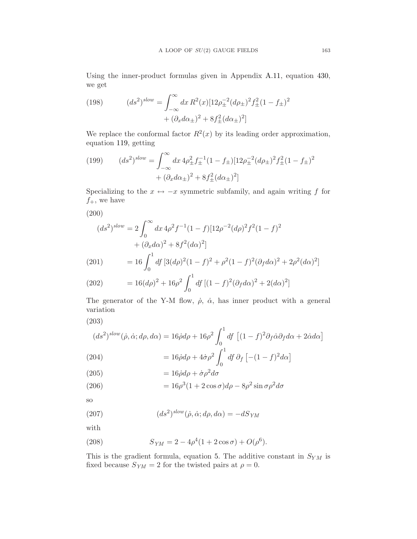Using the inner-product formulas given in Appendix [A.11,](#page-63-1) equation [430,](#page-63-2) we get

(198) 
$$
(ds^2)^{slow} = \int_{-\infty}^{\infty} dx R^2(x) [12\rho_{\pm}^{-2} (d\rho_{\pm})^2 f_{\pm}^2 (1 - f_{\pm})^2 + (\partial_x d\alpha_{\pm})^2 + 8f_{\pm}^2 (d\alpha_{\pm})^2]
$$

We replace the conformal factor  $R^2(x)$  by its leading order approximation, equation [119,](#page-24-4) getting

(199) 
$$
(ds^2)^{slow} = \int_{-\infty}^{\infty} dx \, 4\rho_{\pm}^2 f_{\pm}^{-1} (1 - f_{\pm}) [12\rho_{\pm}^{-2} (d\rho_{\pm})^2 f_{\pm}^2 (1 - f_{\pm})^2 + (\partial_x d\alpha_{\pm})^2 + 8f_{\pm}^2 (d\alpha_{\pm})^2]
$$

Specializing to the  $x \leftrightarrow -x$  symmetric subfamily, and again writing f for  $f_+$ , we have

(200)

$$
(ds^2)^{slow} = 2 \int_0^\infty dx \, 4\rho^2 f^{-1} (1 - f) [12\rho^{-2} (d\rho)^2 f^2 (1 - f)^2
$$

$$
+ (\partial_x d\alpha)^2 + 8f^2 (d\alpha)^2]
$$

$$
(201) = 16 \int_0^1 df \, [3(d\rho)^2 (1 - f)^2 + \rho^2 (1 - f)^2 (\partial_f d\alpha)^2 + 2\rho^2 (d\alpha)^2]
$$

<span id="page-32-0"></span>(202) = 
$$
16(d\rho)^2 + 16\rho^2 \int_0^1 df [(1 - f)^2 (\partial_f d\alpha)^2 + 2(d\alpha)^2]
$$

The generator of the Y-M flow,  $\dot{\rho}$ ,  $\dot{\alpha}$ , has inner product with a general variation

(203)

$$
(ds^2)^{slow}(\dot{\rho}, \dot{\alpha}; d\rho, d\alpha) = 16\dot{\rho}d\rho + 16\rho^2 \int_0^1 df \left[ (1-f)^2 \partial_f \dot{\alpha} \partial_f d\alpha + 2\dot{\alpha} d\alpha \right]
$$
  
(204)  

$$
= 16\dot{\rho}d\rho + 4\dot{\sigma}\rho^2 \int_0^1 df \partial_f \left[ -(1-f)^2 d\alpha \right]
$$

$$
(205) \qquad \qquad = 16\dot{\rho}d\rho + \dot{\sigma}\rho^2d\sigma
$$

(206) 
$$
= 16\rho^3(1+2\cos\sigma)d\rho - 8\rho^2\sin\sigma\rho^2d\sigma
$$

so

(207) 
$$
(ds^2)^{slow}(\dot{\rho}, \dot{\alpha}; d\rho, d\alpha) = -dS_{YM}
$$

with

(208) 
$$
S_{YM} = 2 - 4\rho^4 (1 + 2\cos\sigma) + O(\rho^6).
$$

This is the gradient formula, equation [5.](#page-4-1) The additive constant in  $S_{YM}$  is fixed because  $S_{YM} = 2$  for the twisted pairs at  $\rho = 0$ .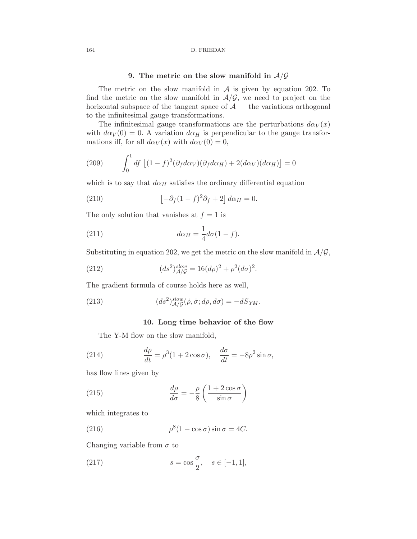#### <span id="page-33-0"></span>164 D. FRIEDAN

# **9. The metric on the slow manifold in** A/G

The metric on the slow manifold in  $A$  is given by equation [202.](#page-32-0) To find the metric on the slow manifold in  $\mathcal{A}/\mathcal{G}$ , we need to project on the horizontal subspace of the tangent space of  $A$  — the variations orthogonal to the infinitesimal gauge transformations.

The infinitesimal gauge transformations are the perturbations  $d\alpha_V(x)$ with  $d\alpha_V(0) = 0$ . A variation  $d\alpha_H$  is perpendicular to the gauge transformations iff, for all  $d\alpha_V(x)$  with  $d\alpha_V(0) = 0$ ,

(209) 
$$
\int_0^1 df \left[ (1-f)^2 (\partial_f d\alpha_V) (\partial_f d\alpha_H) + 2 (d\alpha_V) (d\alpha_H) \right] = 0
$$

which is to say that  $d\alpha_H$  satisfies the ordinary differential equation

(210) 
$$
\left[-\partial_f(1-f)^2\partial_f+2\right]d\alpha_H=0.
$$

The only solution that vanishes at  $f = 1$  is

(211) 
$$
d\alpha_H = \frac{1}{4}d\sigma(1-f).
$$

Substituting in equation [202,](#page-32-0) we get the metric on the slow manifold in  $\mathcal{A}/\mathcal{G}$ ,

(212) 
$$
(ds^2)^{slow}_{A/G} = 16(d\rho)^2 + \rho^2(d\sigma)^2.
$$

The gradient formula of course holds here as well,

<span id="page-33-1"></span>(213) 
$$
(ds^2)^{slow}_{A/G}(\dot{\rho}, \dot{\sigma}; d\rho, d\sigma) = -dS_{YM}.
$$

## **10. Long time behavior of the flow**

The Y-M flow on the slow manifold,

(214) 
$$
\frac{d\rho}{dt} = \rho^3 (1 + 2\cos\sigma), \quad \frac{d\sigma}{dt} = -8\rho^2 \sin\sigma,
$$

has flow lines given by

(215) 
$$
\frac{d\rho}{d\sigma} = -\frac{\rho}{8} \left( \frac{1 + 2\cos\sigma}{\sin\sigma} \right)
$$

which integrates to

(216) 
$$
\rho^8 (1 - \cos \sigma) \sin \sigma = 4C.
$$

Changing variable from  $\sigma$  to

(217) 
$$
s = \cos \frac{\sigma}{2}, \quad s \in [-1, 1],
$$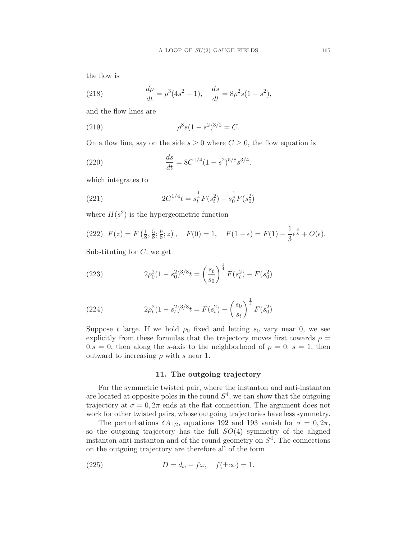the flow is

(218) 
$$
\frac{d\rho}{dt} = \rho^3 (4s^2 - 1), \quad \frac{ds}{dt} = 8\rho^2 s (1 - s^2),
$$

and the flow lines are

(219) 
$$
\rho^8 s (1 - s^2)^{3/2} = C.
$$

On a flow line, say on the side  $s \geq 0$  where  $C \geq 0$ , the flow equation is

(220) 
$$
\frac{ds}{dt} = 8C^{1/4}(1-s^2)^{5/8}s^{3/4}.
$$

which integrates to

(221) 
$$
2C^{1/4}t = s_t^{\frac{1}{4}}F(s_t^2) - s_0^{\frac{1}{4}}F(s_0^2)
$$

where  $H(s^2)$  is the hypergeometric function

(222) 
$$
F(z) = F\left(\frac{1}{8}, \frac{5}{8}; \frac{9}{8}; z\right), \quad F(0) = 1, \quad F(1 - \epsilon) = F(1) - \frac{1}{3}\epsilon^{\frac{3}{8}} + O(\epsilon).
$$

Substituting for  $C$ , we get

(223) 
$$
2\rho_0^2(1-s_0^2)^{3/8}t = \left(\frac{s_t}{s_0}\right)^{\frac{1}{4}}F(s_t^2) - F(s_0^2)
$$

(224) 
$$
2\rho_t^2 (1 - s_t^2)^{3/8} t = F(s_t^2) - \left(\frac{s_0}{s_t}\right)^{\frac{1}{4}} F(s_0^2)
$$

Suppose t large. If we hold  $\rho_0$  fixed and letting  $s_0$  vary near 0, we see explicitly from these formulas that the trajectory moves first towards  $\rho =$  $0,s = 0$ , then along the s-axis to the neighborhood of  $\rho = 0$ ,  $s = 1$ , then outward to increasing  $\rho$  with s near 1.

## **11. The outgoing trajectory**

<span id="page-34-0"></span>For the symmetric twisted pair, where the instanton and anti-instanton are located at opposite poles in the round  $S<sup>4</sup>$ , we can show that the outgoing trajectory at  $\sigma = 0.2\pi$  ends at the flat connection. The argument does not work for other twisted pairs, whose outgoing trajectories have less symmetry.

The perturbations  $\delta A_{1,2}$ , equations [192](#page-31-1) and [193](#page-31-2) vanish for  $\sigma = 0, 2\pi$ , so the outgoing trajectory has the full  $SO(4)$  symmetry of the aligned instanton-anti-instanton and of the round geometry on  $S<sup>4</sup>$ . The connections on the outgoing trajectory are therefore all of the form

(225) 
$$
D = d_{\omega} - f\omega, \quad f(\pm \infty) = 1.
$$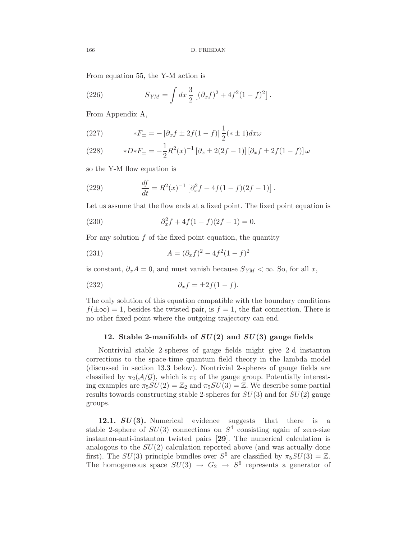From equation [55,](#page-14-4) the Y-M action is

(226) 
$$
S_{YM} = \int dx \frac{3}{2} [(\partial_x f)^2 + 4f^2(1 - f)^2].
$$

From Appendix [A,](#page-59-1)

(227) 
$$
*F_{\pm} = -[\partial_x f \pm 2f(1-f)] \frac{1}{2} (* \pm 1) dx \omega
$$

(228) 
$$
*D*F_{\pm} = -\frac{1}{2}R^2(x)^{-1} \left[\partial_x \pm 2(2f-1)\right] \left[\partial_x f \pm 2f(1-f)\right] \omega
$$

so the Y-M flow equation is

(229) 
$$
\frac{df}{dt} = R^2(x)^{-1} \left[ \partial_x^2 f + 4f(1-f)(2f-1) \right].
$$

Let us assume that the flow ends at a fixed point. The fixed point equation is

(230) 
$$
\partial_x^2 f + 4f(1-f)(2f-1) = 0.
$$

For any solution  $f$  of the fixed point equation, the quantity

(231) 
$$
A = (\partial_x f)^2 - 4f^2(1 - f)^2
$$

is constant,  $\partial_x A = 0$ , and must vanish because  $S_{YM} < \infty$ . So, for all x,

(232) 
$$
\partial_x f = \pm 2f(1-f).
$$

The only solution of this equation compatible with the boundary conditions  $f(\pm\infty) = 1$ , besides the twisted pair, is  $f = 1$ , the flat connection. There is no other fixed point where the outgoing trajectory can end.

## <span id="page-35-0"></span>**12. Stable 2-manifolds of** *SU* **(2) and** *SU* **(3) gauge fields**

Nontrivial stable 2-spheres of gauge fields might give 2-d instanton corrections to the space-time quantum field theory in the lambda model (discussed in section [13.3](#page-56-0) below). Nontrivial 2-spheres of gauge fields are classified by  $\pi_2(\mathcal{A}/\mathcal{G})$ , which is  $\pi_5$  of the gauge group. Potentially interesting examples are  $\pi_5 SU(2) = \mathbb{Z}_2$  and  $\pi_5 SU(3) = \mathbb{Z}$ . We describe some partial results towards constructing stable 2-spheres for  $SU(3)$  and for  $SU(2)$  gauge groups.

<span id="page-35-1"></span>**12.1.** *SU* **(3).** Numerical evidence suggests that there is a stable 2-sphere of  $SU(3)$  connections on  $S^4$  consisting again of zero-size instanton-anti-instanton twisted pairs [**29**]. The numerical calculation is analogous to the  $SU(2)$  calculation reported above (and was actually done first). The  $SU(3)$  principle bundles over  $S^6$  are classified by  $\pi_5 SU(3) = \mathbb{Z}$ . The homogeneous space  $SU(3) \rightarrow G_2 \rightarrow S^6$  represents a generator of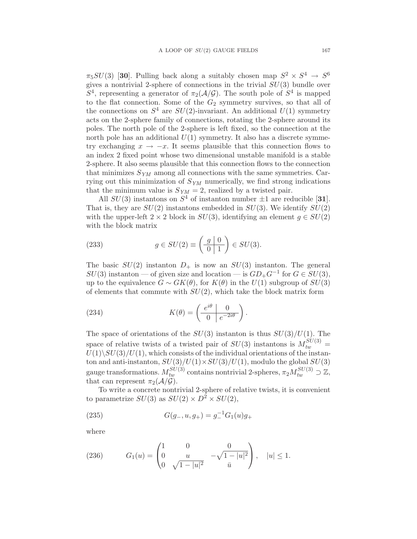$\pi_5SU(3)$  [30]. Pulling back along a suitably chosen map  $S^2 \times S^4 \rightarrow S^6$ gives a nontrivial 2-sphere of connections in the trivial  $SU(3)$  bundle over  $S<sup>4</sup>$ , representing a generator of  $\pi_2(\mathcal{A}/\mathcal{G})$ . The south pole of  $S<sup>4</sup>$  is mapped to the flat connection. Some of the  $G_2$  symmetry survives, so that all of the connections on  $S^4$  are  $SU(2)$ -invariant. An additional  $U(1)$  symmetry acts on the 2-sphere family of connections, rotating the 2-sphere around its poles. The north pole of the 2-sphere is left fixed, so the connection at the north pole has an additional  $U(1)$  symmetry. It also has a discrete symmetry exchanging  $x \to -x$ . It seems plausible that this connection flows to an index 2 fixed point whose two dimensional unstable manifold is a stable 2-sphere. It also seems plausible that this connection flows to the connection that minimizes  $S_{YM}$  among all connections with the same symmetries. Carrying out this minimization of S*YM* numerically, we find strong indications that the minimum value is  $S_{YM} = 2$ , realized by a twisted pair.

All  $SU(3)$  instantons on  $S^4$  of instanton number  $\pm 1$  are reducible [31]. That is, they are  $SU(2)$  instantons embedded in  $SU(3)$ . We identify  $SU(2)$ with the upper-left  $2 \times 2$  block in  $SU(3)$ , identifying an element  $q \in SU(2)$ with the block matrix

(233) 
$$
g \in SU(2) \equiv \left(\begin{array}{c|c} g & 0 \\ \hline 0 & 1 \end{array}\right) \in SU(3).
$$

The basic  $SU(2)$  instanton  $D_+$  is now an  $SU(3)$  instanton. The general  $SU(3)$  instanton — of given size and location — is  $GD_+G^{-1}$  for  $G \in SU(3)$ , up to the equivalence  $G \sim GK(\theta)$ , for  $K(\theta)$  in the  $U(1)$  subgroup of  $SU(3)$ of elements that commute with  $SU(2)$ , which take the block matrix form

(234) 
$$
K(\theta) = \begin{pmatrix} e^{i\theta} & 0 \\ 0 & e^{-2i\theta} \end{pmatrix}.
$$

The space of orientations of the  $SU(3)$  instanton is thus  $SU(3)/U(1)$ . The space of relative twists of a twisted pair of  $SU(3)$  instantons is  $M_{tw}^{SU(3)} =$  $U(1)\setminus SU(3)/U(1)$ , which consists of the individual orientations of the instanton and anti-instanton,  $SU(3)/U(1) \times SU(3)/U(1)$ , modulo the global  $SU(3)$ gauge transformations.  $M_{tw}^{SU(3)}$  contains nontrivial 2-spheres,  $\pi_2 M_{tw}^{SU(3)} \supset \mathbb{Z}$ , that can represent  $\pi_2(\mathcal{A}/\mathcal{G})$ .

To write a concrete nontrivial 2-sphere of relative twists, it is convenient to parametrize  $SU(3)$  as  $SU(2) \times D^2 \times SU(2)$ ,

(235) 
$$
G(g_-, u, g_+) = g_-^{-1} G_1(u) g_+
$$

where

(236) 
$$
G_1(u) = \begin{pmatrix} 1 & 0 & 0 \ 0 & u & -\sqrt{1-|u|^2} \\ 0 & \sqrt{1-|u|^2} & \bar{u} \end{pmatrix}, \quad |u| \le 1.
$$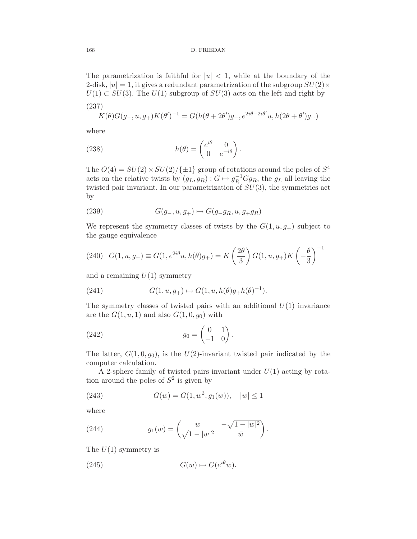#### 168 D. FRIEDAN

The parametrization is faithful for  $|u| < 1$ , while at the boundary of the 2-disk,  $|u|=1$ , it gives a redundant parametrization of the subgroup  $SU(2) \times$  $U(1) \subset SU(3)$ . The  $U(1)$  subgroup of  $SU(3)$  acts on the left and right by (237)

$$
K(\theta)G(g_-,u,g_+)K(\theta')^{-1} = G(h(\theta+2\theta')g_-,e^{2i\theta-2i\theta'}u,h(2\theta+\theta')g_+)
$$

where

(238) 
$$
h(\theta) = \begin{pmatrix} e^{i\theta} & 0 \\ 0 & e^{-i\theta} \end{pmatrix}.
$$

The  $O(4)=SU(2)\times SU(2)/\{\pm 1\}$  group of rotations around the poles of  $S^4$ acts on the relative twists by  $(g_L, g_R) : G \mapsto g_R^{-1} G g_R$ , the  $g_L$  all leaving the twisted pair invariant. In our parametrization of  $SU(3)$ , the symmetries act twisted pair invariant. In our parametrization of  $SU(3)$ , the symmetries act by

(239) 
$$
G(g_-, u, g_+) \mapsto G(g_-g_R, u, g_+g_R)
$$

We represent the symmetry classes of twists by the  $G(1, u, g<sub>+</sub>)$  subject to the gauge equivalence

(240) 
$$
G(1, u, g_+) \equiv G(1, e^{2i\theta}u, h(\theta)g_+) = K\left(\frac{2\theta}{3}\right)G(1, u, g_+)K\left(-\frac{\theta}{3}\right)^{-1}
$$

and a remaining  $U(1)$  symmetry

(241) 
$$
G(1, u, g_+) \mapsto G(1, u, h(\theta)g_+h(\theta)^{-1}).
$$

The symmetry classes of twisted pairs with an additional  $U(1)$  invariance are the  $G(1, u, 1)$  and also  $G(1, 0, g_0)$  with

$$
(242) \t\t\t g_0 = \begin{pmatrix} 0 & 1 \\ -1 & 0 \end{pmatrix}.
$$

The latter,  $G(1, 0, g_0)$ , is the  $U(2)$ -invariant twisted pair indicated by the computer calculation.

A 2-sphere family of twisted pairs invariant under  $U(1)$  acting by rotation around the poles of  $S^2$  is given by

(243) 
$$
G(w) = G(1, w^2, g_1(w)), \quad |w| \le 1
$$

where

(244) 
$$
g_1(w) = \begin{pmatrix} w & -\sqrt{1-|w|^2} \\ \sqrt{1-|w|^2} & \bar{w} \end{pmatrix}.
$$

The  $U(1)$  symmetry is

$$
(245) \t G(w) \mapsto G(e^{i\theta}w).
$$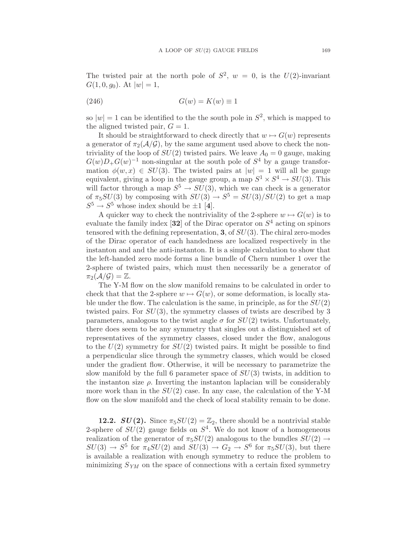The twisted pair at the north pole of  $S^2$ ,  $w = 0$ , is the  $U(2)$ -invariant  $G(1, 0, q_0)$ . At  $|w|=1$ ,

$$
(246) \t G(w) = K(w) \equiv 1
$$

so  $|w|=1$  can be identified to the the south pole in  $S^2$ , which is mapped to the aligned twisted pair,  $G = 1$ .

It should be straightforward to check directly that  $w \mapsto G(w)$  represents a generator of  $\pi_2(\mathcal{A}/\mathcal{G})$ , by the same argument used above to check the nontriviality of the loop of  $SU(2)$  twisted pairs. We leave  $A_0 = 0$  gauge, making  $G(w)D<sub>+</sub>(w)^{-1}$  non-singular at the south pole of  $S<sup>4</sup>$  by a gauge transformation  $\phi(w, x) \in SU(3)$ . The twisted pairs at  $|w| = 1$  will all be gauge equivalent, giving a loop in the gauge group, a map  $S^1 \times S^4 \rightarrow SU(3)$ . This will factor through a map  $S^5 \to SU(3)$ , which we can check is a generator of  $\pi_5SU(3)$  by composing with  $SU(3) \rightarrow S^5 = SU(3)/SU(2)$  to get a map  $S^5 \rightarrow S^5$  whose index should be  $\pm 1$  [4].

A quicker way to check the nontriviality of the 2-sphere  $w \mapsto G(w)$  is to evaluate the family index  $[32]$  of the Dirac operator on  $S<sup>4</sup>$  acting on spinors tensored with the defining representation, **3**, of SU(3). The chiral zero-modes of the Dirac operator of each handedness are localized respectively in the instanton and and the anti-instanton. It is a simple calculation to show that the left-handed zero mode forms a line bundle of Chern number 1 over the 2-sphere of twisted pairs, which must then necessarily be a generator of  $\pi_2(\mathcal{A}/\mathcal{G})=\mathbb{Z}.$ 

The Y-M flow on the slow manifold remains to be calculated in order to check that that the 2-sphere  $w \mapsto G(w)$ , or some deformation, is locally stable under the flow. The calculation is the same, in principle, as for the  $SU(2)$ twisted pairs. For  $SU(3)$ , the symmetry classes of twists are described by 3 parameters, analogous to the twist angle  $\sigma$  for  $SU(2)$  twists. Unfortunately, there does seem to be any symmetry that singles out a distinguished set of representatives of the symmetry classes, closed under the flow, analogous to the  $U(2)$  symmetry for  $SU(2)$  twisted pairs. It might be possible to find a perpendicular slice through the symmetry classes, which would be closed under the gradient flow. Otherwise, it will be necessary to parametrize the slow manifold by the full 6 parameter space of  $SU(3)$  twists, in addition to the instanton size  $\rho$ . Inverting the instanton laplacian will be considerably more work than in the  $SU(2)$  case. In any case, the calculation of the Y-M flow on the slow manifold and the check of local stability remain to be done.

**12.2.** *SU*(2). Since  $\pi_5 SU(2) = \mathbb{Z}_2$ , there should be a nontrivial stable 2-sphere of  $SU(2)$  gauge fields on  $S<sup>4</sup>$ . We do not know of a homogeneous realization of the generator of  $\pi_5SU(2)$  analogous to the bundles  $SU(2) \rightarrow$  $SU(3) \rightarrow S^5$  for  $\pi_4 SU(2)$  and  $SU(3) \rightarrow G_2 \rightarrow S^6$  for  $\pi_5 SU(3)$ , but there is available a realization with enough symmetry to reduce the problem to minimizing  $S_{YM}$  on the space of connections with a certain fixed symmetry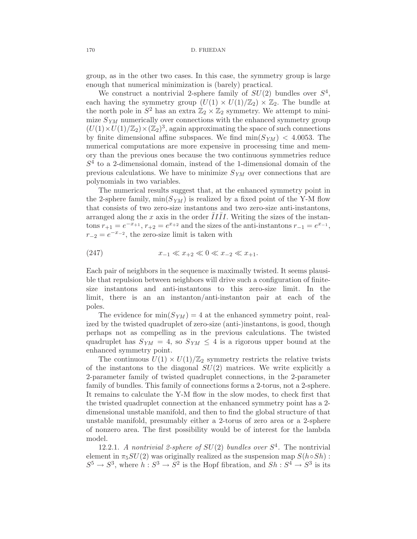group, as in the other two cases. In this case, the symmetry group is large enough that numerical minimization is (barely) practical.

We construct a nontrivial 2-sphere family of  $SU(2)$  bundles over  $S<sup>4</sup>$ , each having the symmetry group  $(U(1) \times U(1)/\mathbb{Z}_2) \times \mathbb{Z}_2$ . The bundle at the north pole in  $S^2$  has an extra  $\mathbb{Z}_2 \times \mathbb{Z}_2$  symmetry. We attempt to minimize S*YM* numerically over connections with the enhanced symmetry group  $(U(1)\times U(1)/\mathbb{Z}_2)\times (\mathbb{Z}_2)^3$ , again approximating the space of such connections by finite dimensional affine subspaces. We find  $\min(S_{YM}) < 4.0053$ . The numerical computations are more expensive in processing time and memory than the previous ones because the two continuous symmetries reduce  $S<sup>4</sup>$  to a 2-dimensional domain, instead of the 1-dimensional domain of the previous calculations. We have to minimize  $S_{YM}$  over connections that are polynomials in two variables.

The numerical results suggest that, at the enhanced symmetry point in the 2-sphere family,  $\min(S_{YM})$  is realized by a fixed point of the Y-M flow that consists of two zero-size instantons and two zero-size anti-instantons, arranged along the x axis in the order  $\overline{I}I\overline{I}I$ . Writing the sizes of the instantons  $r_{+1} = e^{-x_{+1}}$ ,  $r_{+2} = e^{x_{+2}}$  and the sizes of the anti-instantons  $r_{-1} = e^{x_{-1}}$ ,  $r_{-2} = e^{-x_{-2}}$ , the zero-size limit is taken with

(247) 
$$
x_{-1} \ll x_{+2} \ll 0 \ll x_{-2} \ll x_{+1}.
$$

Each pair of neighbors in the sequence is maximally twisted. It seems plausible that repulsion between neighbors will drive such a configuration of finitesize instantons and anti-instantons to this zero-size limit. In the limit, there is an an instanton/anti-instanton pair at each of the poles.

The evidence for  $\min(S_{YM}) = 4$  at the enhanced symmetry point, realized by the twisted quadruplet of zero-size (anti-)instantons, is good, though perhaps not as compelling as in the previous calculations. The twisted quadruplet has  $S_{YM} = 4$ , so  $S_{YM} \leq 4$  is a rigorous upper bound at the enhanced symmetry point.

The continuous  $U(1) \times U(1)/\mathbb{Z}_2$  symmetry restricts the relative twists of the instantons to the diagonal  $SU(2)$  matrices. We write explicitly a 2-parameter family of twisted quadruplet connections, in the 2-parameter family of bundles. This family of connections forms a 2-torus, not a 2-sphere. It remains to calculate the Y-M flow in the slow modes, to check first that the twisted quadruplet connection at the enhanced symmetry point has a 2 dimensional unstable manifold, and then to find the global structure of that unstable manifold, presumably either a 2-torus of zero area or a 2-sphere of nonzero area. The first possibility would be of interest for the lambda model.

<span id="page-39-0"></span>12.2.1. *A nontrivial 2-sphere of*  $SU(2)$  *<i>bundles over*  $S<sup>4</sup>$ . The nontrivial element in  $\pi_5SU(2)$  was originally realized as the suspension map  $S(h \circ Sh)$ :  $S^5 \rightarrow S^3$ , where  $h : S^3 \rightarrow S^2$  is the Hopf fibration, and  $Sh : S^4 \rightarrow S^3$  is its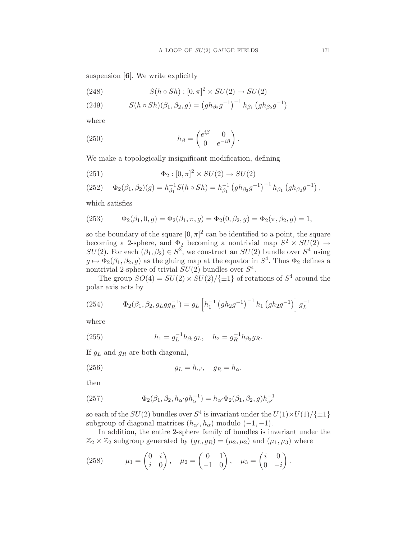suspension [**6**]. We write explicitly

(248) 
$$
S(h \circ Sh) : [0, \pi]^2 \times SU(2) \rightarrow SU(2)
$$

(249) 
$$
S(h \circ Sh)(\beta_1, \beta_2, g) = (gh_{\beta_2}g^{-1})^{-1}h_{\beta_1}(gh_{\beta_2}g^{-1})
$$

where

(250) 
$$
h_{\beta} = \begin{pmatrix} e^{i\beta} & 0 \\ 0 & e^{-i\beta} \end{pmatrix}.
$$

We make a topologically insignificant modification, defining

(251) 
$$
\Phi_2 : [0, \pi]^2 \times SU(2) \to SU(2)
$$

(252) 
$$
\Phi_2(\beta_1, \beta_2)(g) = h_{\beta_1}^{-1} S(h \circ Sh) = h_{\beta_1}^{-1} (gh_{\beta_2}g^{-1})^{-1} h_{\beta_1} (gh_{\beta_2}g^{-1}),
$$

which satisfies

(253) 
$$
\Phi_2(\beta_1, 0, g) = \Phi_2(\beta_1, \pi, g) = \Phi_2(0, \beta_2, g) = \Phi_2(\pi, \beta_2, g) = 1,
$$

so the boundary of the square  $[0, \pi]^2$  can be identified to a point, the square becoming a 2-sphere, and  $\Phi_2$  becoming a nontrivial map  $S^2 \times SU(2) \rightarrow$  $SU(2)$ . For each  $(\beta_1, \beta_2) \in S^2$ , we construct an  $SU(2)$  bundle over  $S^4$  using  $g \mapsto \Phi_2(\beta_1, \beta_2, g)$  as the gluing map at the equator in  $S^4$ . Thus  $\Phi_2$  defines a nontrivial 2-sphere of trivial  $SU(2)$  bundles over  $S<sup>4</sup>$ .

The group  $SO(4) = SU(2) \times SU(2)/\{\pm 1\}$  of rotations of  $S^4$  around the polar axis acts by

(254) 
$$
\Phi_2(\beta_1, \beta_2, g_L g g_R^{-1}) = g_L \left[ h_1^{-1} \left( g h_2 g^{-1} \right)^{-1} h_1 \left( g h_2 g^{-1} \right) \right] g_L^{-1}
$$

where

(255) 
$$
h_1 = g_L^{-1} h_{\beta_1} g_L, \quad h_2 = g_R^{-1} h_{\beta_2} g_R.
$$

If  $g_L$  and  $g_R$  are both diagonal,

(256) 
$$
g_L = h_{\alpha'}, \quad g_R = h_{\alpha},
$$

then

(257) 
$$
\Phi_2(\beta_1, \beta_2, h_{\alpha'}gh_{\alpha}^{-1}) = h_{\alpha'}\Phi_2(\beta_1, \beta_2, g)h_{\alpha'}^{-1}
$$

so each of the  $SU(2)$  bundles over  $S^4$  is invariant under the  $U(1)\times U(1)/\{\pm 1\}$ subgroup of diagonal matrices  $(h_{\alpha'}, h_{\alpha})$  modulo  $(-1, -1)$ .<br>In addition, the optical enhancement of bundles is in

In addition, the entire 2-sphere family of bundles is invariant under the  $\mathbb{Z}_2 \times \mathbb{Z}_2$  subgroup generated by  $(g_L, g_R) = (\mu_2, \mu_2)$  and  $(\mu_1, \mu_3)$  where

(258) 
$$
\mu_1 = \begin{pmatrix} 0 & i \\ i & 0 \end{pmatrix}, \quad \mu_2 = \begin{pmatrix} 0 & 1 \\ -1 & 0 \end{pmatrix}, \quad \mu_3 = \begin{pmatrix} i & 0 \\ 0 & -i \end{pmatrix}.
$$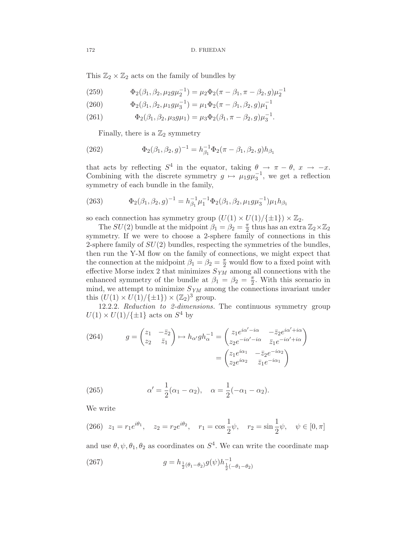This  $\mathbb{Z}_2 \times \mathbb{Z}_2$  acts on the family of bundles by

(259) 
$$
\Phi_2(\beta_1, \beta_2, \mu_2 g \mu_2^{-1}) = \mu_2 \Phi_2(\pi - \beta_1, \pi - \beta_2, g) \mu_2^{-1}
$$

(260) 
$$
\Phi_2(\beta_1, \beta_2, \mu_1 g \mu_3^{-1}) = \mu_1 \Phi_2(\pi - \beta_1, \beta_2, g) \mu_1^{-1}
$$

(261) 
$$
\Phi_2(\beta_1, \beta_2, \mu_3 g \mu_1) = \mu_3 \Phi_2(\beta_1, \pi - \beta_2, g) \mu_3^{-1}.
$$

Finally, there is a  $\mathbb{Z}_2$  symmetry

(262) 
$$
\Phi_2(\beta_1, \beta_2, g)^{-1} = h_{\beta_1}^{-1} \Phi_2(\pi - \beta_1, \beta_2, g) h_{\beta_1}
$$

that acts by reflecting  $S^4$  in the equator, taking  $\theta \to \pi - \theta$ ,  $x \to -x$ . Combining with the discrete symmetry  $g \mapsto \mu_1 g \mu_3^{-1}$ , we get a reflection symmetry of each bundle in the family,

(263) 
$$
\Phi_2(\beta_1, \beta_2, g)^{-1} = h_{\beta_1}^{-1} \mu_1^{-1} \Phi_2(\beta_1, \beta_2, \mu_1 g \mu_3^{-1}) \mu_1 h_{\beta_1}
$$

so each connection has symmetry group  $(U(1) \times U(1)/\{\pm 1\}) \times \mathbb{Z}_2$ .

The  $SU(2)$  bundle at the midpoint  $\beta_1 = \beta_2 = \frac{\pi}{2}$  thus has an extra  $\mathbb{Z}_2 \times \mathbb{Z}_2$ symmetry. If we were to choose a 2-sphere family of connections in this 2-sphere family of  $SU(2)$  bundles, respecting the symmetries of the bundles, then run the Y-M flow on the family of connections, we might expect that the connection at the midpoint  $\beta_1 = \beta_2 = \frac{\pi}{2}$  would flow to a fixed point with effective Morse index 2 that minimizes S*YM* among all connections with the enhanced symmetry of the bundle at  $\beta_1 = \beta_2 = \frac{\pi}{2}$ . With this scenario in mind, we attempt to minimize  $S_{YM}$  among the connections invariant under this  $(U(1) \times U(1)/\{\pm 1\}) \times (\mathbb{Z}_2)^3$  group.

12.2.2. *Reduction to 2-dimensions.* The continuous symmetry group  $U(1) \times U(1)/\{\pm 1\}$  acts on  $S^4$  by

(264) 
$$
g = \begin{pmatrix} z_1 & -\bar{z}_2 \\ z_2 & \bar{z}_1 \end{pmatrix} \mapsto h_{\alpha'}gh_{\alpha}^{-1} = \begin{pmatrix} z_1 e^{i\alpha' - i\alpha} & -\bar{z}_2 e^{i\alpha' + i\alpha} \\ z_2 e^{-i\alpha' - i\alpha} & \bar{z}_1 e^{-i\alpha' + i\alpha} \end{pmatrix} = \begin{pmatrix} z_1 e^{i\alpha_1} & -\bar{z}_2 e^{-i\alpha_2} \\ z_2 e^{i\alpha_2} & \bar{z}_1 e^{-i\alpha_1} \end{pmatrix}
$$

(265) 
$$
\alpha' = \frac{1}{2}(\alpha_1 - \alpha_2), \quad \alpha = \frac{1}{2}(-\alpha_1 - \alpha_2).
$$

We write

(266) 
$$
z_1 = r_1 e^{i\theta_1}
$$
,  $z_2 = r_2 e^{i\theta_2}$ ,  $r_1 = \cos \frac{1}{2} \psi$ ,  $r_2 = \sin \frac{1}{2} \psi$ ,  $\psi \in [0, \pi]$ 

and use  $\theta$ ,  $\psi$ ,  $\theta_1$ ,  $\theta_2$  as coordinates on  $S^4$ . We can write the coordinate map

(267) 
$$
g = h_{\frac{1}{2}(\theta_1 - \theta_2)} g(\psi) h_{\frac{1}{2}(-\theta_1 - \theta_2)}^{-1}
$$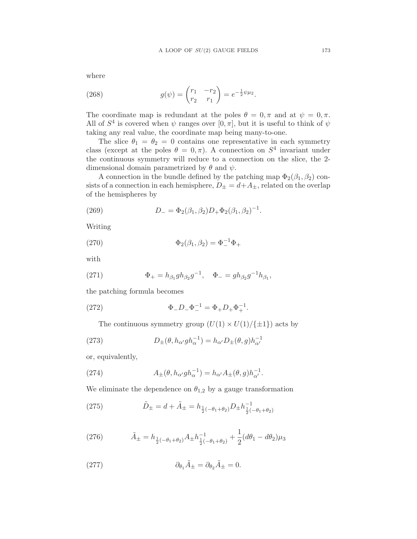where

(268) 
$$
g(\psi) = \begin{pmatrix} r_1 & -r_2 \\ r_2 & r_1 \end{pmatrix} = e^{-\frac{1}{2}\psi\mu_2}.
$$

The coordinate map is redundant at the poles  $\theta = 0, \pi$  and at  $\psi = 0, \pi$ . All of  $S^4$  is covered when  $\psi$  ranges over  $[0, \pi]$ , but it is useful to think of  $\psi$ taking any real value, the coordinate map being many-to-one.

The slice  $\theta_1 = \theta_2 = 0$  contains one representative in each symmetry class (except at the poles  $\theta = 0, \pi$ ). A connection on  $S^4$  invariant under the continuous symmetry will reduce to a connection on the slice, the 2 dimensional domain parametrized by  $\theta$  and  $\psi$ .

A connection in the bundle defined by the patching map  $\Phi_2(\beta_1, \beta_2)$  consists of a connection in each hemisphere,  $D_{\pm} = d + A_{\pm}$ , related on the overlap of the hemispheres by

(269) 
$$
D_{-} = \Phi_{2}(\beta_{1}, \beta_{2}) D_{+} \Phi_{2}(\beta_{1}, \beta_{2})^{-1}.
$$

Writing

(270) 
$$
\Phi_2(\beta_1, \beta_2) = \Phi^{-1}_-\Phi_+
$$

with

(271) 
$$
\Phi_+ = h_{\beta_1} g h_{\beta_2} g^{-1}, \quad \Phi_- = g h_{\beta_2} g^{-1} h_{\beta_1},
$$

the patching formula becomes

(272) 
$$
\Phi_- D_- \Phi_-^{-1} = \Phi_+ D_+ \Phi_+^{-1}.
$$

The continuous symmetry group  $(U(1) \times U(1)/\{\pm 1\})$  acts by

(273) 
$$
D_{\pm}(\theta, h_{\alpha'}gh_{\alpha}^{-1}) = h_{\alpha'}D_{\pm}(\theta, g)h_{\alpha'}^{-1}
$$

or, equivalently,

(274) 
$$
A_{\pm}(\theta, h_{\alpha'}gh_{\alpha}^{-1}) = h_{\alpha'}A_{\pm}(\theta, g)h_{\alpha'}^{-1}.
$$

We eliminate the dependence on  $\theta_{1,2}$  by a gauge transformation

(275) 
$$
\tilde{D}_{\pm} = d + \tilde{A}_{\pm} = h_{\frac{1}{2}(-\theta_1 + \theta_2)} D_{\pm} h_{\frac{1}{2}(-\theta_1 + \theta_2)}^{-1}
$$

(276) 
$$
\tilde{A}_{\pm} = h_{\frac{1}{2}(-\theta_1 + \theta_2)} A_{\pm} h_{\frac{1}{2}(-\theta_1 + \theta_2)}^{-1} + \frac{1}{2} (d\theta_1 - d\theta_2) \mu_3
$$

(277) 
$$
\partial_{\theta_1} \tilde{A}_{\pm} = \partial_{\theta_2} \tilde{A}_{\pm} = 0.
$$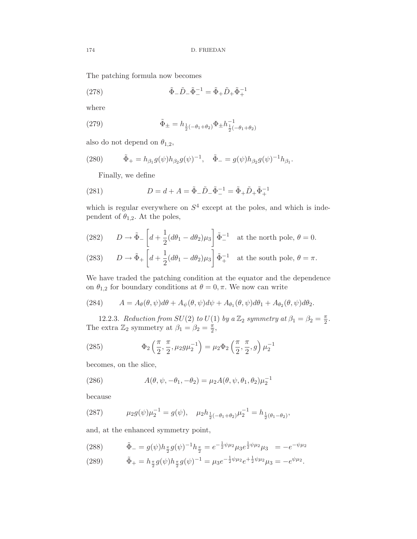The patching formula now becomes

(278) 
$$
\tilde{\Phi}_{-}\tilde{D}_{-}\tilde{\Phi}_{-}^{-1} = \tilde{\Phi}_{+}\tilde{D}_{+}\tilde{\Phi}_{+}^{-1}
$$

where

(279) 
$$
\tilde{\Phi}_{\pm} = h_{\frac{1}{2}(-\theta_1 + \theta_2)} \Phi_{\pm} h_{\frac{1}{2}(-\theta_1 + \theta_2)}^{-1}
$$

also do not depend on  $\theta_{1,2}$ ,

(280) 
$$
\tilde{\Phi}_+ = h_{\beta_1} g(\psi) h_{\beta_2} g(\psi)^{-1}, \quad \tilde{\Phi}_- = g(\psi) h_{\beta_2} g(\psi)^{-1} h_{\beta_1}.
$$

Finally, we define

(281) 
$$
D = d + A = \tilde{\Phi} - \tilde{D} - \tilde{\Phi}^{-1} = \tilde{\Phi} + \tilde{D} + \tilde{\Phi}^{-1} +
$$

which is regular everywhere on  $S<sup>4</sup>$  except at the poles, and which is independent of  $\theta_{1,2}$ . At the poles,

(282) 
$$
D \to \tilde{\Phi}_{-} \left[ d + \frac{1}{2} (d\theta_1 - d\theta_2) \mu_3 \right] \tilde{\Phi}_{-}^{-1}
$$
 at the north pole,  $\theta = 0$ .

(283) 
$$
D \to \tilde{\Phi}_{+} \left[ d + \frac{1}{2} (d\theta_1 - d\theta_2) \mu_3 \right] \tilde{\Phi}_{+}^{-1} \text{ at the south pole, } \theta = \pi.
$$

We have traded the patching condition at the equator and the dependence on  $\theta_{1,2}$  for boundary conditions at  $\theta = 0, \pi$ . We now can write

(284) 
$$
A = A_{\theta}(\theta, \psi)d\theta + A_{\psi}(\theta, \psi)d\psi + A_{\theta_1}(\theta, \psi)d\theta_1 + A_{\theta_2}(\theta, \psi)d\theta_2.
$$

12.2.3. *Reduction from SU*(2) *to*  $U(1)$  *by a*  $\mathbb{Z}_2$  *symmetry at*  $\beta_1 = \beta_2 = \frac{\pi}{2}$ *.* The extra  $\mathbb{Z}_2$  symmetry at  $\beta_1 = \beta_2 = \frac{\pi}{2}$ ,

(285) 
$$
\Phi_2\left(\frac{\pi}{2}, \frac{\pi}{2}, \mu_2 g \mu_2^{-1}\right) = \mu_2 \Phi_2\left(\frac{\pi}{2}, \frac{\pi}{2}, g\right) \mu_2^{-1}
$$

becomes, on the slice,

(286) 
$$
A(\theta, \psi, -\theta_1, -\theta_2) = \mu_2 A(\theta, \psi, \theta_1, \theta_2) \mu_2^{-1}
$$

because

(287) 
$$
\mu_2 g(\psi) \mu_2^{-1} = g(\psi), \quad \mu_2 h_{\frac{1}{2}(-\theta_1 + \theta_2)} \mu_2^{-1} = h_{\frac{1}{2}(\theta_1 - \theta_2)},
$$

and, at the enhanced symmetry point,

(288) 
$$
\tilde{\Phi}_{-} = g(\psi)h_{\frac{\pi}{2}}g(\psi)^{-1}h_{\frac{\pi}{2}} = e^{-\frac{1}{2}\psi\mu_{2}}\mu_{3}e^{\frac{1}{2}\psi\mu_{2}}\mu_{3} = -e^{-\psi\mu_{2}}
$$

(289) 
$$
\tilde{\Phi}_+ = h_{\frac{\pi}{2}} g(\psi) h_{\frac{\pi}{2}} g(\psi)^{-1} = \mu_3 e^{-\frac{1}{2}\psi \mu_2} e^{+\frac{1}{2}\psi \mu_2} \mu_3 = -e^{\psi \mu_2}.
$$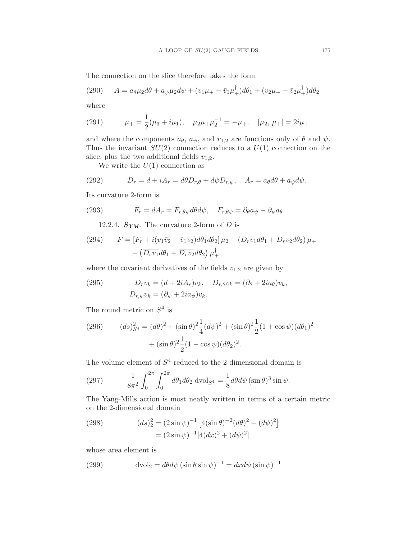The connection on the slice therefore takes the form

$$
(290) \quad A = a_{\theta}\mu_2 d\theta + a_{\psi}\mu_2 d\psi + (v_1\mu_+ - \bar{v}_1\mu_+^{\dagger})d\theta_1 + (v_2\mu_+ - \bar{v}_2\mu_+^{\dagger})d\theta_2
$$

where

(291) 
$$
\mu_{+} = \frac{1}{2}(\mu_{3} + i\mu_{1}), \quad \mu_{2}\mu_{+}\mu_{2}^{-1} = -\mu_{+}, \quad [\mu_{2}, \mu_{+}] = 2i\mu_{+}
$$

and where the components  $a_{\theta}$ ,  $a_{\psi}$ , and  $v_{1,2}$  are functions only of  $\theta$  and  $\psi$ . Thus the invariant  $SU(2)$  connection reduces to a  $U(1)$  connection on the slice, plus the two additional fields  $v_{1,2}$ .

We write the  $U(1)$  connection as

(292) 
$$
D_r = d + iA_r = d\theta D_{r,\theta} + d\psi D_{r,\psi}, \quad A_r = a_\theta d\theta + a_\psi d\psi.
$$

Its curvature 2-form is

(293) 
$$
F_r = dA_r = F_{r,\theta\psi} d\theta d\psi, \quad F_{r,\theta\psi} = \partial_\theta a_\psi - \partial_\psi a_\theta
$$

12.2.4.  $S_{YM}$ . The curvature 2-form of D is

(294) 
$$
F = [F_r + i(v_1\bar{v}_2 - \bar{v}_1v_2)d\theta_1d\theta_2]\mu_2 + (D_r v_1d\theta_1 + D_r v_2d\theta_2)\mu_+
$$

$$
- (\overline{D_r v_1}d\theta_1 + \overline{D_r v_2}d\theta_2)\mu_+^{\dagger}
$$

where the covariant derivatives of the fields  $v_{1,2}$  are given by

(295) 
$$
D_r v_k = (d + 2iA_r)v_k, \quad D_{r,\theta} v_k = (\partial_{\theta} + 2ia_{\theta})v_k,
$$

$$
D_{r,\psi} v_k = (\partial_{\psi} + 2ia_{\psi})v_k.
$$

The round metric on  $S^4$  is

(296) 
$$
(ds)_{S^4}^2 = (d\theta)^2 + (\sin \theta)^2 \frac{1}{4} (d\psi)^2 + (\sin \theta)^2 \frac{1}{2} (1 + \cos \psi) (d\theta_1)^2 + (\sin \theta)^2 \frac{1}{2} (1 - \cos \psi) (d\theta_2)^2.
$$

The volume element of  $S^4$  reduced to the 2-dimensional domain is

(297) 
$$
\frac{1}{8\pi^2} \int_0^{2\pi} \int_0^{2\pi} d\theta_1 d\theta_2 \, d\text{vol}_{S^4} = \frac{1}{8} d\theta d\psi \, (\sin \theta)^3 \sin \psi.
$$

The Yang-Mills action is most neatly written in terms of a certain metric on the 2-dimensional domain

(298) 
$$
(ds)_2^2 = (2\sin\psi)^{-1} [4(\sin\theta)^{-2} (d\theta)^2 + (d\psi)^2]
$$

$$
= (2\sin\psi)^{-1} [4(dx)^2 + (d\psi)^2]
$$

whose area element is

(299) 
$$
\mathrm{dvol}_2 = d\theta d\psi \left(\sin \theta \sin \psi\right)^{-1} = dx d\psi \left(\sin \psi\right)^{-1}
$$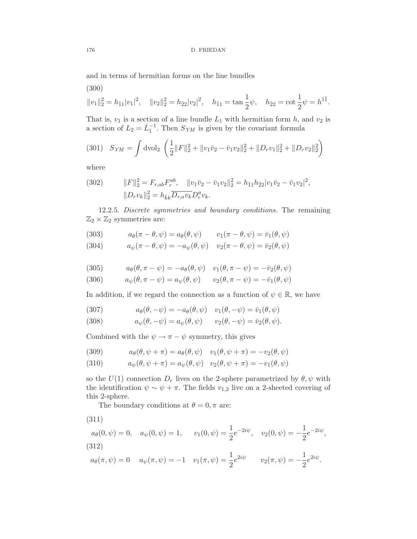and in terms of hermitian forms on the line bundles

(300)  
\n
$$
||v_1||_2^2 = h_{\bar{1}1}|v_1|^2, \quad ||v_2||_2^2 = h_{\bar{2}2}|v_2|^2, \quad h_{\bar{1}1} = \tan\frac{1}{2}\psi, \quad h_{\bar{2}2} = \cot\frac{1}{2}\psi = h^{1\bar{1}}.
$$

That is,  $v_1$  is a section of a line bundle  $L_1$  with hermitian form h, and  $v_2$  is a section of  $L_2 = \bar{L}_1^{-1}$ . Then  $S_{YM}$  is given by the covariant formula

$$
(301) \quad S_{YM} = \int \mathrm{d}v \, \mathrm{d}v_2 \, \left( \frac{1}{2} \|F\|_2^2 + \|v_1 \overline{v}_2 - \overline{v}_1 v_2\|_2^2 + \|D_r v_1\|_2^2 + \|D_r v_2\|_2^2 \right)
$$

where

(302) 
$$
||F||_2^2 = F_{r,ab}F_r^{ab}, \quad ||v_1\bar{v}_2 - \bar{v}_1v_2||_2^2 = h_{\bar{1}1}h_{\bar{2}2}|v_1\bar{v}_2 - \bar{v}_1v_2|^2,
$$

$$
||D_r v_k||_2^2 = h_{\bar{k}k}\overline{D_{r,a}v_k}D_r^a v_k.
$$

12.2.5. *Discrete symmetries and boundary conditions.* The remaining  $\mathbb{Z}_2 \times \mathbb{Z}_2$  symmetries are:

(303)  $a_{\theta}(\pi - \theta, \psi) = a_{\theta}(\theta, \psi) \qquad v_1(\pi - \theta, \psi) = \bar{v}_1(\theta, \psi)$ 

(304) 
$$
a_{\psi}(\pi - \theta, \psi) = -a_{\psi}(\theta, \psi) \quad v_2(\pi - \theta, \psi) = \bar{v}_2(\theta, \psi)
$$

(305) 
$$
a_{\theta}(\theta, \pi - \psi) = -a_{\theta}(\theta, \psi) \quad v_1(\theta, \pi - \psi) = -\bar{v}_2(\theta, \psi)
$$

(306) 
$$
a_{\psi}(\theta, \pi - \psi) = a_{\psi}(\theta, \psi) \qquad v_2(\theta, \pi - \psi) = -\bar{v}_1(\theta, \psi)
$$

In addition, if we regard the connection as a function of  $\psi \in \mathbb{R}$ , we have

(307)  $a_{\theta}(\theta, -\psi) = -a_{\theta}(\theta, \psi) \quad v_1(\theta, -\psi) = \bar{v}_1(\theta, \psi)$ 

(308) 
$$
a_{\psi}(\theta, -\psi) = a_{\psi}(\theta, \psi) \qquad v_2(\theta, -\psi) = \bar{v}_2(\theta, \psi).
$$

Combined with the  $\psi \to \pi - \psi$  symmetry, this gives

(309) 
$$
a_{\theta}(\theta, \psi + \pi) = a_{\theta}(\theta, \psi) \quad v_1(\theta, \psi + \pi) = -v_2(\theta, \psi)
$$

(310) 
$$
a_{\psi}(\theta, \psi + \pi) = a_{\psi}(\theta, \psi) \quad v_2(\theta, \psi + \pi) = -v_1(\theta, \psi)
$$

so the  $U(1)$  connection  $D_r$  lives on the 2-sphere parametrized by  $\theta$ ,  $\psi$  with the identification  $\psi \sim \psi + \pi$ . The fields  $v_{1,2}$  live on a 2-sheeted covering of this 2-sphere.

The boundary conditions at  $\theta = 0, \pi$  are:

(311)

$$
a_{\theta}(0, \psi) = 0
$$
,  $a_{\psi}(0, \psi) = 1$ ,  $v_1(0, \psi) = \frac{1}{2}e^{-2i\psi}$ ,  $v_2(0, \psi) = -\frac{1}{2}e^{-2i\psi}$ ,  
(312)

$$
a_{\theta}(\pi, \psi) = 0
$$
  $a_{\psi}(\pi, \psi) = -1$   $v_1(\pi, \psi) = \frac{1}{2}e^{2i\psi}$   $v_2(\pi, \psi) = -\frac{1}{2}e^{2i\psi}$ .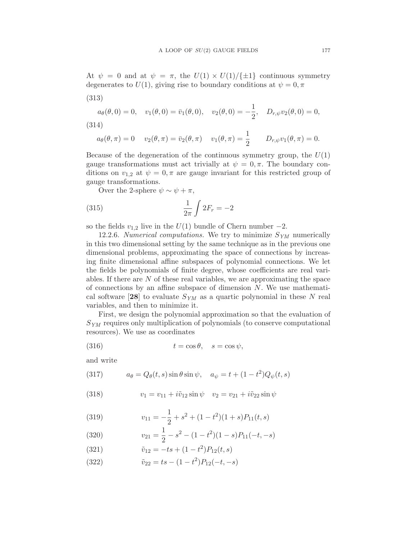At  $\psi = 0$  and at  $\psi = \pi$ , the  $U(1) \times U(1)/\{\pm 1\}$  continuous symmetry degenerates to  $U(1)$ , giving rise to boundary conditions at  $\psi = 0, \pi$ 

(313)  
\n
$$
a_{\theta}(\theta, 0) = 0
$$
,  $v_1(\theta, 0) = \bar{v}_1(\theta, 0)$ ,  $v_2(\theta, 0) = -\frac{1}{2}$ ,  $D_{r,\psi}v_2(\theta, 0) = 0$ ,  
\n(314)  
\n $a_{\theta}(\theta, \pi) = 0$   $v_2(\theta, \pi) = \bar{v}_2(\theta, \pi)$   $v_1(\theta, \pi) = \frac{1}{2}$   $D_{r,\psi}v_1(\theta, \pi) = 0$ .

Because of the degeneration of the continuous symmetry group, the  $U(1)$ gauge transformations must act trivially at  $\psi = 0, \pi$ . The boundary conditions on  $v_{1,2}$  at  $\psi = 0, \pi$  are gauge invariant for this restricted group of gauge transformations.

Over the 2-sphere  $\psi \sim \psi + \pi$ ,

$$
\frac{1}{2\pi} \int 2F_r = -2
$$

<span id="page-46-0"></span>so the fields  $v_{1,2}$  live in the  $U(1)$  bundle of Chern number  $-2$ .

12.2.6. *Numerical computations.* We try to minimize S*YM* numerically in this two dimensional setting by the same technique as in the previous one dimensional problems, approximating the space of connections by increasing finite dimensional affine subspaces of polynomial connections. We let the fields be polynomials of finite degree, whose coefficients are real variables. If there are  $N$  of these real variables, we are approximating the space of connections by an affine subspace of dimension  $N$ . We use mathematical software  $[28]$  to evaluate  $S_{YM}$  as a quartic polynomial in these N real variables, and then to minimize it.

First, we design the polynomial approximation so that the evaluation of S*YM* requires only multiplication of polynomials (to conserve computational resources). We use as coordinates

(316) 
$$
t = \cos \theta, \quad s = \cos \psi,
$$

and write

(317) 
$$
a_{\theta} = Q_{\theta}(t, s) \sin \theta \sin \psi, \quad a_{\psi} = t + (1 - t^2) Q_{\psi}(t, s)
$$

(318) 
$$
v_1 = v_{11} + i\tilde{v}_{12}\sin\psi \quad v_2 = v_{21} + i\tilde{v}_{22}\sin\psi
$$

(319) 
$$
v_{11} = -\frac{1}{2} + s^2 + (1 - t^2)(1 + s)P_{11}(t, s)
$$

(320) 
$$
v_{21} = \frac{1}{2} - s^2 - (1 - t^2)(1 - s)P_{11}(-t, -s)
$$

(321) 
$$
\tilde{v}_{12} = -ts + (1 - t^2)P_{12}(t, s)
$$

(322)  $\tilde{v}_{22} = ts - (1 - t^2)P_{12}(-t, -s)$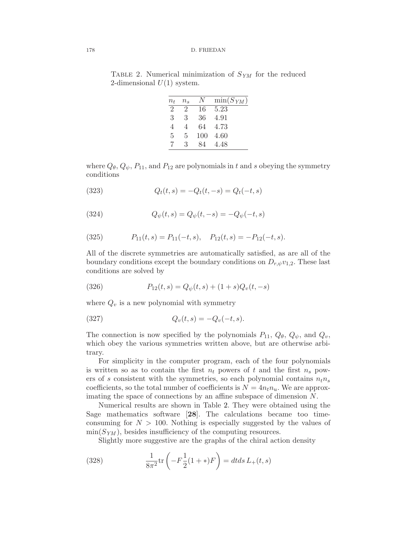<span id="page-47-0"></span>

| $n_t$          | $n_{s}$ | N   | $\min(S_{YM})$ |
|----------------|---------|-----|----------------|
| $\mathfrak{D}$ | 2       | 16  | 5.23           |
| 3              | 3       | 36  | 4.91           |
| 4              | 4       | 64  | 4.73           |
| 5              | 5       | 100 | 4.60           |
|                | 3       |     | 4.48           |

Table 2. Numerical minimization of S*YM* for the reduced 2-dimensional  $U(1)$  system.

where  $Q_{\theta}$ ,  $Q_{\psi}$ ,  $P_{11}$ , and  $P_{12}$  are polynomials in t and s obeying the symmetry conditions

(323) 
$$
Q_t(t,s) = -Q_t(t,-s) = Q_t(-t,s)
$$

(324) 
$$
Q_{\psi}(t,s) = Q_{\psi}(t,-s) = -Q_{\psi}(-t,s)
$$

(325) 
$$
P_{11}(t,s) = P_{11}(-t,s), \quad P_{12}(t,s) = -P_{12}(-t,s).
$$

All of the discrete symmetries are automatically satisfied, as are all of the boundary conditions except the boundary conditions on  $D_{r,\psi}v_{1,2}$ . These last conditions are solved by

(326) 
$$
P_{12}(t,s) = Q_{\psi}(t,s) + (1+s)Q_{\psi}(t,-s)
$$

where  $Q_v$  is a new polynomial with symmetry

(327) 
$$
Q_v(t,s) = -Q_v(-t,s).
$$

The connection is now specified by the polynomials  $P_{11}$ ,  $Q_{\theta}$ ,  $Q_{\psi}$ , and  $Q_{\nu}$ , which obey the various symmetries written above, but are otherwise arbitrary.

For simplicity in the computer program, each of the four polynomials is written so as to contain the first  $n_t$  powers of t and the first  $n_s$  powers of s consistent with the symmetries, so each polynomial contains  $n_t n_s$ coefficients, so the total number of coefficients is  $N = 4n_t n_u$ . We are approximating the space of connections by an affine subspace of dimension N.

Numerical results are shown in Table [2.](#page-47-0) They were obtained using the Sage mathematics software [**28**]. The calculations became too timeconsuming for  $N > 100$ . Nothing is especially suggested by the values of  $\min(S_{YM})$ , besides insufficiency of the computing resources.

Slightly more suggestive are the graphs of the chiral action density

(328) 
$$
\frac{1}{8\pi^2} \text{tr}\left(-F\frac{1}{2}(1+s)F\right) = dt ds L_+(t,s)
$$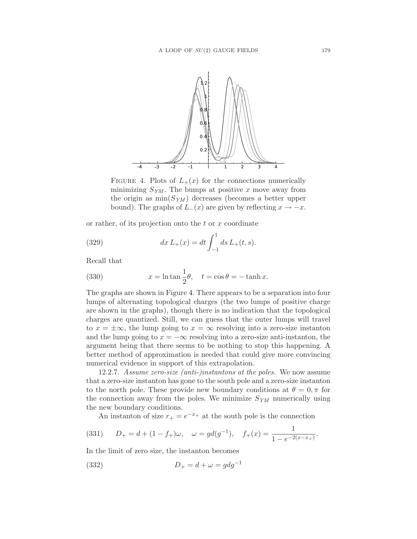

<span id="page-48-0"></span>FIGURE 4. Plots of  $L_{+}(x)$  for the connections numerically minimizing  $S_{YM}$ . The bumps at positive x move away from the origin as  $\min(S_{YM})$  decreases (becomes a better upper bound). The graphs of  $L_-(x)$  are given by reflecting  $x \to -x$ .

or rather, of its projection onto the  $t$  or  $x$  coordinate

(329) 
$$
dx L_{+}(x) = dt \int_{-1}^{1} ds L_{+}(t, s).
$$

Recall that

(330) 
$$
x = \ln \tan \frac{1}{2}\theta, \quad t = \cos \theta = -\tanh x.
$$

The graphs are shown in Figure [4.](#page-48-0) There appears to be a separation into four lumps of alternating topological charges (the two lumps of positive charge are shown in the graphs), though there is no indication that the topological charges are quantized. Still, we can guess that the outer lumps will travel to  $x = \pm \infty$ , the lump going to  $x = \infty$  resolving into a zero-size instanton and the lump going to  $x = -\infty$  resolving into a zero-size anti-instanton, the argument being that there seems to be nothing to stop this happening. A better method of approximation is needed that could give more convincing numerical evidence in support of this extrapolation.

12.2.7. *Assume zero-size (anti-)instantons at the poles.* We now assume that a zero-size instanton has gone to the south pole and a zero-size instanton to the north pole. These provide new boundary conditions at  $\theta = 0, \pi$  for the connection away from the poles. We minimize  $S_{YM}$  numerically using the new boundary conditions.

An instanton of size  $r_{+} = e^{-x_{+}}$  at the south pole is the connection

(331) 
$$
D_{+} = d + (1 - f_{+})\omega, \quad \omega = gd(g^{-1}), \quad f_{+}(x) = \frac{1}{1 - e^{-2(x - x_{+})}}.
$$

In the limit of zero size, the instanton becomes

(332) 
$$
D_{+} = d + \omega = g dg^{-1}
$$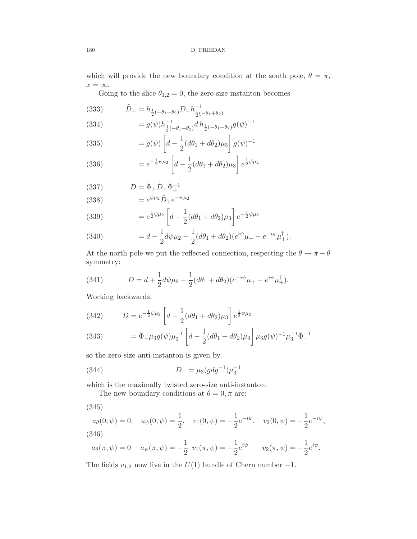which will provide the new boundary condition at the south pole,  $\theta = \pi$ ,  $x = \infty$ .

Going to the slice  $\theta_{1,2} = 0$ , the zero-size instanton becomes

(333) 
$$
\tilde{D}_{+} = h_{\frac{1}{2}(-\theta_1 + \theta_2)} D_{+} h_{\frac{1}{2}(-\theta_1 + \theta_2)}^{-1}
$$

(334) 
$$
= g(\psi)h_{\frac{1}{2}(-\theta_1 - \theta_2)}^{-1}dh_{\frac{1}{2}(-\theta_1 - \theta_2)}g(\psi)^{-1}
$$

(335) 
$$
= g(\psi) \left[ d - \frac{1}{2} (d\theta_1 + d\theta_2) \mu_3 \right] g(\psi)^{-1}
$$

(336) 
$$
= e^{-\frac{1}{2}\psi\mu_2} \left[ d - \frac{1}{2}(d\theta_1 + d\theta_2)\mu_3 \right] e^{\frac{1}{2}\psi\mu_2}
$$

(337) 
$$
D = \tilde{\Phi}_{+} \tilde{D}_{+} \tilde{\Phi}_{+}^{-1}
$$

(338) 
$$
= e^{\psi \mu_2} \tilde{D}_+ e^{-\psi \mu_2}
$$

(339) 
$$
= e^{\frac{1}{2}\psi\mu_2} \left[ d - \frac{1}{2}(d\theta_1 + d\theta_2)\mu_3 \right] e^{-\frac{1}{2}\psi\mu_2}
$$

(340) 
$$
= d - \frac{1}{2} d\psi \mu_2 - \frac{1}{2} (d\theta_1 + d\theta_2) (e^{i\psi} \mu_+ - e^{-i\psi} \mu_+^{\dagger}).
$$

At the north pole we put the reflected connection, respecting the  $\theta \rightarrow \pi - \theta$ symmetry:

(341) 
$$
D = d + \frac{1}{2}d\psi\mu_2 - \frac{1}{2}(d\theta_1 + d\theta_2)(e^{-i\psi}\mu_+ - e^{i\psi}\mu_+^{\dagger}).
$$

Working backwards,

(342) 
$$
D = e^{-\frac{1}{2}\psi\mu_2} \left[ d - \frac{1}{2}(d\theta_1 + d\theta_2)\mu_3 \right] e^{\frac{1}{2}\psi\mu_2}
$$

(343) 
$$
= \tilde{\Phi}_{-\mu_3 g}(\psi) \mu_3^{-1} \left[ d - \frac{1}{2} (d\theta_1 + d\theta_2) \mu_3 \right] \mu_3 g(\psi)^{-1} \mu_3^{-1} \tilde{\Phi}_-^{-1}
$$

so the zero-size anti-instanton is given by

(344) 
$$
D_{-} = \mu_3 (g dg^{-1}) \mu_3^{-1}
$$

which is the maximally twisted zero-size anti-instanton.

The new boundary conditions at  $\theta = 0, \pi$  are:

$$
(345)
$$

$$
a_{\theta}(0, \psi) = 0, \quad a_{\psi}(0, \psi) = \frac{1}{2}, \quad v_1(0, \psi) = -\frac{1}{2}e^{-i\psi}, \quad v_2(0, \psi) = -\frac{1}{2}e^{-i\psi},
$$
\n(346)

$$
a_{\theta}(\pi, \psi) = 0
$$
  $a_{\psi}(\pi, \psi) = -\frac{1}{2} v_1(\pi, \psi) = -\frac{1}{2} e^{i\psi}$   $v_2(\pi, \psi) = -\frac{1}{2} e^{i\psi}.$ 

The fields  $v_{1,2}$  now live in the  $U(1)$  bundle of Chern number  $-1$ .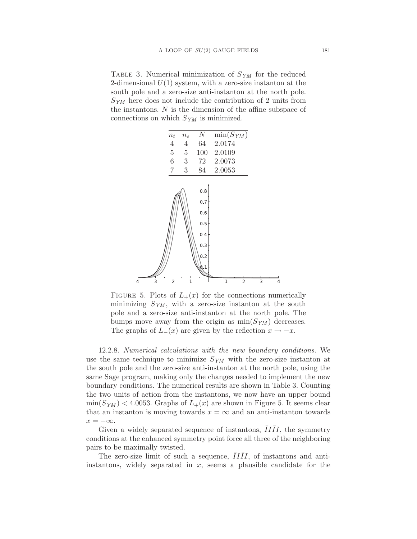<span id="page-50-0"></span>Table 3. Numerical minimization of S*YM* for the reduced 2-dimensional  $U(1)$  system, with a zero-size instanton at the south pole and a zero-size anti-instanton at the north pole. S*YM* here does not include the contribution of 2 units from the instantons. N is the dimension of the affine subspace of connections on which S*YM* is minimized.



<span id="page-50-1"></span>FIGURE 5. Plots of  $L_{+}(x)$  for the connections numerically minimizing  $S_{YM}$ , with a zero-size instanton at the south pole and a zero-size anti-instanton at the north pole. The bumps move away from the origin as  $\min(S_{YM})$  decreases. The graphs of  $L_-(x)$  are given by the reflection  $x \to -x$ .

12.2.8. *Numerical calculations with the new boundary conditions.* We use the same technique to minimize S*YM* with the zero-size instanton at the south pole and the zero-size anti-instanton at the north pole, using the same Sage program, making only the changes needed to implement the new boundary conditions. The numerical results are shown in Table [3.](#page-50-0) Counting the two units of action from the instantons, we now have an upper bound  $\min(S_{YM}) < 4.0053$ . Graphs of  $L_{+}(x)$  are shown in Figure [5.](#page-50-1) It seems clear that an instanton is moving towards  $x = \infty$  and an anti-instanton towards  $x = -\infty$ .

Given a widely separated sequence of instantons,  $III$ , the symmetry conditions at the enhanced symmetry point force all three of the neighboring pairs to be maximally twisted.

The zero-size limit of such a sequence,  $\overline{I}I\overline{I}I$ , of instantons and antiinstantons, widely separated in  $x$ , seems a plausible candidate for the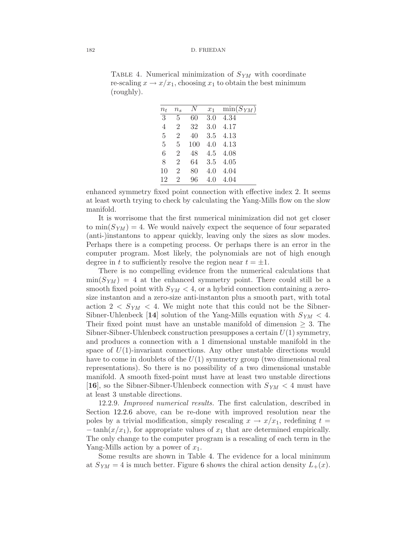| TABLE 4. Numerical minimization of $S_{YM}$ with coordinate          |  |  |  |  |
|----------------------------------------------------------------------|--|--|--|--|
| re-scaling $x \to x/x_1$ , choosing $x_1$ to obtain the best minimum |  |  |  |  |
| (roughly).                                                           |  |  |  |  |

<span id="page-51-0"></span>

| $n_{t}$        | $n_{s}$        | N   |     | $x_1$ min $(S_{YM})$ |
|----------------|----------------|-----|-----|----------------------|
| $\overline{3}$ | 5 <sup>5</sup> | 60  | 3.0 | 4.34                 |
| $\overline{4}$ | $\sqrt{2}$     | 32  |     | 3.0 4.17             |
| $\overline{5}$ | $\overline{2}$ | 40  |     | 3.5 4.13             |
| $\overline{5}$ | 5              | 100 |     | $4.0 \quad 4.13$     |
| 6              | $\overline{2}$ | 48  |     | 4.5 4.08             |
| 8              | $\overline{2}$ | 64  |     | 3.5 4.05             |
| 10             | $\overline{2}$ | 80  | 4.0 | 4.04                 |
| 12             | 2              | 96  | 4.0 | 4.04                 |

enhanced symmetry fixed point connection with effective index 2. It seems at least worth trying to check by calculating the Yang-Mills flow on the slow manifold.

It is worrisome that the first numerical minimization did not get closer to  $\min(S_{YM}) = 4$ . We would naively expect the sequence of four separated (anti-)instantons to appear quickly, leaving only the sizes as slow modes. Perhaps there is a competing process. Or perhaps there is an error in the computer program. Most likely, the polynomials are not of high enough degree in t to sufficiently resolve the region near  $t = \pm 1$ .

There is no compelling evidence from the numerical calculations that  $\min(S_{YM}) = 4$  at the enhanced symmetry point. There could still be a smooth fixed point with  $S_{YM}$  < 4, or a hybrid connection containing a zerosize instanton and a zero-size anti-instanton plus a smooth part, with total action  $2 < S_{YM} < 4$ . We might note that this could not be the Sibner-Sibner-Uhlenbeck [14] solution of the Yang-Mills equation with  $S_{YM} < 4$ . Their fixed point must have an unstable manifold of dimension  $\geq 3$ . The Sibner-Sibner-Uhlenbeck construction presupposes a certain  $U(1)$  symmetry, and produces a connection with a 1 dimensional unstable manifold in the space of  $U(1)$ -invariant connections. Any other unstable directions would have to come in doublets of the  $U(1)$  symmetry group (two dimensional real representations). So there is no possibility of a two dimensional unstable manifold. A smooth fixed-point must have at least two unstable directions [**16**], so the Sibner-Sibner-Uhlenbeck connection with  $S_{YM}$  < 4 must have at least 3 unstable directions.

12.2.9. *Improved numerical results.* The first calculation, described in Section [12.2.6](#page-46-0) above, can be re-done with improved resolution near the poles by a trivial modification, simply rescaling  $x \to x/x_1$ , redefining  $t =$  $-\tanh(x/x_1)$ , for appropriate values of  $x_1$  that are determined empirically. The only change to the computer program is a rescaling of each term in the Yang-Mills action by a power of  $x_1$ .

Some results are shown in Table [4.](#page-51-0) The evidence for a local minimum at  $S_{YM} = 4$  is much better. Figure [6](#page-52-0) shows the chiral action density  $L_{+}(x)$ .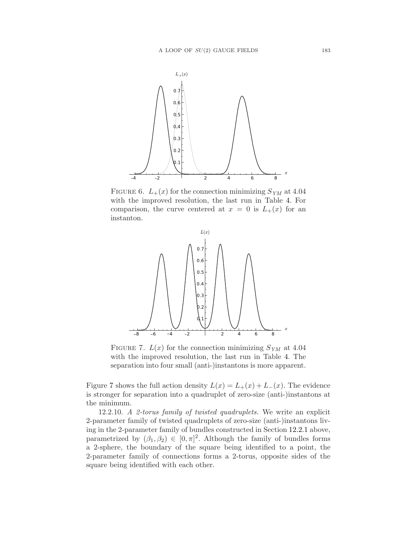

<span id="page-52-0"></span>FIGURE 6.  $L_{+}(x)$  for the connection minimizing  $S_{YM}$  at 4.04 with the improved resolution, the last run in Table [4.](#page-51-0) For comparison, the curve centered at  $x = 0$  is  $L_{+}(x)$  for an instanton.



<span id="page-52-1"></span>FIGURE 7.  $L(x)$  for the connection minimizing  $S_{YM}$  at 4.04 with the improved resolution, the last run in Table [4.](#page-51-0) The separation into four small (anti-)instantons is more apparent.

Figure [7](#page-52-1) shows the full action density  $L(x) = L_{+}(x) + L_{-}(x)$ . The evidence is stronger for separation into a quadruplet of zero-size (anti-)instantons at the minimum.

12.2.10. *A 2-torus family of twisted quadruplets.* We write an explicit 2-parameter family of twisted quadruplets of zero-size (anti-)instantons living in the 2-parameter family of bundles constructed in Section [12.2.1](#page-39-0) above, parametrized by  $(\beta_1, \beta_2) \in [0, \pi]^2$ . Although the family of bundles forms a 2-sphere, the boundary of the square being identified to a point, the 2-parameter family of connections forms a 2-torus, opposite sides of the square being identified with each other.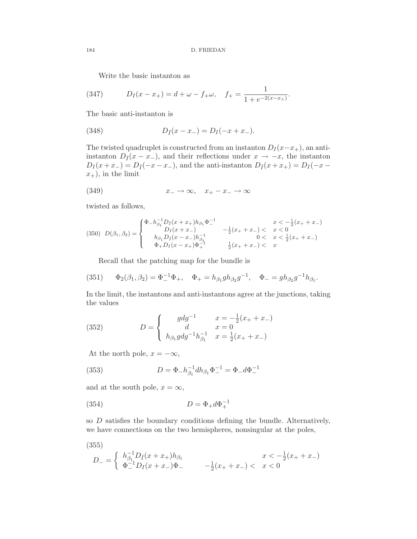Write the basic instanton as

(347) 
$$
D_I(x-x_+) = d + \omega - f_+\omega, \quad f_+ = \frac{1}{1 + e^{-2(x-x_+)}}.
$$

The basic anti-instanton is

(348) 
$$
D_{\bar{I}}(x-x_{-}) = D_{I}(-x+x_{-}).
$$

The twisted quadruplet is constructed from an instanton  $D_I(x-x_+)$ , an antiinstanton  $D_{\bar{I}}(x-x_{-})$ , and their reflections under  $x \to -x$ , the instanton  $D_I(x+x_-) = D_{\bar{I}}(-x-x_-)$ , and the anti-instanton  $D_{\bar{I}}(x+x_+) = D_I(-x-x_-)$ , in the limit  $x_{+}$ ), in the limit

$$
(349) \t\t x_-\to\infty, \t x_+\to x_-\to\infty
$$

twisted as follows,

$$
(350) \ D(\beta_1, \beta_2) = \begin{cases} \Phi_- h_{\beta_1}^{-1} D_{\bar{I}}(x+x_+) h_{\beta_1} \Phi_-^{-1} & x < -\frac{1}{2}(x_+ + x_-) \\ D_I(x+x_-) & -\frac{1}{2}(x_+ + x_-) < x < 0 \\ h_{\beta_1} D_{\bar{I}}(x-x_-) h_{\beta_1}^{-1} & 0 < x < \frac{1}{2}(x_+ + x_-) \\ \Phi_+ D_I(x-x_+) \Phi_+^{-1} & \frac{1}{2}(x_+ + x_-) < x \end{cases}
$$

Recall that the patching map for the bundle is

(351) 
$$
\Phi_2(\beta_1, \beta_2) = \Phi_-^{-1} \Phi_+, \quad \Phi_+ = h_{\beta_1} g h_{\beta_2} g^{-1}, \quad \Phi_- = g h_{\beta_2} g^{-1} h_{\beta_1}.
$$

In the limit, the instantons and anti-instantons agree at the junctions, taking the values

(352) 
$$
D = \begin{cases} g dg^{-1} & x = -\frac{1}{2}(x_+ + x_-) \\ d & x = 0 \\ h_{\beta_1} g dg^{-1} h_{\beta_1}^{-1} & x = \frac{1}{2}(x_+ + x_-) \end{cases}
$$

At the north pole,  $x = -\infty$ ,

(353) 
$$
D = \Phi_- h_{\beta_1}^{-1} dh_{\beta_1} \Phi_-^{-1} = \Phi_- d\Phi_-^{-1}
$$

and at the south pole,  $x = \infty$ ,

$$
(354) \t\t D = \Phi_+ d\Phi_+^{-1}
$$

so D satisfies the boundary conditions defining the bundle. Alternatively, we have connections on the two hemispheres, nonsingular at the poles,

(355)  
\n
$$
D_{-} = \begin{cases} h_{\beta_1}^{-1} D_{\bar{I}}(x + x_+) h_{\beta_1} & x < -\frac{1}{2}(x_+ + x_-) \\ \Phi_{-}^{-1} D_I(x + x_-) \Phi_{-} & -\frac{1}{2}(x_+ + x_-) < x < 0 \end{cases}
$$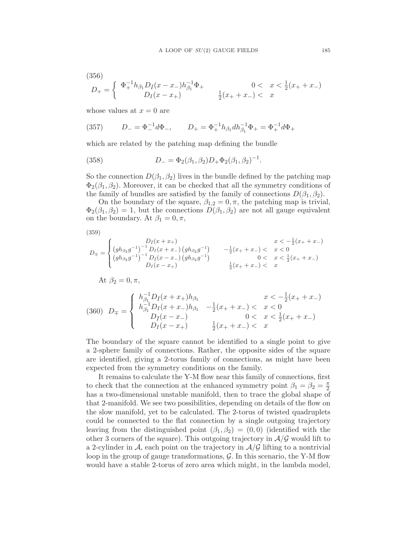(356)  
\n
$$
D_{+} = \begin{cases} \n\Phi_{+}^{-1}h_{\beta_{1}}D_{\bar{I}}(x-x_{-})h_{\beta_{1}}^{-1}\Phi_{+} & 0 < x < \frac{1}{2}(x_{+}+x_{-})\\ \nD_{I}(x-x_{+}) & \frac{1}{2}(x_{+}+x_{-}) < x \n\end{cases}
$$

whose values at  $x = 0$  are

(357) 
$$
D_{-} = \Phi_{-}^{-1} d\Phi_{-}, \qquad D_{+} = \Phi_{+}^{-1} h_{\beta_{1}} dh_{\beta_{1}}^{-1} \Phi_{+} = \Phi_{+}^{-1} d\Phi_{+}
$$

which are related by the patching map defining the bundle

(358) 
$$
D_{-} = \Phi_{2}(\beta_{1}, \beta_{2}) D_{+} \Phi_{2}(\beta_{1}, \beta_{2})^{-1}.
$$

So the connection  $D(\beta_1, \beta_2)$  lives in the bundle defined by the patching map  $\Phi_2(\beta_1, \beta_2)$ . Moreover, it can be checked that all the symmetry conditions of the family of bundles are satisfied by the family of connections  $D(\beta_1, \beta_2)$ .

On the boundary of the square,  $\beta_{1,2} = 0, \pi$ , the patching map is trivial,  $\Phi_2(\beta_1, \beta_2) = 1$ , but the connections  $D(\beta_1, \beta_2)$  are not all gauge equivalent on the boundary. At  $\beta_1 = 0, \pi$ ,

$$
(359)
$$

$$
D_{\mp} = \begin{cases} D_{\bar{I}}(x + x_{+}) & x < -\frac{1}{2}(x_{+} + x_{-}) \\ (gh_{\beta_{2}}g^{-1})^{-1} D_{I}(x + x_{-}) (gh_{\beta_{2}}g^{-1}) & -\frac{1}{2}(x_{+} + x_{-}) < x < 0 \\ (gh_{\beta_{2}}g^{-1})^{-1} D_{\bar{I}}(x - x_{-}) (gh_{\beta_{2}}g^{-1}) & 0 < x < \frac{1}{2}(x_{+} + x_{-}) \\ D_{I}(x - x_{+}) & \frac{1}{2}(x_{+} + x_{-}) < x \end{cases}
$$
  
At  $\beta_{2} = 0, \pi$ ,  

$$
D_{\mp} = \begin{cases} h_{\beta_{1}}^{-1} D_{\bar{I}}(x + x_{+})h_{\beta_{1}} & x < -\frac{1}{2}(x_{+} + x_{-}) \\ h_{\beta_{1}}^{-1} D_{I}(x + x_{-})h_{\beta_{1}} & -\frac{1}{2}(x_{+} + x_{-}) < x < 0 \\ D_{\bar{I}}(x - x_{-}) & 0 < x < \frac{1}{2}(x_{+} + x_{-}) \\ D_{I}(x - x_{+}) & \frac{1}{2}(x_{+} + x_{-}) < x \end{cases}
$$

The boundary of the square cannot be identified to a single point to give a 2-sphere family of connections. Rather, the opposite sides of the square are identified, giving a 2-torus family of connections, as might have been expected from the symmetry conditions on the family.

It remains to calculate the Y-M flow near this family of connections, first to check that the connection at the enhanced symmetry point  $\beta_1 = \beta_2 = \frac{\pi}{2}$ has a two-dimensional unstable manifold, then to trace the global shape of that 2-manifold. We see two possibilities, depending on details of the flow on the slow manifold, yet to be calculated. The 2-torus of twisted quadruplets could be connected to the flat connection by a single outgoing trajectory leaving from the distinguished point  $(\beta_1, \beta_2) = (0, 0)$  (identified with the other 3 corners of the square). This outgoing trajectory in  $A/G$  would lift to a 2-cylinder in A, each point on the trajectory in  $A/G$  lifting to a nontrivial loop in the group of gauge transformations,  $\mathcal{G}$ . In this scenario, the Y-M flow would have a stable 2-torus of zero area which might, in the lambda model,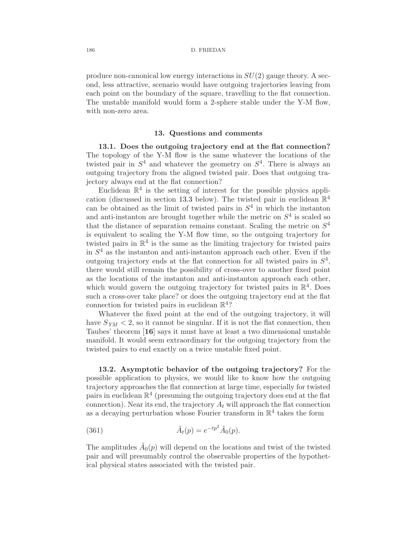produce non-canonical low energy interactions in  $SU(2)$  gauge theory. A second, less attractive, scenario would have outgoing trajectories leaving from each point on the boundary of the square, travelling to the flat connection. The unstable manifold would form a 2-sphere stable under the Y-M flow, with non-zero area.

#### **13. Questions and comments**

**13.1. Does the outgoing trajectory end at the flat connection?** The topology of the Y-M flow is the same whatever the locations of the twisted pair in  $S<sup>4</sup>$  and whatever the geometry on  $S<sup>4</sup>$ . There is always an outgoing trajectory from the aligned twisted pair. Does that outgoing trajectory always end at the flat connection?

Euclidean  $\mathbb{R}^4$  is the setting of interest for the possible physics appli-cation (discussed in section [13.3](#page-56-0) below). The twisted pair in euclidean  $\mathbb{R}^4$ can be obtained as the limit of twisted pairs in  $S<sup>4</sup>$  in which the instanton and anti-instanton are brought together while the metric on  $S<sup>4</sup>$  is scaled so that the distance of separation remains constant. Scaling the metric on  $S<sup>4</sup>$ is equivalent to scaling the Y-M flow time, so the outgoing trajectory for twisted pairs in  $\mathbb{R}^4$  is the same as the limiting trajectory for twisted pairs in  $S<sup>4</sup>$  as the instanton and anti-instanton approach each other. Even if the outgoing trajectory ends at the flat connection for all twisted pairs in  $S<sup>4</sup>$ , there would still remain the possibility of cross-over to another fixed point as the locations of the instanton and anti-instanton approach each other, which would govern the outgoing trajectory for twisted pairs in  $\mathbb{R}^4$ . Does such a cross-over take place? or does the outgoing trajectory end at the flat connection for twisted pairs in euclidean  $\mathbb{R}^4$ ?

Whatever the fixed point at the end of the outgoing trajectory, it will have  $S_{YM}$  < 2, so it cannot be singular. If it is not the flat connection, then Taubes' theorem [**16**] says it must have at least a two dimensional unstable manifold. It would seem extraordinary for the outgoing trajectory from the twisted pairs to end exactly on a twice unstable fixed point.

**13.2. Asymptotic behavior of the outgoing trajectory?** For the possible application to physics, we would like to know how the outgoing trajectory approaches the flat connection at large time, especially for twisted pairs in euclidean  $\mathbb{R}^4$  (presuming the outgoing trajectory does end at the flat connection). Near its end, the trajectory  $A_t$  will approach the flat connection as a decaying perturbation whose Fourier transform in  $\mathbb{R}^4$  takes the form

(361) 
$$
\tilde{A}_t(p) = e^{-tp^2} \tilde{A}_0(p).
$$

The amplitudes  $\tilde{A}_0(p)$  will depend on the locations and twist of the twisted pair and will presumably control the observable properties of the hypothetical physical states associated with the twisted pair.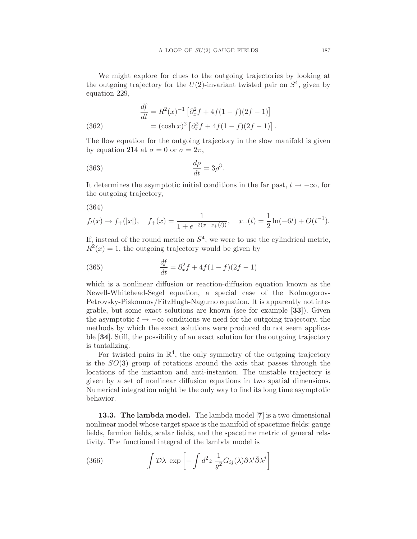We might explore for clues to the outgoing trajectories by looking at the outgoing trajectory for the  $U(2)$ -invariant twisted pair on  $S<sup>4</sup>$ , given by equation [229,](#page-35-0)

(362) 
$$
\frac{df}{dt} = R^2(x)^{-1} \left[ \partial_x^2 f + 4f(1-f)(2f-1) \right] \n= (\cosh x)^2 \left[ \partial_x^2 f + 4f(1-f)(2f-1) \right].
$$

The flow equation for the outgoing trajectory in the slow manifold is given by equation [214](#page-33-0) at  $\sigma = 0$  or  $\sigma = 2\pi$ ,

(363) 
$$
\frac{d\rho}{dt} = 3\rho^3.
$$

It determines the asymptotic initial conditions in the far past,  $t \to -\infty$ , for the outgoing trajectory,

$$
(364)
$$

$$
f_t(x) \to f_+(|x|), \quad f_+(x) = \frac{1}{1 + e^{-2(x - x_+(t))}}, \quad x_+(t) = \frac{1}{2}\ln(-6t) + O(t^{-1}).
$$

If, instead of the round metric on  $S<sup>4</sup>$ , we were to use the cylindrical metric,  $R^2(x) = 1$ , the outgoing trajectory would be given by

(365) 
$$
\frac{df}{dt} = \partial_x^2 f + 4f(1-f)(2f-1)
$$

which is a nonlinear diffusion or reaction-diffusion equation known as the Newell-Whitehead-Segel equation, a special case of the Kolmogorov-Petrovsky-Piskounov/FitzHugh-Nagumo equation. It is apparently not integrable, but some exact solutions are known (see for example [**33**]). Given the asymptotic  $t \to -\infty$  conditions we need for the outgoing trajectory, the methods by which the exact solutions were produced do not seem applicable [**34**]. Still, the possibility of an exact solution for the outgoing trajectory is tantalizing.

For twisted pairs in  $\mathbb{R}^4$ , the only symmetry of the outgoing trajectory is the  $SO(3)$  group of rotations around the axis that passes through the locations of the instanton and anti-instanton. The unstable trajectory is given by a set of nonlinear diffusion equations in two spatial dimensions. Numerical integration might be the only way to find its long time asymptotic behavior.

<span id="page-56-0"></span>**13.3. The lambda model.** The lambda model [**7**] is a two-dimensional nonlinear model whose target space is the manifold of spacetime fields: gauge fields, fermion fields, scalar fields, and the spacetime metric of general relativity. The functional integral of the lambda model is

(366) 
$$
\int \mathcal{D}\lambda \exp\left[-\int d^2z \frac{1}{g^2} G_{ij}(\lambda)\partial \lambda^i \bar{\partial} \lambda^j\right]
$$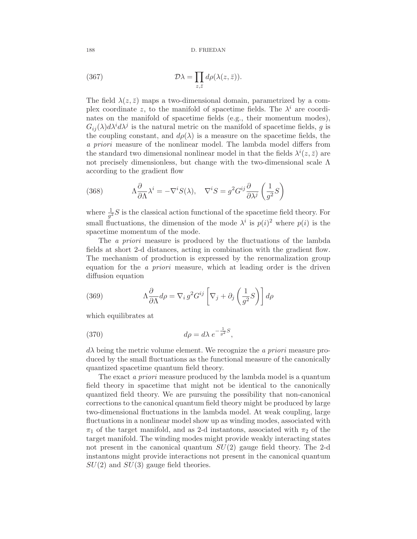188 D. FRIEDAN

(367) 
$$
\mathcal{D}\lambda = \prod_{z,\bar{z}} d\rho(\lambda(z,\bar{z})).
$$

The field  $\lambda(z,\bar{z})$  maps a two-dimensional domain, parametrized by a complex coordinate z, to the manifold of spacetime fields. The  $\lambda^i$  are coordinates on the manifold of spacetime fields (e.g., their momentum modes),  $G_{ij}(\lambda)d\lambda^i d\lambda^j$  is the natural metric on the manifold of spacetime fields, g is<br>the coupling constant, and  $d\rho(\lambda)$  is a massure on the spacetime fields, the the coupling constant, and  $d\rho(\lambda)$  is a measure on the spacetime fields, the *a priori* measure of the nonlinear model. The lambda model differs from the standard two dimensional nonlinear model in that the fields  $\lambda^{i}(z,\bar{z})$  are not precisely dimensionless, but change with the two-dimensional scale  $\Lambda$ according to the gradient flow

(368) 
$$
\Lambda \frac{\partial}{\partial \Lambda} \lambda^i = -\nabla^i S(\lambda), \quad \nabla^i S = g^2 G^{ij} \frac{\partial}{\partial \lambda^j} \left( \frac{1}{g^2} S \right)
$$

where  $\frac{1}{g^2}S$  is the classical action functional of the spacetime field theory. For<br>small fluctuations, the dimension of the mode  $\lambda^i$  is  $x(i)$ ? where  $x(i)$  is the small fluctuations, the dimension of the mode  $\lambda^i$  is  $p(i)^2$  where  $p(i)$  is the spacetime momentum of the mode.

The *a priori* measure is produced by the fluctuations of the lambda fields at short 2-d distances, acting in combination with the gradient flow. The mechanism of production is expressed by the renormalization group equation for the *a priori* measure, which at leading order is the driven diffusion equation

(369) 
$$
\Lambda \frac{\partial}{\partial \Lambda} d\rho = \nabla_i g^2 G^{ij} \left[ \nabla_j + \partial_j \left( \frac{1}{g^2} S \right) \right] d\rho
$$

which equilibrates at

(370) 
$$
d\rho = d\lambda \; e^{-\frac{1}{g^2}S},
$$

dλ being the metric volume element. We recognize the *a priori* measure produced by the small fluctuations as the functional measure of the canonically quantized spacetime quantum field theory.

The exact *a priori* measure produced by the lambda model is a quantum field theory in spacetime that might not be identical to the canonically quantized field theory. We are pursuing the possibility that non-canonical corrections to the canonical quantum field theory might be produced by large two-dimensional fluctuations in the lambda model. At weak coupling, large fluctuations in a nonlinear model show up as winding modes, associated with  $\pi_1$  of the target manifold, and as 2-d instantons, associated with  $\pi_2$  of the target manifold. The winding modes might provide weakly interacting states not present in the canonical quantum  $SU(2)$  gauge field theory. The 2-d instantons might provide interactions not present in the canonical quantum  $SU(2)$  and  $SU(3)$  gauge field theories.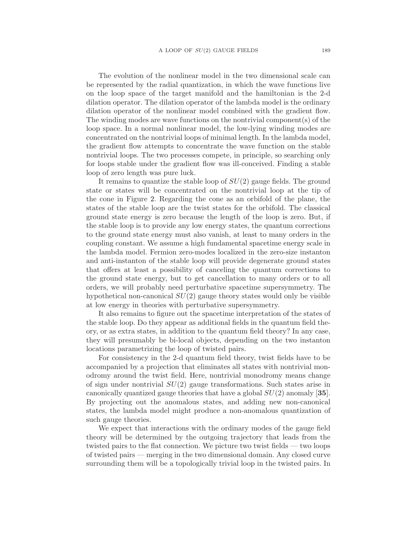The evolution of the nonlinear model in the two dimensional scale can be represented by the radial quantization, in which the wave functions live on the loop space of the target manifold and the hamiltonian is the 2-d dilation operator. The dilation operator of the lambda model is the ordinary dilation operator of the nonlinear model combined with the gradient flow. The winding modes are wave functions on the nontrivial component(s) of the loop space. In a normal nonlinear model, the low-lying winding modes are concentrated on the nontrivial loops of minimal length. In the lambda model, the gradient flow attempts to concentrate the wave function on the stable nontrivial loops. The two processes compete, in principle, so searching only for loops stable under the gradient flow was ill-conceived. Finding a stable loop of zero length was pure luck.

It remains to quantize the stable loop of  $SU(2)$  gauge fields. The ground state or states will be concentrated on the nontrivial loop at the tip of the cone in Figure [2.](#page-9-0) Regarding the cone as an orbifold of the plane, the states of the stable loop are the twist states for the orbifold. The classical ground state energy is zero because the length of the loop is zero. But, if the stable loop is to provide any low energy states, the quantum corrections to the ground state energy must also vanish, at least to many orders in the coupling constant. We assume a high fundamental spacetime energy scale in the lambda model. Fermion zero-modes localized in the zero-size instanton and anti-instanton of the stable loop will provide degenerate ground states that offers at least a possibility of canceling the quantum corrections to the ground state energy, but to get cancellation to many orders or to all orders, we will probably need perturbative spacetime supersymmetry. The hypothetical non-canonical  $SU(2)$  gauge theory states would only be visible at low energy in theories with perturbative supersymmetry.

It also remains to figure out the spacetime interpretation of the states of the stable loop. Do they appear as additional fields in the quantum field theory, or as extra states, in addition to the quantum field theory? In any case, they will presumably be bi-local objects, depending on the two instanton locations parametrizing the loop of twisted pairs.

For consistency in the 2-d quantum field theory, twist fields have to be accompanied by a projection that eliminates all states with nontrivial monodromy around the twist field. Here, nontrivial monodromy means change of sign under nontrivial  $SU(2)$  gauge transformations. Such states arise in canonically quantized gauge theories that have a global SU(2) anomaly [**35**]. By projecting out the anomalous states, and adding new non-canonical states, the lambda model might produce a non-anomalous quantization of such gauge theories.

We expect that interactions with the ordinary modes of the gauge field theory will be determined by the outgoing trajectory that leads from the twisted pairs to the flat connection. We picture two twist fields — two loops of twisted pairs — merging in the two dimensional domain. Any closed curve surrounding them will be a topologically trivial loop in the twisted pairs. In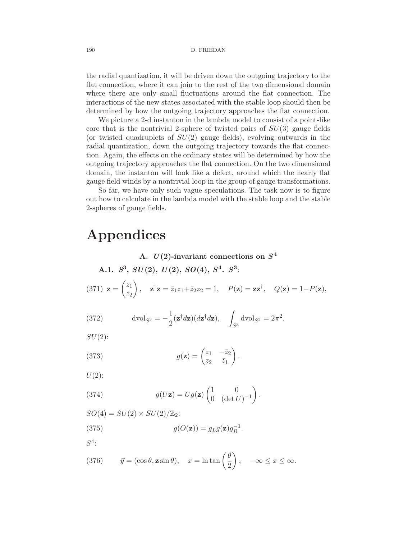190 D. FRIEDAN

the radial quantization, it will be driven down the outgoing trajectory to the flat connection, where it can join to the rest of the two dimensional domain where there are only small fluctuations around the flat connection. The interactions of the new states associated with the stable loop should then be determined by how the outgoing trajectory approaches the flat connection.

We picture a 2-d instanton in the lambda model to consist of a point-like core that is the nontrivial 2-sphere of twisted pairs of  $SU(3)$  gauge fields (or twisted quadruplets of  $SU(2)$  gauge fields), evolving outwards in the radial quantization, down the outgoing trajectory towards the flat connection. Again, the effects on the ordinary states will be determined by how the outgoing trajectory approaches the flat connection. On the two dimensional domain, the instanton will look like a defect, around which the nearly flat gauge field winds by a nontrivial loop in the group of gauge transformations.

So far, we have only such vague speculations. The task now is to figure out how to calculate in the lambda model with the stable loop and the stable 2-spheres of gauge fields.

# **Appendices**

A.  $U(2)$ -invariant connections on  $S<sup>4</sup>$ 

**A.1.** 
$$
S^3
$$
,  $SU(2)$ ,  $U(2)$ ,  $SO(4)$ ,  $S^4$ .  $S^3$ :  
\n(371)  $\mathbf{z} = \begin{pmatrix} z_1 \\ z_2 \end{pmatrix}$ ,  $\mathbf{z}^{\dagger} \mathbf{z} = \bar{z}_1 z_1 + \bar{z}_2 z_2 = 1$ ,  $P(\mathbf{z}) = \mathbf{z} \mathbf{z}^{\dagger}$ ,  $Q(\mathbf{z}) = 1 - P(\mathbf{z})$ ,  
\n(372) 
$$
dvol_{S^3} = -\frac{1}{2} (\mathbf{z}^{\dagger} d\mathbf{z}) (d\mathbf{z}^{\dagger} d\mathbf{z})
$$
,  $\int_{S^3} dvol_{S^3} = 2\pi^2$ .

 $SU(2)$ :

(373) 
$$
g(\mathbf{z}) = \begin{pmatrix} z_1 & -\bar{z}_2 \\ z_2 & \bar{z}_1 \end{pmatrix}.
$$

 $U(2)$ :

(374) 
$$
g(U\mathbf{z}) = Ug(\mathbf{z})\begin{pmatrix} 1 & 0\\ 0 & (\det U)^{-1} \end{pmatrix}.
$$

 $SO(4) = SU(2) \times SU(2)/\mathbb{Z}_2$ :

(375) 
$$
g(O(\mathbf{z})) = g_L g(\mathbf{z}) g_R^{-1}.
$$

 $S^4$ :

(376) 
$$
\vec{y} = (\cos \theta, \mathbf{z} \sin \theta), \quad x = \ln \tan \left(\frac{\theta}{2}\right), \quad -\infty \leq x \leq \infty.
$$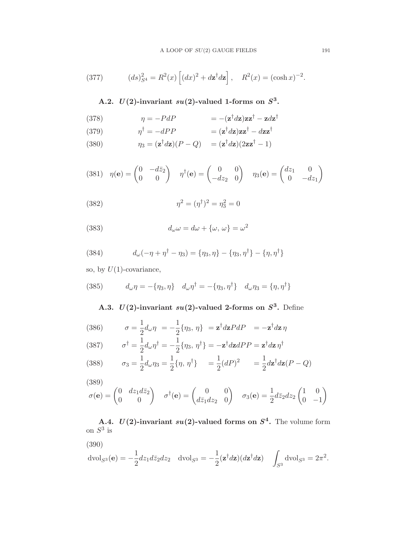(377) 
$$
(ds)_{S^4}^2 = R^2(x) \left[ (dx)^2 + d\mathbf{z}^\dagger d\mathbf{z} \right], \quad R^2(x) = (\cosh x)^{-2}.
$$

# <span id="page-60-0"></span>A.2.  $U(2)$ -invariant  $su(2)$ -valued 1-forms on  $S^3$ .

(378) 
$$
\eta = -PdP \qquad \qquad = -(\mathbf{z}^{\dagger}d\mathbf{z})\mathbf{z}\mathbf{z}^{\dagger} - \mathbf{z}d\mathbf{z}^{\dagger}
$$

(379) 
$$
\eta^{\dagger} = -dPP \qquad \qquad = (\mathbf{z}^{\dagger} d\mathbf{z}) \mathbf{z} \mathbf{z}^{\dagger} - d\mathbf{z} \mathbf{z}^{\dagger}
$$

(380) 
$$
\eta_3 = (\mathbf{z}^\dagger d\mathbf{z})(P - Q) = (\mathbf{z}^\dagger d\mathbf{z})(2\mathbf{z}\mathbf{z}^\dagger - 1)
$$

(381) 
$$
\eta(\mathbf{e}) = \begin{pmatrix} 0 & -d\overline{z}_2 \\ 0 & 0 \end{pmatrix} \quad \eta^{\dagger}(\mathbf{e}) = \begin{pmatrix} 0 & 0 \\ -dz_2 & 0 \end{pmatrix} \quad \eta_3(\mathbf{e}) = \begin{pmatrix} dz_1 & 0 \\ 0 & -dz_1 \end{pmatrix}
$$

(382) 
$$
\eta^2 = (\eta^{\dagger})^2 = \eta_3^2 = 0
$$

(383) 
$$
d_{\omega}\omega = d\omega + {\omega, \omega} = \omega^2
$$

(384) 
$$
d_{\omega}(-\eta + \eta^{\dagger} - \eta_3) = {\eta_3, \eta} - {\eta_3, \eta^{\dagger}} - {\eta, \eta^{\dagger}}
$$

so, by  $U(1)$ -covariance,

(385) 
$$
d_{\omega}\eta = -\{\eta_3, \eta\} \quad d_{\omega}\eta^{\dagger} = -\{\eta_3, \eta^{\dagger}\} \quad d_{\omega}\eta_3 = \{\eta, \eta^{\dagger}\}
$$

# **A.3.**  $U(2)$ -invariant  $su(2)$ -valued 2-forms on  $S^3$ . Define

(386) 
$$
\sigma = \frac{1}{2}d_{\omega}\eta = -\frac{1}{2}\{\eta_3, \eta\} = \mathbf{z}^{\dagger}d\mathbf{z}PdP = -\mathbf{z}^{\dagger}d\mathbf{z}\eta
$$

(387) 
$$
\sigma^{\dagger} = \frac{1}{2} d_{\omega} \eta^{\dagger} = -\frac{1}{2} \{\eta_3, \eta^{\dagger}\} = -\mathbf{z}^{\dagger} d\mathbf{z} dP P = \mathbf{z}^{\dagger} d\mathbf{z} \eta^{\dagger}
$$

(388) 
$$
\sigma_3 = \frac{1}{2} d_{\omega} \eta_3 = \frac{1}{2} {\eta, \eta^{\dagger}} = \frac{1}{2} (dP)^2 = \frac{1}{2} d\mathbf{z}^{\dagger} d\mathbf{z} (P - Q)
$$

(389)

$$
\sigma(\mathbf{e}) = \begin{pmatrix} 0 & dz_1 d\bar{z}_2 \\ 0 & 0 \end{pmatrix} \quad \sigma^{\dagger}(\mathbf{e}) = \begin{pmatrix} 0 & 0 \\ d\bar{z}_1 dz_2 & 0 \end{pmatrix} \quad \sigma_3(\mathbf{e}) = \frac{1}{2} d\bar{z}_2 dz_2 \begin{pmatrix} 1 & 0 \\ 0 & -1 \end{pmatrix}
$$

**A.4.**  $U(2)$ -invariant  $su(2)$ -valued forms on  $S<sup>4</sup>$ . The volume form on  $S^3$  is

$$
(390)
$$

$$
\mathrm{dvol}_{S^3}(\mathbf{e}) = -\frac{1}{2}dz_1d\bar{z}_2dz_2 \quad \mathrm{dvol}_{S^3} = -\frac{1}{2}(\mathbf{z}^\dagger d\mathbf{z})(d\mathbf{z}^\dagger d\mathbf{z}) \quad \int_{S^3} \mathrm{dvol}_{S^3} = 2\pi^2.
$$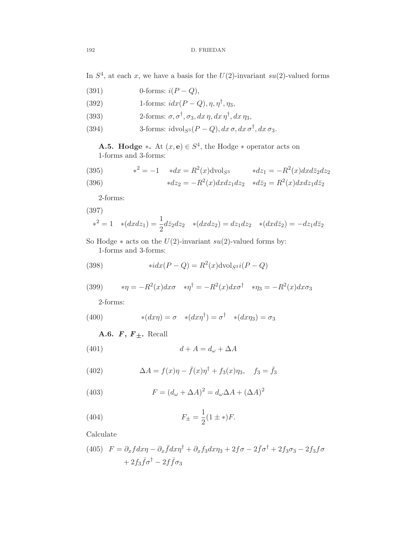In  $S^4$ , at each x, we have a basis for the  $U(2)$ -invariant su(2)-valued forms

(391) 0-forms:  $i(P - Q)$ ,

(392) 1-forms: 
$$
idx(P - Q), \eta, \eta^{\dagger}, \eta_3,
$$

- (393) 2-forms:  $\sigma, \sigma^{\dagger}, \sigma_3, dx \eta, dx \eta^{\dagger}, dx \eta_3$ ,
- (394) 3-forms:  $i\text{dvol}_{S^3}(P-Q)$ ,  $dx \sigma$ ,  $dx \sigma^{\dagger}$ ,  $dx \sigma_3$ .

**A.5. Hodge**  $\ast$ **.** At  $(x, e) \in S^4$ , the Hodge  $\ast$  operator acts on 1-forms and 3-forms:

(395) 
$$
*^{2} = -1 \quad *dx = R^{2}(x) \text{dvol}_{S^{3}} \quad *dz_{1} = -R^{2}(x) dx d\bar{z}_{2} dz_{2}
$$

$$
*dz_{2} = -R^{2}(x) dx dz_{1} dz_{2} \quad *d\bar{z}_{2} = R^{2}(x) dx dz_{1} d\bar{z}_{2}
$$

2-forms:

(397)  
\n
$$
*^2 = 1 \quad *(dxdz_1) = \frac{1}{2}d\overline{z}_2dz_2 \quad *(dxdz_2) = dz_1dz_2 \quad *(dxd\overline{z}_2) = -dz_1d\overline{z}_2
$$

So Hodge  $*$  acts on the  $U(2)$ -invariant su(2)-valued forms by:

1-forms and 3-forms:

(398) 
$$
*idx(P - Q) = R^2(x) \text{dvol}_{S^3}i(P - Q)
$$

(399) 
$$
*\eta = -R^2(x)dx\sigma \quad *\eta^{\dagger} = -R^2(x)dx\sigma^{\dagger} \quad *\eta_3 = -R^2(x)dx\sigma_3
$$

2-forms:

(400) 
$$
\ast(dx\eta) = \sigma \quad \ast(dx\eta^{\dagger}) = \sigma^{\dagger} \quad \ast(dx\eta_3) = \sigma_3
$$

**A.6.** *<sup>F</sup>***,** *<sup>F</sup> <sup>±</sup>***.** Recall

(401) 
$$
d + A = d_{\omega} + \Delta A
$$

(402) 
$$
\Delta A = f(x)\eta - \bar{f}(x)\eta^{\dagger} + f_3(x)\eta_3, \quad f_3 = \bar{f}_3
$$

(403) 
$$
F = (d_{\omega} + \Delta A)^2 = d_{\omega} \Delta A + (\Delta A)^2
$$

(404) 
$$
F_{\pm} = \frac{1}{2}(1 \pm *)F.
$$

Calculate

(405) 
$$
F = \partial_x f dx \eta - \partial_x \bar{f} dx \eta^{\dagger} + \partial_x f_3 dx \eta_3 + 2f \sigma - 2 \bar{f} \sigma^{\dagger} + 2 f_3 \sigma_3 - 2 f_3 f \sigma + 2 f_3 \bar{f} \sigma^{\dagger} - 2 f \bar{f} \sigma_3
$$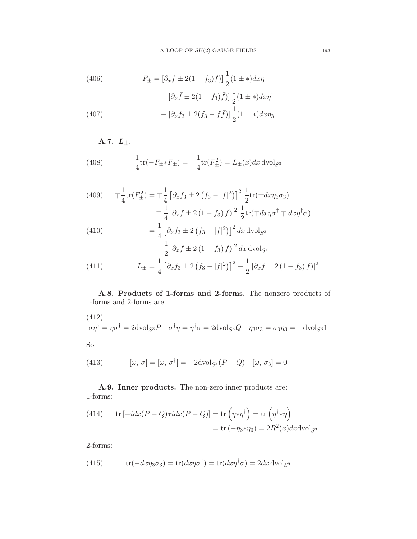(406)  
\n
$$
F_{\pm} = [\partial_x f \pm 2(1 - f_3)f)] \frac{1}{2} (1 \pm *) dx \eta
$$
\n
$$
- [\partial_x \bar{f} \pm 2(1 - f_3)\bar{f})] \frac{1}{2} (1 \pm *) dx \eta^{\dagger}
$$
\n(407)  
\n
$$
+ [\partial_x f_3 \pm 2(f_3 - f_3)] \frac{1}{2} (1 \pm *) dx \eta_3
$$

## **A.7.** *<sup>L</sup>±***.**

(408) 
$$
\frac{1}{4}\text{tr}(-F_{\pm}*F_{\pm}) = \mp \frac{1}{4}\text{tr}(F_{\pm}^2) = L_{\pm}(x)dx \text{ dvol}_{S^3}
$$

(409) 
$$
\mp \frac{1}{4} \text{tr}(F_{\pm}^2) = \mp \frac{1}{4} \left[ \partial_x f_3 \pm 2 \left( f_3 - |f|^2 \right) \right]^2 \frac{1}{2} \text{tr}(\pm dx \eta_3 \sigma_3)
$$

$$
= \frac{1}{4} \left[ \partial_x f \pm 2 \left( 1 - f_3 \right) f \right]^2 \frac{1}{2} \text{tr}(\mp dx \eta \sigma^{\dagger} \mp dx \eta^{\dagger} \sigma)
$$

$$
= \frac{1}{4} \left[ \partial_x f_3 \pm 2 \left( f_3 - |f|^2 \right) \right]^2 dx \, \text{dvol}_{S^3}
$$

$$
+ \frac{1}{2} \left[ \partial_x f \pm 2 \left( 1 - f_3 \right) f \right]^2 dx \, \text{dvol}_{S^3}
$$

(411) 
$$
L_{\pm} = \frac{1}{4} \left[ \partial_x f_3 \pm 2 \left( f_3 - |f|^2 \right) \right]^2 + \frac{1}{2} \left[ \partial_x f \pm 2 \left( 1 - f_3 \right) f \right]^2
$$

**A.8. Products of 1-forms and 2-forms.** The nonzero products of 1-forms and 2-forms are

(412)  
\n
$$
\sigma \eta^{\dagger} = \eta \sigma^{\dagger} = 2 \text{dvol}_{S^3} P \quad \sigma^{\dagger} \eta = \eta^{\dagger} \sigma = 2 \text{dvol}_{S^3} Q \quad \eta_3 \sigma_3 = \sigma_3 \eta_3 = -\text{dvol}_{S^3} \mathbf{1}
$$
\nSo

(413) 
$$
[\omega, \sigma] = [\omega, \sigma^{\dagger}] = -2 \text{dvol}_{S^3}(P - Q) \quad [\omega, \sigma_3] = 0
$$

**A.9. Inner products.** The non-zero inner products are: 1-forms:

(414) 
$$
\text{tr}\left[-i dx (P - Q) * i dx (P - Q)\right] = \text{tr}\left(\eta * \eta^{\dagger}\right) = \text{tr}\left(\eta^{\dagger} * \eta\right)
$$

$$
= \text{tr}\left(-\eta * \eta\right) = 2R^2(x) dxd\text{vol}_{S^3}
$$

2-forms:

(415) 
$$
\operatorname{tr}(-dx\eta_3\sigma_3) = \operatorname{tr}(dx\eta\sigma^{\dagger}) = \operatorname{tr}(dx\eta^{\dagger}\sigma) = 2dx \operatorname{dvol}_{S^3}
$$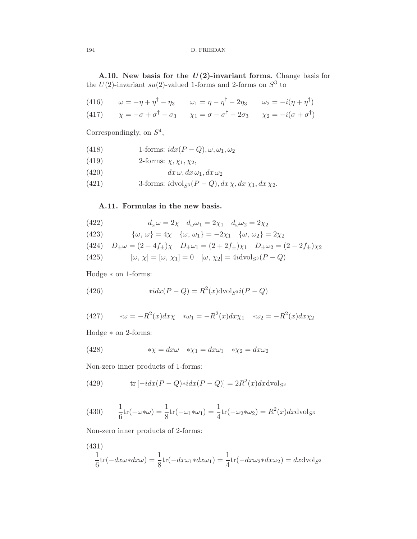**A.10. New basis for the** *U* **(2)-invariant forms.** Change basis for the  $U(2)$ -invariant su(2)-valued 1-forms and 2-forms on  $S^3$  to

(416) 
$$
\omega = -\eta + \eta^{\dagger} - \eta_3 \qquad \omega_1 = \eta - \eta^{\dagger} - 2\eta_3 \qquad \omega_2 = -i(\eta + \eta^{\dagger})
$$

(417) 
$$
\chi = -\sigma + \sigma^{\dagger} - \sigma_3 \qquad \chi_1 = \sigma - \sigma^{\dagger} - 2\sigma_3 \qquad \chi_2 = -i(\sigma + \sigma^{\dagger})
$$

Correspondingly, on  $S^4$ ,

(418) 1-forms: 
$$
idx(P - Q), \omega, \omega_1, \omega_2
$$

- (419) 2-forms:  $\chi, \chi_1, \chi_2$ ,
- (420)  $dx \omega, dx \omega_1, dx \omega_2$
- (421) 3-forms:  $i dvol_{S^3}(P-Q)$ ,  $dx \chi$ ,  $dx \chi_1$ ,  $dx \chi_2$ .

### **A.11. Formulas in the new basis.**

| (422) | $d_{\omega} \omega = 2\chi \quad d_{\omega} \omega_1 = 2\chi_1 \quad d_{\omega} \omega_2 = 2\chi_2$                          |  |
|-------|------------------------------------------------------------------------------------------------------------------------------|--|
|       | (423) $\{\omega, \omega\} = 4\chi \quad \{\omega, \omega_1\} = -2\chi_1 \quad \{\omega, \omega_2\} = 2\chi_2$                |  |
|       | (424) $D_{\pm}\omega = (2 - 4f_{\pm})\chi$ $D_{\pm}\omega_1 = (2 + 2f_{\pm})\chi_1$ $D_{\pm}\omega_2 = (2 - 2f_{\pm})\chi_2$ |  |

(425)  $[\omega, \chi] = [\omega, \chi_1] = 0 \quad [\omega, \chi_2] = 4i \text{dvol}_{S^3} (P - Q)$ 

Hodge ∗ on 1-forms:

(426) 
$$
*idx(P - Q) = R^2(x) \text{dvol}_{S^3}i(P - Q)
$$

(427) 
$$
*\omega = -R^2(x)dx\chi \quad *\omega_1 = -R^2(x)dx\chi_1 \quad *\omega_2 = -R^2(x)dx\chi_2
$$

Hodge ∗ on 2-forms:

(428) 
$$
*\chi = dx \omega * \chi_1 = dx \omega_1 * \chi_2 = dx \omega_2
$$

Non-zero inner products of 1-forms:

(429) 
$$
\text{tr}\left[-i dx (P - Q) * i dx (P - Q)\right] = 2R^2(x) dx \text{dvol}_{S^3}
$$

(430) 
$$
\frac{1}{6}\text{tr}(-\omega*\omega) = \frac{1}{8}\text{tr}(-\omega_1*\omega_1) = \frac{1}{4}\text{tr}(-\omega_2*\omega_2) = R^2(x)dxd\text{vol}_{S^3}
$$

Non-zero inner products of 2-forms:

(431)  
\n
$$
\frac{1}{6}\text{tr}(-dx\omega * dx\omega) = \frac{1}{8}\text{tr}(-dx\omega_1 * dx\omega_1) = \frac{1}{4}\text{tr}(-dx\omega_2 * dx\omega_2) = dx\text{dvol}_{S^3}
$$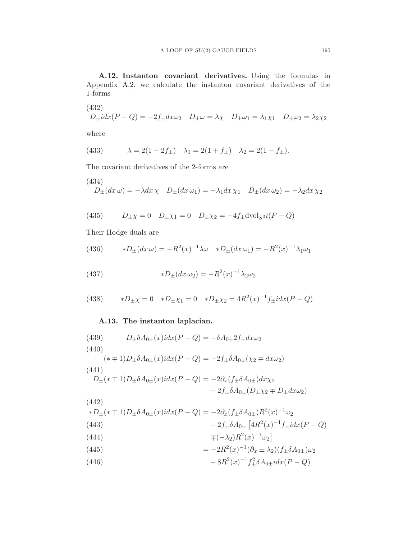**A.12. Instanton covariant derivatives.** Using the formulas in Appendix [A.2,](#page-60-0) we calculate the instanton covariant derivatives of the 1-forms

(432)  
\n
$$
D_{\pm}idx(P-Q) = -2f_{\pm}dx\omega_2 \quad D_{\pm}\omega = \lambda\chi \quad D_{\pm}\omega_1 = \lambda_1\chi_1 \quad D_{\pm}\omega_2 = \lambda_2\chi_2
$$

where

(433) 
$$
\lambda = 2(1 - 2f_{\pm}) \quad \lambda_1 = 2(1 + f_{\pm}) \quad \lambda_2 = 2(1 - f_{\pm}).
$$

The covariant derivatives of the 2-forms are

(434)  
\n
$$
D_{\pm}(dx \omega) = -\lambda dx \chi \quad D_{\pm}(dx \omega_1) = -\lambda_1 dx \chi_1 \quad D_{\pm}(dx \omega_2) = -\lambda_2 dx \chi_2
$$

(435) 
$$
D_{\pm} \chi = 0
$$
  $D_{\pm} \chi_1 = 0$   $D_{\pm} \chi_2 = -4 f_{\pm} \text{dvol}_{S^3} i (P - Q)$ 

Their Hodge duals are

(436) 
$$
*D_{\pm}(dx \omega) = -R^2(x)^{-1}\lambda \omega \quad *D_{\pm}(dx \omega_1) = -R^2(x)^{-1}\lambda_1 \omega_1
$$

(437) 
$$
*D_{\pm}(dx \,\omega_2) = -R^2(x)^{-1}\lambda_2\omega_2
$$

(438) 
$$
*D_{\pm} \chi = 0 \quad *D_{\pm} \chi_1 = 0 \quad *D_{\pm} \chi_2 = 4R^2(x)^{-1} f_{\pm} i dx (P - Q)
$$

## <span id="page-64-0"></span>**A.13. The instanton laplacian.**

(439) 
$$
D_{\pm}\delta A_{0\pm}(x)idx(P-Q) = -\delta A_{0\pm}2f_{\pm}dx\omega_{2}
$$
\n(440)  
\n
$$
(*)\mp 1)D_{\pm}\delta A_{0\pm}(x)idx(P-Q) = -2f_{\pm}\delta A_{0\pm}(\chi_{2} \mp dx\omega_{2})
$$
\n(441)  
\n
$$
D_{\pm}(**+1)D_{\pm}\delta A_{0\pm}(x)idx(P-Q) = -2\partial_{x}(f_{\pm}\delta A_{0\pm})dx\chi_{2}
$$
\n
$$
-2f_{\pm}\delta A_{0\pm}(D_{\pm}\chi_{2} \mp D_{\pm}dx\omega_{2})
$$
\n(442)  
\n
$$
*D_{\pm}(*\mp 1)D_{\pm}\delta A_{0\pm}(x)idx(P-Q) = -2\partial_{x}(f_{\pm}\delta A_{0\pm})R^{2}(x)^{-1}\omega_{2}
$$
\n(443)  
\n
$$
-2f_{\pm}\delta A_{0\pm}[4R^{2}(x)^{-1}f_{\pm}idx(P-Q)
$$
\n(444)  
\n
$$
\mp(-\lambda_{2})R^{2}(x)^{-1}\omega_{2}]
$$
\n(445)  
\n
$$
= -2R^{2}(x)^{-1}(\partial_{x} \pm \lambda_{2})(f_{\pm}\delta A_{0\pm})\omega_{2}
$$
\n(446)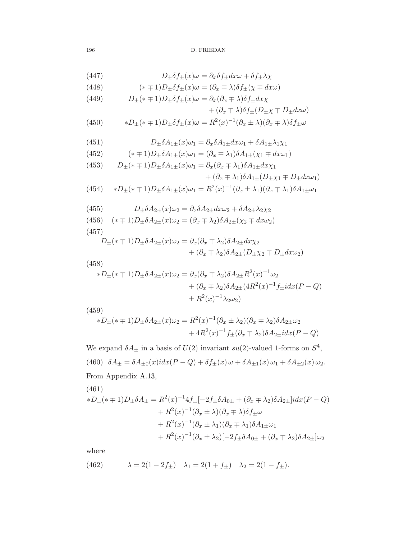196 D. FRIEDAN

(447) 
$$
D_{\pm}\delta f_{\pm}(x)\omega = \partial_x \delta f_{\pm} dx \omega + \delta f_{\pm} \lambda \chi
$$

(448) 
$$
(* \mp 1)D_{\pm}\delta f_{\pm}(x)\omega = (\partial_x \mp \lambda)\delta f_{\pm}(\chi \mp dx\omega)
$$

(449) 
$$
D_{\pm}(*\mp 1)D_{\pm}\delta f_{\pm}(x)\omega = \partial_x(\partial_x \mp \lambda)\delta f_{\pm}dx\chi
$$

$$
+ (\partial_x \mp \lambda)\delta f_{\pm}(D_{\pm} \chi \mp D_{\pm} dx \omega)
$$

(450) 
$$
*D_{\pm}(*\mp 1)D_{\pm}\delta f_{\pm}(x)\omega = R^2(x)^{-1}(\partial_x \pm \lambda)(\partial_x \mp \lambda)\delta f_{\pm}\omega
$$

(451) 
$$
D_{\pm}\delta A_{1\pm}(x)\omega_1 = \partial_x \delta A_{1\pm} dx \omega_1 + \delta A_{1\pm}\lambda_1 \chi_1
$$

(452) 
$$
(* \mp 1)D_{\pm}\delta A_{1\pm}(x)\omega_1 = (\partial_x \mp \lambda_1)\delta A_{1\pm}(\chi_1 \mp dx\omega_1)
$$

(453) 
$$
D_{\pm}(*\mp 1)D_{\pm}\delta A_{1\pm}(x)\omega_1 = \partial_x(\partial_x \mp \lambda_1)\delta A_{1\pm}dx\chi_1 + (\partial_x \mp \lambda_1)\delta A_{1\pm}(D_{\pm}\chi_1 \mp D_{\pm}dx\omega_1)
$$

(454) 
$$
*D_{\pm}(*\mp 1)D_{\pm}\delta A_{1\pm}(x)\omega_1 = R^2(x)^{-1}(\partial_x \pm \lambda_1)(\partial_x \mp \lambda_1)\delta A_{1\pm}\omega_1
$$

(455) 
$$
D_{\pm}\delta A_{2\pm}(x)\omega_{2} = \partial_{x}\delta A_{2\pm}dx\omega_{2} + \delta A_{2\pm}\lambda_{2}\chi_{2}
$$
  
(456) 
$$
(* \mp 1)D_{\pm}\delta A_{2\pm}(x)\omega_{2} = (\partial_{x} \mp \lambda_{2})\delta A_{2\pm}(\chi_{2} \mp dx\omega_{2})
$$
  
(457) 
$$
D_{\pm}(* \mp 1)D_{\pm}\delta A_{2\pm}(x)\omega_{2} = \partial_{x}(\partial_{x} \mp \lambda_{2})\delta A_{2\pm}dx\chi_{2}
$$

$$
+(\partial_{x} \mp \lambda_{2})\delta A_{2\pm}(D_{\pm}\chi_{2} \mp D_{\pm}dx\omega_{2})
$$

$$
(458)
$$

$$
*D_{\pm}(*\mp 1)D_{\pm}\delta A_{2\pm}(x)\omega_2 = \partial_x(\partial_x \mp \lambda_2)\delta A_{2\pm}R^2(x)^{-1}\omega_2 + (\partial_x \mp \lambda_2)\delta A_{2\pm}(4R^2(x)^{-1}f_{\pm}idx(P-Q) \pm R^2(x)^{-1}\lambda_2\omega_2)
$$

$$
(459)
$$

$$
*D_{\pm}(*\mp 1)D_{\pm}\delta A_{2\pm}(x)\omega_2 = R^2(x)^{-1}(\partial_x \pm \lambda_2)(\partial_x \mp \lambda_2)\delta A_{2\pm}\omega_2
$$

$$
+ 4R^2(x)^{-1}f_{\pm}(\partial_x \mp \lambda_2)\delta A_{2\pm}idx(P - Q)
$$

We expand  $\delta A_{\pm}$  in a basis of  $U(2)$  invariant  $su(2)$ -valued 1-forms on  $S^4$ , (460)  $\delta A_{\pm} = \delta A_{\pm 0}(x) i dx (P - Q) + \delta f_{\pm}(x) \omega + \delta A_{\pm 1}(x) \omega_1 + \delta A_{\pm 2}(x) \omega_2.$ From Appendix [A.13,](#page-64-0)

$$
(461)
$$

$$
*D_{\pm}(*\mp 1)D_{\pm}\delta A_{\pm} = R^{2}(x)^{-1}4f_{\pm}[-2f_{\pm}\delta A_{0\pm} + (\partial_{x} \mp \lambda_{2})\delta A_{2\pm}]i dx (P - Q) + R^{2}(x)^{-1}(\partial_{x} \pm \lambda)(\partial_{x} \mp \lambda)\delta f_{\pm}\omega + R^{2}(x)^{-1}(\partial_{x} \pm \lambda_{1})(\partial_{x} \mp \lambda_{1})\delta A_{1\pm}\omega_{1} + R^{2}(x)^{-1}(\partial_{x} \pm \lambda_{2})[-2f_{\pm}\delta A_{0\pm} + (\partial_{x} \mp \lambda_{2})\delta A_{2\pm}]\omega_{2}
$$

where

(462) 
$$
\lambda = 2(1 - 2f_{\pm}) \quad \lambda_1 = 2(1 + f_{\pm}) \quad \lambda_2 = 2(1 - f_{\pm}).
$$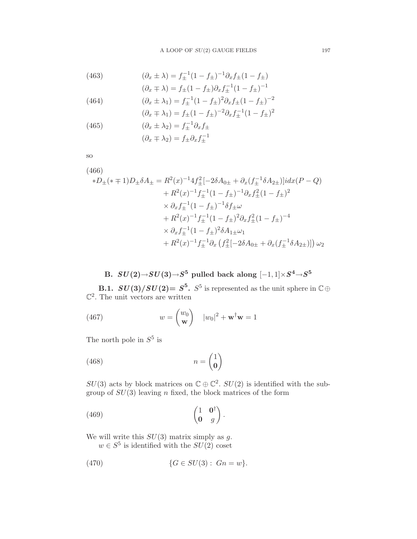(463) 
$$
(\partial_x \pm \lambda) = f_{\pm}^{-1} (1 - f_{\pm})^{-1} \partial_x f_{\pm} (1 - f_{\pm})
$$

(464) 
$$
(\partial_x \mp \lambda) = f_{\pm} (1 - f_{\pm}) \partial_x f_{\pm}^{-1} (1 - f_{\pm})^{-1}
$$

$$
(\partial_x \pm \lambda_1) = f_{\pm}^{-1} (1 - f_{\pm})^2 \partial_x f_{\pm} (1 - f_{\pm})^{-2}
$$

$$
(\partial_x \mp \lambda_1) = f_{\pm} (1 - f_{\pm})^{-2} \partial_x f_{\pm}^{-1} (1 - f_{\pm})^2
$$

(465)  
\n
$$
(\partial_x \pm \lambda_2) = f_{\pm}^{-1} \partial_x f_{\pm}
$$
\n
$$
(\partial_x \mp \lambda_2) = f_{\pm} \partial_x f_{\pm}^{-1}
$$

so

$$
(466)
$$
  
\n
$$
*D_{\pm}(*\mp 1)D_{\pm}\delta A_{\pm} = R^{2}(x)^{-1}4f_{\pm}^{2}[-2\delta A_{0\pm} + \partial_{x}(f_{\pm}^{-1}\delta A_{2\pm})]i dx (P - Q)
$$
  
\n
$$
+ R^{2}(x)^{-1}f_{\pm}^{-1}(1 - f_{\pm})^{-1}\partial_{x}f_{\pm}^{2}(1 - f_{\pm})^{2}
$$
  
\n
$$
\times \partial_{x}f_{\pm}^{-1}(1 - f_{\pm})^{-1}\delta f_{\pm}\omega
$$
  
\n
$$
+ R^{2}(x)^{-1}f_{\pm}^{-1}(1 - f_{\pm})^{2}\partial_{x}f_{\pm}^{2}(1 - f_{\pm})^{-4}
$$
  
\n
$$
\times \partial_{x}f_{\pm}^{-1}(1 - f_{\pm})^{2}\delta A_{1\pm}\omega_{1}
$$
  
\n
$$
+ R^{2}(x)^{-1}f_{\pm}^{-1}\partial_{x}(f_{\pm}^{2}[-2\delta A_{0\pm} + \partial_{x}(f_{\pm}^{-1}\delta A_{2\pm})])\omega_{2}
$$

**B.**  $SU(2) \rightarrow SU(3) \rightarrow S^5$  pulled back along  $[-1, 1] \times S^4 \rightarrow S^5$ 

**B.1.**  $SU(3)/SU(2) = S^5$ .  $S^5$  is represented as the unit sphere in  $\mathbb{C} \oplus$  $\mathbb{C}^2$ . The unit vectors are written

(467) 
$$
w = \begin{pmatrix} w_0 \\ \mathbf{w} \end{pmatrix} \quad |w_0|^2 + \mathbf{w}^\dagger \mathbf{w} = 1
$$

The north pole in  $S^5$  is

$$
(468)\qquad \qquad n = \begin{pmatrix} 1 \\ \mathbf{0} \end{pmatrix}
$$

 $SU(3)$  acts by block matrices on  $\mathbb{C} \oplus \mathbb{C}^2$ .  $SU(2)$  is identified with the subgroup of  $SU(3)$  leaving n fixed, the block matrices of the form

$$
(469) \qquad \qquad \begin{pmatrix} 1 & \mathbf{0}^{\dagger} \\ \mathbf{0} & g \end{pmatrix}.
$$

We will write this  $SU(3)$  matrix simply as g.  $w \in S^5$  is identified with the  $SU(2)$  coset

(470) 
$$
{G \in SU(3): G_n = w}.
$$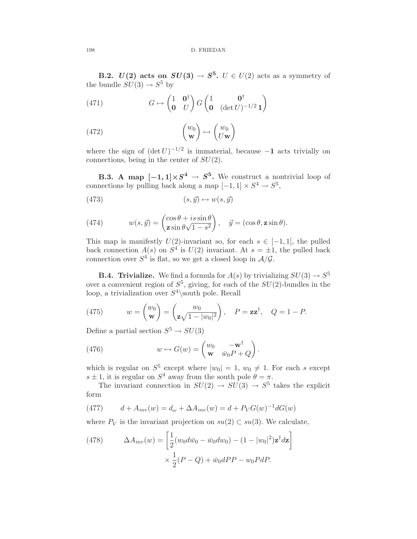**B.2.**  $U(2)$  acts on  $SU(3) \rightarrow S^5$ .  $U \in U(2)$  acts as a symmetry of the bundle  $SU(3) \rightarrow S^5$  by

(471) 
$$
G \mapsto \begin{pmatrix} 1 & \mathbf{0}^{\dagger} \\ \mathbf{0} & U \end{pmatrix} G \begin{pmatrix} 1 & \mathbf{0}^{\dagger} \\ \mathbf{0} & (\det U)^{-1/2} \mathbf{1} \end{pmatrix}
$$

(472) 
$$
\begin{pmatrix} w_0 \\ w \end{pmatrix} \mapsto \begin{pmatrix} w_0 \\ Uw \end{pmatrix}
$$

where the sign of  $(\det U)^{-1/2}$  is immaterial, because  $-1$  acts trivially on connections, being in the center of  $SU(2)$ .

**B.3.** A map  $[-1, 1] \times S^4 \rightarrow S^5$ . We construct a nontrivial loop of connections by pulling back along a map  $[-1, 1] \times S^4 \to S^5$ ,

$$
(473) \t\t\t (s,\vec{y}) \mapsto w(s,\vec{y})
$$

(474) 
$$
w(s, \vec{y}) = \begin{pmatrix} \cos \theta + i s \sin \theta \\ z \sin \theta \sqrt{1 - s^2} \end{pmatrix}, \quad \vec{y} = (\cos \theta, z \sin \theta).
$$

This map is manifestly  $U(2)$ -invariant so, for each  $s \in [-1,1]$ , the pulled back connection  $A(s)$  on  $S^4$  is  $U(2)$  invariant. At  $s = \pm 1$ , the pulled back connection over  $S^4$  is flat, so we get a closed loop in  $A/G$ .

**B.4. Trivialize.** We find a formula for  $A(s)$  by trivializing  $SU(3) \rightarrow S^5$ over a convenient region of  $S^5$ , giving, for each of the  $SU(2)$ -bundles in the loop, a trivialization over  $S^4$ \south pole. Recall

(475) 
$$
w = \begin{pmatrix} w_0 \\ w \end{pmatrix} = \begin{pmatrix} w_0 \\ \mathbf{z} \sqrt{1 - |w_0|^2} \end{pmatrix}, \quad P = \mathbf{z} \mathbf{z}^{\dagger}, \quad Q = 1 - P.
$$

Define a partial section  $S^5 \to SU(3)$ 

(476) 
$$
w \mapsto G(w) = \begin{pmatrix} w_0 & -\mathbf{w}^{\dagger} \\ \mathbf{w} & \bar{w}_0 P + Q \end{pmatrix}.
$$

which is regular on  $S^5$  except where  $|w_0| = 1$ ,  $w_0 \neq 1$ . For each s except  $s \pm 1$ , it is regular on  $S^4$  away from the south pole  $\theta = \pi$ .

The invariant connection in  $SU(2) \rightarrow SU(3) \rightarrow S^5$  takes the explicit form

(477) 
$$
d + A_{inv}(w) = d_{\omega} + \Delta A_{inv}(w) = d + P_V G(w)^{-1} dG(w)
$$

where  $P_V$  is the invariant projection on  $su(2) \subset su(3)$ . We calculate,

(478) 
$$
\Delta A_{inv}(w) = \left[\frac{1}{2}(w_0 d\bar{w}_0 - \bar{w}_0 dw_0) - (1 - |w_0|^2) \mathbf{z}^\dagger d\mathbf{z}\right] \times \frac{1}{2}(P - Q) + \bar{w}_0 dP - w_0 P dP.
$$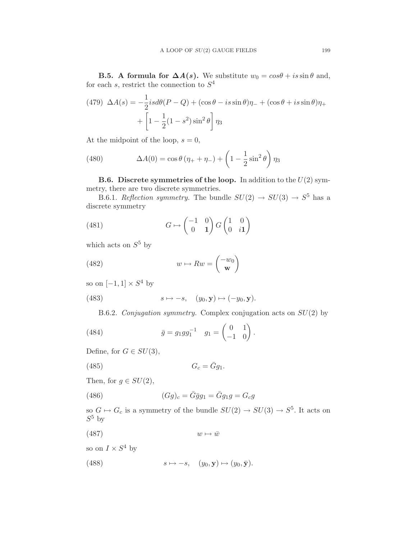**B.5.** A formula for  $\Delta A(s)$ . We substitute  $w_0 = \cos\theta + i s \sin\theta$  and, for each s, restrict the connection to  $S^4$ 

(479) 
$$
\Delta A(s) = -\frac{1}{2} i s d\theta (P - Q) + (\cos \theta - i s \sin \theta)\eta_{-} + (\cos \theta + i s \sin \theta)\eta_{+} + \left[1 - \frac{1}{2}(1 - s^2) \sin^2 \theta\right] \eta_3
$$

At the midpoint of the loop,  $s = 0$ ,

<span id="page-68-0"></span>(480) 
$$
\Delta A(0) = \cos \theta \left( \eta_+ + \eta_- \right) + \left( 1 - \frac{1}{2} \sin^2 \theta \right) \eta_3
$$

**B.6. Discrete symmetries of the loop.** In addition to the  $U(2)$  symmetry, there are two discrete symmetries.

B.6.1. *Reflection symmetry*. The bundle  $SU(2) \rightarrow SU(3) \rightarrow S^5$  has a discrete symmetry

(481) 
$$
G \mapsto \begin{pmatrix} -1 & 0 \\ 0 & 1 \end{pmatrix} G \begin{pmatrix} 1 & 0 \\ 0 & i1 \end{pmatrix}
$$

which acts on  $S^5$  by

(482) 
$$
w \mapsto Rw = \begin{pmatrix} -w_0 \\ w \end{pmatrix}
$$

so on  $[-1, 1] \times S^4$  by

(483) 
$$
s \mapsto -s, \quad (y_0, \mathbf{y}) \mapsto (-y_0, \mathbf{y}).
$$

B.6.2. *Conjugation symmetry.* Complex conjugation acts on SU(2) by

(484) 
$$
\bar{g} = g_1 g g_1^{-1} \quad g_1 = \begin{pmatrix} 0 & 1 \\ -1 & 0 \end{pmatrix}.
$$

Define, for  $G \in SU(3)$ ,

$$
(485) \t G_c = \bar{G}g_1.
$$

Then, for  $g \in SU(2)$ ,

(486) 
$$
(Gg)_c = \overline{G}\overline{g}g_1 = \overline{G}g_1g = G_cg
$$

so  $G \mapsto G_c$  is a symmetry of the bundle  $SU(2) \rightarrow SU(3) \rightarrow S^5$ . It acts on  $S^5$  by

(487)  $w \mapsto \bar{w}$ 

so on  $I \times S^4$  by

(488)  $s \mapsto -s$ ,  $(y_0, \mathbf{y}) \mapsto (y_0, \bar{\mathbf{y}}).$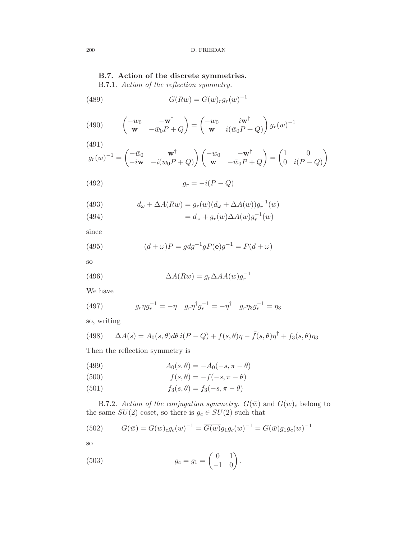### **B.7. Action of the discrete symmetries.**

B.7.1. *Action of the reflection symmetry.*

(489) 
$$
G(Rw) = G(w)_r g_r(w)^{-1}
$$

(490) 
$$
\begin{pmatrix} -w_0 & -\mathbf{w}^\dagger \\ \mathbf{w} & -\bar{w}_0 P + Q \end{pmatrix} = \begin{pmatrix} -w_0 & i\mathbf{w}^\dagger \\ \mathbf{w} & i(\bar{w}_0 P + Q) \end{pmatrix} g_r(w)^{-1}
$$

(491)

$$
g_r(w)^{-1} = \begin{pmatrix} -\bar{w}_0 & \mathbf{w}^\dagger \\ -i\mathbf{w} & -i(w_0P+Q) \end{pmatrix} \begin{pmatrix} -w_0 & -\mathbf{w}^\dagger \\ \mathbf{w} & -\bar{w}_0P+Q \end{pmatrix} = \begin{pmatrix} 1 & 0 \\ 0 & i(P-Q) \end{pmatrix}
$$

(492) <sup>g</sup>r <sup>=</sup> <sup>−</sup>i(<sup>P</sup> <sup>−</sup> <sup>Q</sup>)

(493) 
$$
d_{\omega} + \Delta A(Rw) = g_r(w)(d_{\omega} + \Delta A(w))g_r^{-1}(w)
$$

$$
= d_{\omega} + g_r(w)\Delta A(w)g_r^{-1}(w)
$$

since

(495) 
$$
(d + \omega)P = g dg^{-1}gP(e)g^{-1} = P(d + \omega)
$$

so

(496) 
$$
\Delta A(Rw) = g_r \Delta A A(w) g_r^{-1}
$$

We have

(497) 
$$
g_r \eta g_r^{-1} = -\eta \quad g_r \eta^{\dagger} g_r^{-1} = -\eta^{\dagger} \quad g_r \eta_3 g_r^{-1} = \eta_3
$$

so, writing

(498) 
$$
\Delta A(s) = A_0(s, \theta) d\theta i (P - Q) + f(s, \theta) \eta - \bar{f}(s, \theta) \eta^{\dagger} + f_3(s, \theta) \eta_3
$$

Then the reflection symmetry is

(499) 
$$
A_0(s, \theta) = -A_0(-s, \pi - \theta)
$$

(500) 
$$
f(s, \theta) = -f(-s, \pi - \theta)
$$

(501)  $f_3(s, \theta) = f_3(-s, \pi - \theta)$ 

B.7.2. *Action of the conjugation symmetry.*  $G(\bar{w})$  and  $G(w)_c$  belong to the same  $SU(2)$  coset, so there is  $g_c \in SU(2)$  such that

(502) 
$$
G(\bar{w}) = G(w)_{c} g_c(w)^{-1} = \overline{G(w)} g_1 g_c(w)^{-1} = G(\bar{w}) g_1 g_c(w)^{-1}
$$

so

(503) 
$$
g_c = g_1 = \begin{pmatrix} 0 & 1 \\ -1 & 0 \end{pmatrix}.
$$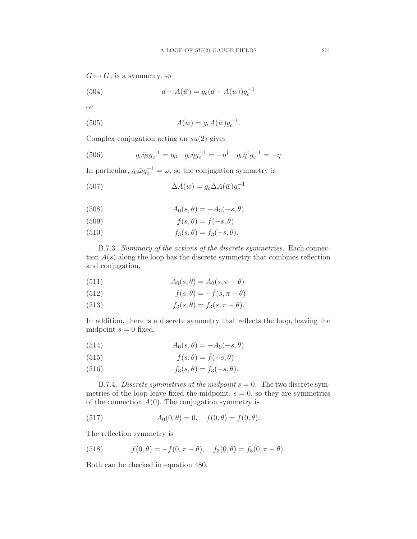$G \mapsto G_c$  is a symmetry, so

(504) 
$$
d + A(\bar{w}) = g_c(d + A(w))g_c^{-1}
$$

or

(505) 
$$
A(w) = g_c A(\bar{w}) g_c^{-1}.
$$

Complex conjugation acting on  $su(2)$  gives

(506) 
$$
g_c \bar{\eta}_3 g_c^{-1} = \eta_3 \quad g_c \bar{\eta} g_c^{-1} = -\eta^{\dagger} \quad g_c \bar{\eta}^{\dagger} g_c^{-1} = -\eta
$$

In particular,  $g_c\bar{\omega}g_c^{-1} = \omega$ , so the conjugation symmetry is

(507) 
$$
\Delta A(w) = g_c \Delta A(\bar{w}) g_c^{-1}
$$

(508) 
$$
A_0(s, \theta) = -A_0(-s, \theta)
$$

(509) 
$$
f(s,\theta) = \bar{f}(-s,\theta)
$$

(510) 
$$
f_3(s, \theta) = f_3(-s, \theta).
$$

B.7.3. *Summary of the actions of the discrete symmetries.* Each connection  $A(s)$  along the loop has the discrete symmetry that combines reflection and conjugation,

(511) 
$$
A_0(s,\theta) = A_0(s,\pi-\theta)
$$

(512) 
$$
f(s, \theta) = -\bar{f}(s, \pi - \theta)
$$

(513) 
$$
f_3(s, \theta) = f_3(s, \pi - \theta).
$$

In addition, there is a discrete symmetry that reflects the loop, leaving the midpoint  $s = 0$  fixed,

(514) 
$$
A_0(s, \theta) = -A_0(-s, \theta)
$$

(515) 
$$
f(s,\theta) = \bar{f}(-s,\theta)
$$

(516) 
$$
f_3(s, \theta) = f_3(-s, \theta).
$$

B.7.4. *Discrete symmetries at the midpoint*  $s = 0$ . The two discrete symmetries of the loop leave fixed the midpoint,  $s = 0$ , so they are symmetries of the connection  $A(0)$ . The conjugation symmetry is

(517) 
$$
A_0(0,\theta) = 0, \quad f(0,\theta) = \bar{f}(0,\theta).
$$

The reflection symmetry is

(518) 
$$
f(0,\theta) = -f(0,\pi-\theta), \quad f_3(0,\theta) = f_3(0,\pi-\theta).
$$

Both can be checked in equation [480.](#page-68-0)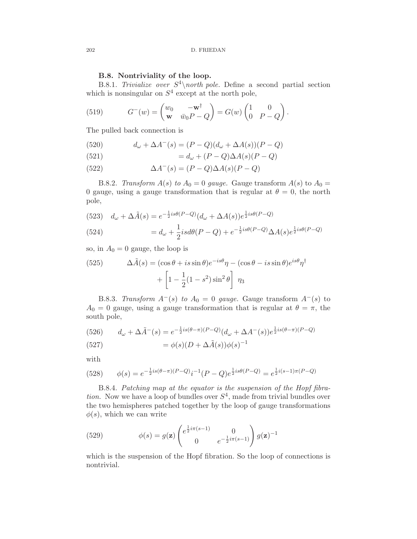### **B.8. Nontriviality of the loop.**

B.8.1. *Trivialize over*  $S^4\$ north pole. Define a second partial section which is nonsingular on  $S<sup>4</sup>$  except at the north pole,

(519) 
$$
G^{-}(w) = \begin{pmatrix} w_0 & -\mathbf{w}^{\dagger} \\ \mathbf{w} & \bar{w}_0 P - Q \end{pmatrix} = G(w) \begin{pmatrix} 1 & 0 \\ 0 & P - Q \end{pmatrix}.
$$

The pulled back connection is

(520) 
$$
d_{\omega} + \Delta A^{-}(s) = (P - Q)(d_{\omega} + \Delta A(s))(P - Q)
$$

(521) 
$$
= d_{\omega} + (P - Q)\Delta A(s)(P - Q)
$$

(522) 
$$
\Delta A^{-}(s) = (P - Q)\Delta A(s)(P - Q)
$$

B.8.2. *Transform*  $A(s)$  *to*  $A_0 = 0$  *gauge.* Gauge transform  $A(s)$  to  $A_0 =$ 0 gauge, using a gauge transformation that is regular at  $\theta = 0$ , the north pole,

(523) 
$$
d_{\omega} + \Delta \tilde{A}(s) = e^{-\frac{1}{2}is\theta(P-Q)}(d_{\omega} + \Delta A(s))e^{\frac{1}{2}is\theta(P-Q)}
$$

$$
= d_{\omega} + \frac{1}{2}isd\theta(P-Q) + e^{-\frac{1}{2}is\theta(P-Q)}\Delta A(s)e^{\frac{1}{2}is\theta(P-Q)}
$$

so, in  $A_0 = 0$  gauge, the loop is

(525) 
$$
\Delta \tilde{A}(s) = (\cos \theta + i s \sin \theta) e^{-is\theta} \eta - (\cos \theta - i s \sin \theta) e^{is\theta} \eta^{\dagger} + \left[1 - \frac{1}{2}(1 - s^2) \sin^2 \theta\right] \eta_3
$$

B.8.3. *Transform*  $A^{-}(s)$  *to*  $A_0 = 0$  *gauge.* Gauge transform  $A^{-}(s)$  to  $A_0 = 0$  gauge, using a gauge transformation that is regular at  $\theta = \pi$ , the south pole,

(526) 
$$
d_{\omega} + \Delta \tilde{A}^{-}(s) = e^{-\frac{1}{2}is(\theta - \pi)(P - Q)}(d_{\omega} + \Delta A^{-}(s))e^{\frac{1}{2}is(\theta - \pi)(P - Q)}
$$

(527) 
$$
= \phi(s)(D + \Delta \tilde{A}(s))\phi(s)^{-1}
$$

with

(528) 
$$
\phi(s) = e^{-\frac{1}{2}is(\theta-\pi)(P-Q)}i^{-1}(P-Q)e^{\frac{1}{2}is\theta(P-Q)} = e^{\frac{1}{2}i(s-1)\pi(P-Q)}
$$

B.8.4. *Patching map at the equator is the suspension of the Hopf fibration.* Now we have a loop of bundles over  $S<sup>4</sup>$ , made from trivial bundles over the two hemispheres patched together by the loop of gauge transformations  $\phi(s)$ , which we can write

(529) 
$$
\phi(s) = g(\mathbf{z}) \begin{pmatrix} e^{\frac{1}{2}i\pi(s-1)} & 0\\ 0 & e^{-\frac{1}{2}i\pi(s-1)} \end{pmatrix} g(\mathbf{z})^{-1}
$$

which is the suspension of the Hopf fibration. So the loop of connections is nontrivial.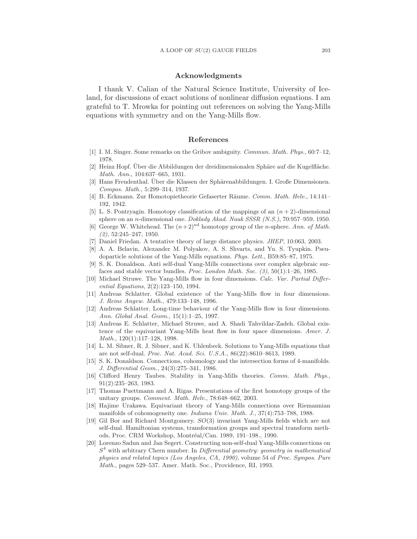## **Acknowledgments**

I thank V. Calian of the Natural Science Institute, University of Iceland, for discussions of exact solutions of nonlinear diffusion equations. I am grateful to T. Mrowka for pointing out references on solving the Yang-Mills equations with symmetry and on the Yang-Mills flow.

## **References**

- [1] I. M. Singer. Some remarks on the Gribov ambiguity. Commun. Math. Phys., 60:7–12, 1978.
- [2] Heinz Hopf. Uber die Abbildungen der dreidimensionalen Sphäre auf die Kugelfläche. Math. Ann., 104:637–665, 1931.
- [3] Hans Freudenthal. Über die Klassen der Sphärenabbildungen. I. Große Dimensionen. Compos. Math., 5:299–314, 1937.
- [4] B. Eckmann. Zur Homotopietheorie Gefaserter Räume. Comm. Math. Helv., 14:141– 192, 1942.
- [5] L. S. Pontryagin. Homotopy classification of the mappings of an  $(n + 2)$ -dimensional sphere on an n-dimensional one. Doklady Akad. Nauk SSSR (N.S.), 70:957–959, 1950.
- [6] George W. Whitehead. The  $(n+2)^{nd}$  homotopy group of the *n*-sphere. Ann. of Math. (2), 52:245–247, 1950.
- [7] Daniel Friedan. A tentative theory of large distance physics. JHEP, 10:063, 2003.
- [8] A. A. Belavin, Alexander M. Polyakov, A. S. Shvarts, and Yu. S. Tyupkin. Pseudoparticle solutions of the Yang-Mills equations. Phys. Lett., B59:85–87, 1975.
- [9] S. K. Donaldson. Anti self-dual Yang-Mills connections over complex algebraic surfaces and stable vector bundles. *Proc. London Math. Soc.*  $(3)$ ,  $50(1):1-26$ , 1985.
- [10] Michael Struwe. The Yang-Mills flow in four dimensions. Calc. Var. Partial Differential Equations, 2(2):123–150, 1994.
- [11] Andreas Schlatter. Global existence of the Yang-Mills flow in four dimensions. J. Reine Angew. Math., 479:133–148, 1996.
- [12] Andreas Schlatter. Long-time behaviour of the Yang-Mills flow in four dimensions. Ann. Global Anal. Geom., 15(1):1–25, 1997.
- [13] Andreas E. Schlatter, Michael Struwe, and A. Shadi Tahvildar-Zadeh. Global existence of the equivariant Yang-Mills heat flow in four space dimensions. Amer. J. Math., 120(1):117–128, 1998.
- [14] L. M. Sibner, R. J. Sibner, and K. Uhlenbeck. Solutions to Yang-Mills equations that are not self-dual. Proc. Nat. Acad. Sci. U.S.A., 86(22):8610–8613, 1989.
- [15] S. K. Donaldson. Connections, cohomology and the intersection forms of 4-manifolds. J. Differential Geom., 24(3):275–341, 1986.
- [16] Clifford Henry Taubes. Stability in Yang-Mills theories. Comm. Math. Phys., 91(2):235–263, 1983.
- [17] Thomas Puettmann and A. Rigas. Presentations of the first homotopy groups of the unitary groups. Comment. Math. Helv., 78:648–662, 2003.
- [18] Hajime Urakawa. Equivariant theory of Yang-Mills connections over Riemannian manifolds of cohomogeneity one. Indiana Univ. Math. J., 37(4):753–788, 1988.
- [19] Gil Bor and Richard Montgomery. SO(3) invariant Yang-Mills fields which are not self-dual. Hamiltonian systems, transformation groups and spectral transform methods, Proc. CRM Workshop, Montréal/Can. 1989, 191-198., 1990.
- [20] Lorenzo Sadun and Jan Segert. Constructing non-self-dual Yang-Mills connections on  $S<sup>4</sup>$  with arbitrary Chern number. In *Differential geometry: geometry in mathematical* physics and related topics (Los Angeles, CA, 1990), volume 54 of Proc. Sympos. Pure Math., pages 529–537. Amer. Math. Soc., Providence, RI, 1993.